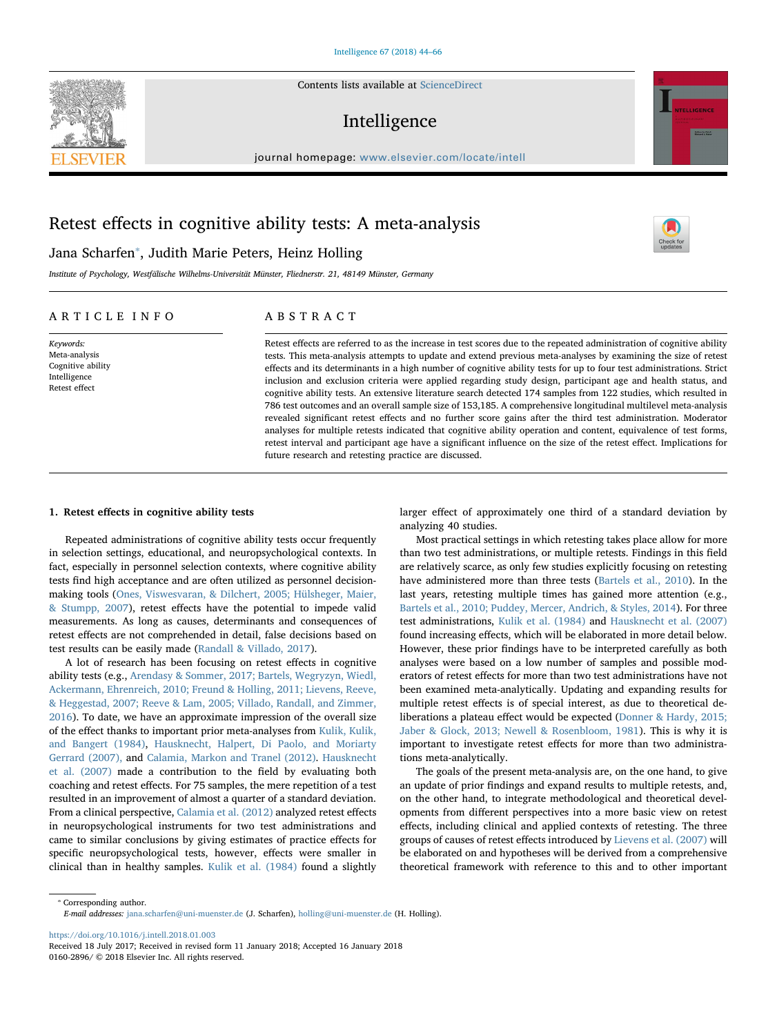Contents lists available at [ScienceDirect](http://www.sciencedirect.com/science/journal/01602896)

# Intelligence

journal homepage: [www.elsevier.com/locate/intell](https://www.elsevier.com/locate/intell)

# Retest effects in cognitive ability tests: A meta-analysis

# Jana Scharfen[⁎](#page-0-0) , Judith Marie Peters, Heinz Holling

Institute of Psychology, Westfälische Wilhelms-Universität Münster, Fliednerstr. 21, 48149 Münster, Germany

### ARTICLE INFO

Keywords: Meta-analysis Cognitive ability Intelligence Retest effect

### ABSTRACT

Retest effects are referred to as the increase in test scores due to the repeated administration of cognitive ability tests. This meta-analysis attempts to update and extend previous meta-analyses by examining the size of retest effects and its determinants in a high number of cognitive ability tests for up to four test administrations. Strict inclusion and exclusion criteria were applied regarding study design, participant age and health status, and cognitive ability tests. An extensive literature search detected 174 samples from 122 studies, which resulted in 786 test outcomes and an overall sample size of 153,185. A comprehensive longitudinal multilevel meta-analysis revealed significant retest effects and no further score gains after the third test administration. Moderator analyses for multiple retests indicated that cognitive ability operation and content, equivalence of test forms, retest interval and participant age have a significant influence on the size of the retest effect. Implications for future research and retesting practice are discussed.

### 1. Retest effects in cognitive ability tests

Repeated administrations of cognitive ability tests occur frequently in selection settings, educational, and neuropsychological contexts. In fact, especially in personnel selection contexts, where cognitive ability tests find high acceptance and are often utilized as personnel decisionmaking tools [\(Ones, Viswesvaran, & Dilchert, 2005; Hülsheger, Maier,](#page-21-0) [& Stumpp, 2007\)](#page-21-0), retest effects have the potential to impede valid measurements. As long as causes, determinants and consequences of retest effects are not comprehended in detail, false decisions based on test results can be easily made ([Randall & Villado, 2017](#page-22-0)).

A lot of research has been focusing on retest effects in cognitive ability tests (e.g., [Arendasy & Sommer, 2017; Bartels, Wegryzyn, Wiedl,](#page-20-0) [Ackermann, Ehrenreich, 2010; Freund & Holling, 2011; Lievens, Reeve,](#page-20-0) [& Heggestad, 2007; Reeve & Lam, 2005; Villado, Randall, and Zimmer,](#page-20-0) [2016\)](#page-20-0). To date, we have an approximate impression of the overall size of the effect thanks to important prior meta-analyses from [Kulik, Kulik,](#page-21-1) [and Bangert \(1984\),](#page-21-1) [Hausknecht, Halpert, Di Paolo, and Moriarty](#page-21-2) [Gerrard \(2007\),](#page-21-2) and [Calamia, Markon and Tranel \(2012\)](#page-20-1). [Hausknecht](#page-21-2) [et al. \(2007\)](#page-21-2) made a contribution to the field by evaluating both coaching and retest effects. For 75 samples, the mere repetition of a test resulted in an improvement of almost a quarter of a standard deviation. From a clinical perspective, [Calamia et al. \(2012\)](#page-20-1) analyzed retest effects in neuropsychological instruments for two test administrations and came to similar conclusions by giving estimates of practice effects for specific neuropsychological tests, however, effects were smaller in clinical than in healthy samples. [Kulik et al. \(1984\)](#page-21-1) found a slightly

larger effect of approximately one third of a standard deviation by analyzing 40 studies.

Most practical settings in which retesting takes place allow for more than two test administrations, or multiple retests. Findings in this field are relatively scarce, as only few studies explicitly focusing on retesting have administered more than three tests ([Bartels et al., 2010\)](#page-20-2). In the last years, retesting multiple times has gained more attention (e.g., [Bartels et al., 2010; Puddey, Mercer, Andrich, & Styles, 2014](#page-20-2)). For three test administrations, [Kulik et al. \(1984\)](#page-21-1) and [Hausknecht et al. \(2007\)](#page-21-2) found increasing effects, which will be elaborated in more detail below. However, these prior findings have to be interpreted carefully as both analyses were based on a low number of samples and possible moderators of retest effects for more than two test administrations have not been examined meta-analytically. Updating and expanding results for multiple retest effects is of special interest, as due to theoretical deliberations a plateau effect would be expected ([Donner & Hardy, 2015;](#page-21-3) [Jaber & Glock, 2013; Newell & Rosenbloom, 1981](#page-21-3)). This is why it is important to investigate retest effects for more than two administrations meta-analytically.

The goals of the present meta-analysis are, on the one hand, to give an update of prior findings and expand results to multiple retests, and, on the other hand, to integrate methodological and theoretical developments from different perspectives into a more basic view on retest effects, including clinical and applied contexts of retesting. The three groups of causes of retest effects introduced by [Lievens et al. \(2007\)](#page-21-4) will be elaborated on and hypotheses will be derived from a comprehensive theoretical framework with reference to this and to other important

<span id="page-0-0"></span>⁎ Corresponding author. E-mail addresses: [jana.scharfen@uni-muenster.de](mailto:jana.scharfen@uni-muenster.de) (J. Scharfen), [holling@uni-muenster.de](mailto:holling@uni-muenster.de) (H. Holling).

<https://doi.org/10.1016/j.intell.2018.01.003>







Received 18 July 2017; Received in revised form 11 January 2018; Accepted 16 January 2018 0160-2896/ © 2018 Elsevier Inc. All rights reserved.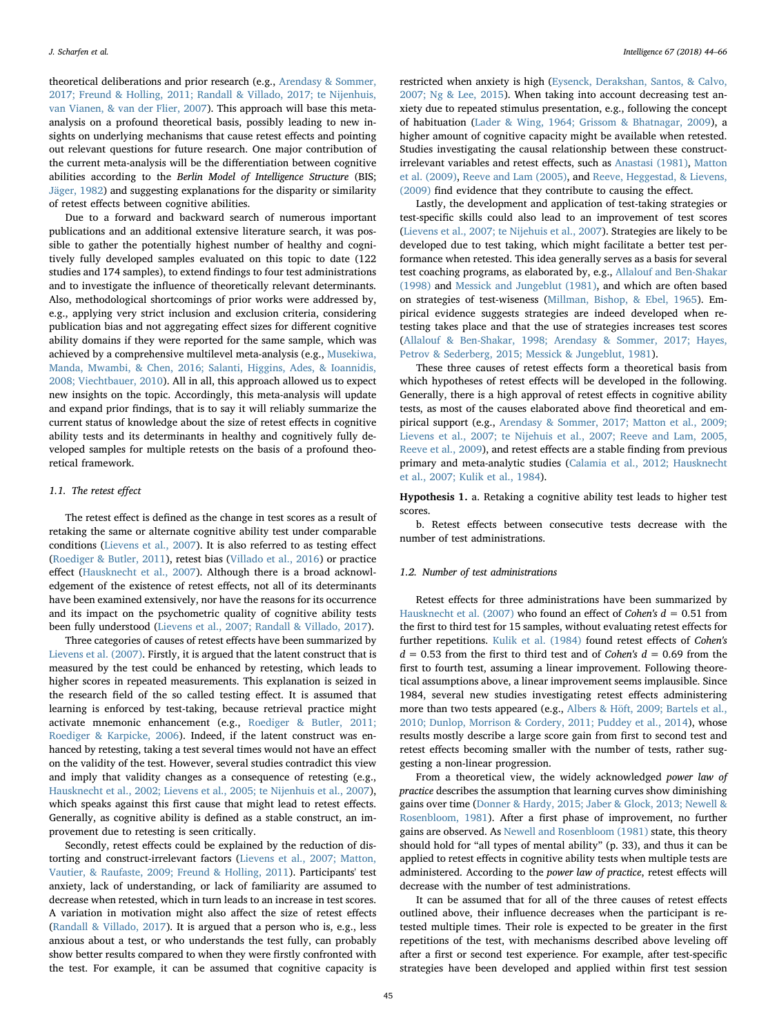theoretical deliberations and prior research (e.g., [Arendasy & Sommer,](#page-20-0) [2017; Freund & Holling, 2011; Randall & Villado, 2017; te Nijenhuis,](#page-20-0) [van Vianen, & van der Flier, 2007\)](#page-20-0). This approach will base this metaanalysis on a profound theoretical basis, possibly leading to new insights on underlying mechanisms that cause retest effects and pointing out relevant questions for future research. One major contribution of the current meta-analysis will be the differentiation between cognitive abilities according to the Berlin Model of Intelligence Structure (BIS; [Jäger, 1982](#page-21-5)) and suggesting explanations for the disparity or similarity of retest effects between cognitive abilities.

Due to a forward and backward search of numerous important publications and an additional extensive literature search, it was possible to gather the potentially highest number of healthy and cognitively fully developed samples evaluated on this topic to date (122 studies and 174 samples), to extend findings to four test administrations and to investigate the influence of theoretically relevant determinants. Also, methodological shortcomings of prior works were addressed by, e.g., applying very strict inclusion and exclusion criteria, considering publication bias and not aggregating effect sizes for different cognitive ability domains if they were reported for the same sample, which was achieved by a comprehensive multilevel meta-analysis (e.g., [Musekiwa,](#page-21-6) [Manda, Mwambi, & Chen, 2016; Salanti, Higgins, Ades, & Ioannidis,](#page-21-6) [2008; Viechtbauer, 2010\)](#page-21-6). All in all, this approach allowed us to expect new insights on the topic. Accordingly, this meta-analysis will update and expand prior findings, that is to say it will reliably summarize the current status of knowledge about the size of retest effects in cognitive ability tests and its determinants in healthy and cognitively fully developed samples for multiple retests on the basis of a profound theoretical framework.

### 1.1. The retest effect

The retest effect is defined as the change in test scores as a result of retaking the same or alternate cognitive ability test under comparable conditions [\(Lievens et al., 2007](#page-21-4)). It is also referred to as testing effect ([Roediger & Butler, 2011](#page-22-1)), retest bias ([Villado et al., 2016](#page-20-3)) or practice effect [\(Hausknecht et al., 2007](#page-21-2)). Although there is a broad acknowledgement of the existence of retest effects, not all of its determinants have been examined extensively, nor have the reasons for its occurrence and its impact on the psychometric quality of cognitive ability tests been fully understood [\(Lievens et al., 2007; Randall & Villado, 2017\)](#page-21-4).

Three categories of causes of retest effects have been summarized by [Lievens et al. \(2007\)](#page-21-4). Firstly, it is argued that the latent construct that is measured by the test could be enhanced by retesting, which leads to higher scores in repeated measurements. This explanation is seized in the research field of the so called testing effect. It is assumed that learning is enforced by test-taking, because retrieval practice might activate mnemonic enhancement (e.g., [Roediger & Butler, 2011;](#page-22-1) [Roediger & Karpicke, 2006](#page-22-1)). Indeed, if the latent construct was enhanced by retesting, taking a test several times would not have an effect on the validity of the test. However, several studies contradict this view and imply that validity changes as a consequence of retesting (e.g., [Hausknecht et al., 2002; Lievens et al., 2005; te Nijenhuis et al., 2007](#page-21-7)), which speaks against this first cause that might lead to retest effects. Generally, as cognitive ability is defined as a stable construct, an improvement due to retesting is seen critically.

Secondly, retest effects could be explained by the reduction of distorting and construct-irrelevant factors ([Lievens et al., 2007; Matton,](#page-21-4) [Vautier, & Raufaste, 2009; Freund & Holling, 2011\)](#page-21-4). Participants' test anxiety, lack of understanding, or lack of familiarity are assumed to decrease when retested, which in turn leads to an increase in test scores. A variation in motivation might also affect the size of retest effects ([Randall & Villado, 2017](#page-22-0)). It is argued that a person who is, e.g., less anxious about a test, or who understands the test fully, can probably show better results compared to when they were firstly confronted with the test. For example, it can be assumed that cognitive capacity is restricted when anxiety is high [\(Eysenck, Derakshan, Santos, & Calvo,](#page-21-8) [2007; Ng & Lee, 2015](#page-21-8)). When taking into account decreasing test anxiety due to repeated stimulus presentation, e.g., following the concept of habituation [\(Lader & Wing, 1964; Grissom & Bhatnagar, 2009\)](#page-21-9), a higher amount of cognitive capacity might be available when retested. Studies investigating the causal relationship between these constructirrelevant variables and retest effects, such as [Anastasi \(1981\),](#page-20-4) [Matton](#page-21-10) [et al. \(2009\)](#page-21-10), [Reeve and Lam \(2005\),](#page-20-5) and [Reeve, Heggestad, & Lievens,](#page-22-2) [\(2009\)](#page-22-2) find evidence that they contribute to causing the effect.

Lastly, the development and application of test-taking strategies or test-specific skills could also lead to an improvement of test scores ([Lievens et al., 2007; te Nijehuis et al., 2007\)](#page-21-4). Strategies are likely to be developed due to test taking, which might facilitate a better test performance when retested. This idea generally serves as a basis for several test coaching programs, as elaborated by, e.g., [Allalouf and Ben-Shakar](#page-20-6) [\(1998\)](#page-20-6) and [Messick and Jungeblut \(1981\)](#page-21-11), and which are often based on strategies of test-wiseness ([Millman, Bishop, & Ebel, 1965\)](#page-21-12). Empirical evidence suggests strategies are indeed developed when retesting takes place and that the use of strategies increases test scores ([Allalouf & Ben-Shakar, 1998; Arendasy & Sommer, 2017; Hayes,](#page-20-6) [Petrov & Sederberg, 2015; Messick & Jungeblut, 1981\)](#page-20-6).

These three causes of retest effects form a theoretical basis from which hypotheses of retest effects will be developed in the following. Generally, there is a high approval of retest effects in cognitive ability tests, as most of the causes elaborated above find theoretical and empirical support (e.g., Arendasy [& Sommer, 2017; Matton et al., 2009;](#page-20-0) [Lievens et al., 2007; te Nijehuis et al., 2007; Reeve and Lam, 2005,](#page-20-0) [Reeve et al., 2009\)](#page-20-0), and retest effects are a stable finding from previous primary and meta-analytic studies ([Calamia et al., 2012; Hausknecht](#page-20-1) [et al., 2007; Kulik et al., 1984](#page-20-1)).

<span id="page-1-0"></span>Hypothesis 1. a. Retaking a cognitive ability test leads to higher test scores.

b. Retest effects between consecutive tests decrease with the number of test administrations.

### 1.2. Number of test administrations

Retest effects for three administrations have been summarized by [Hausknecht et al. \(2007\)](#page-21-2) who found an effect of Cohen's  $d = 0.51$  from the first to third test for 15 samples, without evaluating retest effects for further repetitions. [Kulik et al. \(1984\)](#page-21-1) found retest effects of Cohen's  $d = 0.53$  from the first to third test and of *Cohen's*  $d = 0.69$  from the first to fourth test, assuming a linear improvement. Following theoretical assumptions above, a linear improvement seems implausible. Since 1984, several new studies investigating retest effects administering more than two tests appeared (e.g., [Albers & Höft, 2009; Bartels et al.,](#page-20-7) [2010; Dunlop, Morrison & Cordery, 2011; Puddey et al., 2014\)](#page-20-7), whose results mostly describe a large score gain from first to second test and retest effects becoming smaller with the number of tests, rather suggesting a non-linear progression.

From a theoretical view, the widely acknowledged power law of practice describes the assumption that learning curves show diminishing gains over time ([Donner & Hardy, 2015; Jaber & Glock, 2013; Newell &](#page-21-3) [Rosenbloom, 1981](#page-21-3)). After a first phase of improvement, no further gains are observed. As [Newell and Rosenbloom \(1981\)](#page-21-13) state, this theory should hold for "all types of mental ability" (p. 33), and thus it can be applied to retest effects in cognitive ability tests when multiple tests are administered. According to the power law of practice, retest effects will decrease with the number of test administrations.

It can be assumed that for all of the three causes of retest effects outlined above, their influence decreases when the participant is retested multiple times. Their role is expected to be greater in the first repetitions of the test, with mechanisms described above leveling off after a first or second test experience. For example, after test-specific strategies have been developed and applied within first test session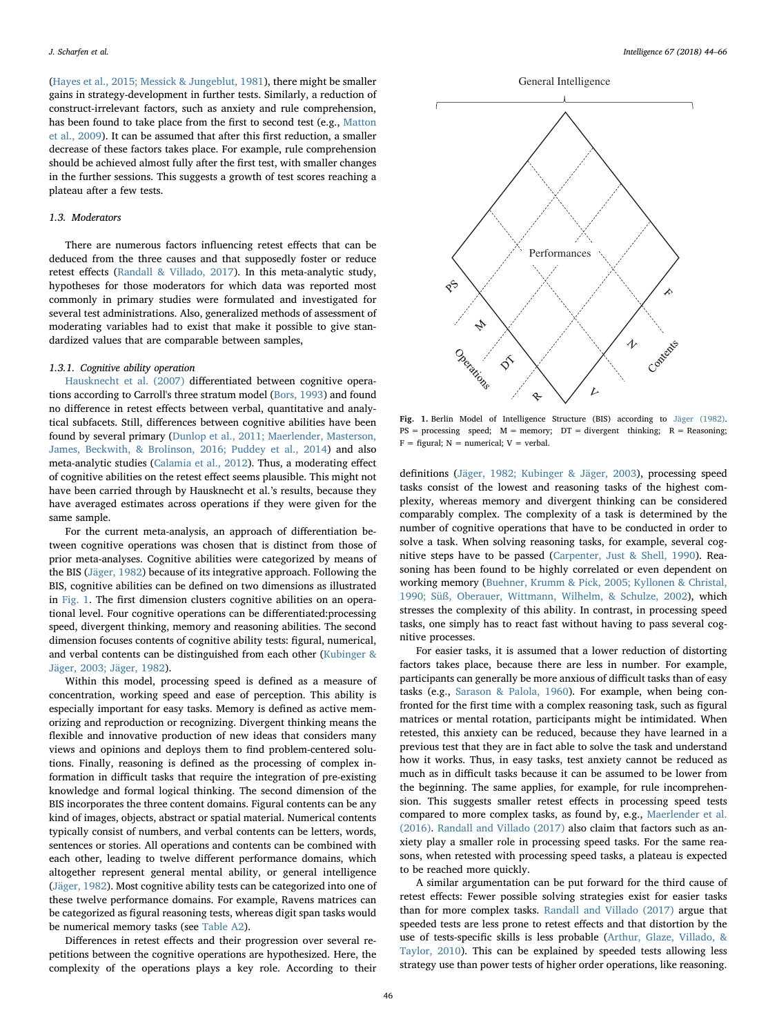([Hayes et al., 2015; Messick & Jungeblut, 1981](#page-21-14)), there might be smaller gains in strategy-development in further tests. Similarly, a reduction of construct-irrelevant factors, such as anxiety and rule comprehension, has been found to take place from the first to second test (e.g., [Matton](#page-21-10) [et al., 2009\)](#page-21-10). It can be assumed that after this first reduction, a smaller decrease of these factors takes place. For example, rule comprehension should be achieved almost fully after the first test, with smaller changes in the further sessions. This suggests a growth of test scores reaching a plateau after a few tests.

### 1.3. Moderators

There are numerous factors influencing retest effects that can be deduced from the three causes and that supposedly foster or reduce retest effects [\(Randall & Villado, 2017](#page-22-0)). In this meta-analytic study, hypotheses for those moderators for which data was reported most commonly in primary studies were formulated and investigated for several test administrations. Also, generalized methods of assessment of moderating variables had to exist that make it possible to give standardized values that are comparable between samples,

### 1.3.1. Cognitive ability operation

[Hausknecht et al. \(2007\)](#page-21-2) differentiated between cognitive operations according to Carroll's three stratum model [\(Bors, 1993\)](#page-20-8) and found no difference in retest effects between verbal, quantitative and analytical subfacets. Still, differences between cognitive abilities have been found by several primary [\(Dunlop et al., 2011; Maerlender, Masterson,](#page-20-9) [James, Beckwith, & Brolinson, 2016; Puddey et al., 2014\)](#page-20-9) and also meta-analytic studies [\(Calamia et al., 2012\)](#page-20-1). Thus, a moderating effect of cognitive abilities on the retest effect seems plausible. This might not have been carried through by Hausknecht et al.'s results, because they have averaged estimates across operations if they were given for the same sample.

For the current meta-analysis, an approach of differentiation between cognitive operations was chosen that is distinct from those of prior meta-analyses. Cognitive abilities were categorized by means of the BIS ([Jäger, 1982\)](#page-21-5) because of its integrative approach. Following the BIS, cognitive abilities can be defined on two dimensions as illustrated in [Fig. 1](#page-2-0). The first dimension clusters cognitive abilities on an operational level. Four cognitive operations can be differentiated:processing speed, divergent thinking, memory and reasoning abilities. The second dimension focuses contents of cognitive ability tests: figural, numerical, and verbal contents can be distinguished from each other [\(Kubinger &](#page-21-15) [Jäger, 2003; Jäger, 1982](#page-21-15)).

Within this model, processing speed is defined as a measure of concentration, working speed and ease of perception. This ability is especially important for easy tasks. Memory is defined as active memorizing and reproduction or recognizing. Divergent thinking means the flexible and innovative production of new ideas that considers many views and opinions and deploys them to find problem-centered solutions. Finally, reasoning is defined as the processing of complex information in difficult tasks that require the integration of pre-existing knowledge and formal logical thinking. The second dimension of the BIS incorporates the three content domains. Figural contents can be any kind of images, objects, abstract or spatial material. Numerical contents typically consist of numbers, and verbal contents can be letters, words, sentences or stories. All operations and contents can be combined with each other, leading to twelve different performance domains, which altogether represent general mental ability, or general intelligence ([Jäger, 1982\)](#page-21-5). Most cognitive ability tests can be categorized into one of these twelve performance domains. For example, Ravens matrices can be categorized as figural reasoning tests, whereas digit span tasks would be numerical memory tasks (see [Table A2](#page-17-0)).

Differences in retest effects and their progression over several repetitions between the cognitive operations are hypothesized. Here, the complexity of the operations plays a key role. According to their

<span id="page-2-0"></span>

Fig. 1. Berlin Model of Intelligence Structure (BIS) according to [Jäger \(1982\).](#page-21-5)  $PS = processing \text{ speed}; M = memory; DT = divergent thinking; R = Reasoning;$  $F =$  figural;  $N =$  numerical;  $V =$  verbal.

definitions ([Jäger, 1982; Kubinger & Jäger, 2003](#page-21-5)), processing speed tasks consist of the lowest and reasoning tasks of the highest complexity, whereas memory and divergent thinking can be considered comparably complex. The complexity of a task is determined by the number of cognitive operations that have to be conducted in order to solve a task. When solving reasoning tasks, for example, several cognitive steps have to be passed [\(Carpenter, Just & Shell, 1990](#page-20-10)). Reasoning has been found to be highly correlated or even dependent on working memory ([Buehner, Krumm & Pick, 2005; Kyllonen & Christal,](#page-20-11) [1990; Süß, Oberauer, Wittmann, Wilhelm, & Schulze, 2002](#page-20-11)), which stresses the complexity of this ability. In contrast, in processing speed tasks, one simply has to react fast without having to pass several cognitive processes.

For easier tasks, it is assumed that a lower reduction of distorting factors takes place, because there are less in number. For example, participants can generally be more anxious of difficult tasks than of easy tasks (e.g., [Sarason & Palola, 1960\)](#page-22-3). For example, when being confronted for the first time with a complex reasoning task, such as figural matrices or mental rotation, participants might be intimidated. When retested, this anxiety can be reduced, because they have learned in a previous test that they are in fact able to solve the task and understand how it works. Thus, in easy tasks, test anxiety cannot be reduced as much as in difficult tasks because it can be assumed to be lower from the beginning. The same applies, for example, for rule incomprehension. This suggests smaller retest effects in processing speed tests compared to more complex tasks, as found by, e.g., [Maerlender et al.](#page-21-16) [\(2016\).](#page-21-16) [Randall and Villado \(2017\)](#page-22-0) also claim that factors such as anxiety play a smaller role in processing speed tasks. For the same reasons, when retested with processing speed tasks, a plateau is expected to be reached more quickly.

A similar argumentation can be put forward for the third cause of retest effects: Fewer possible solving strategies exist for easier tasks than for more complex tasks. [Randall and Villado \(2017\)](#page-22-0) argue that speeded tests are less prone to retest effects and that distortion by the use of tests-specific skills is less probable ([Arthur, Glaze, Villado, &](#page-20-12) [Taylor, 2010](#page-20-12)). This can be explained by speeded tests allowing less strategy use than power tests of higher order operations, like reasoning.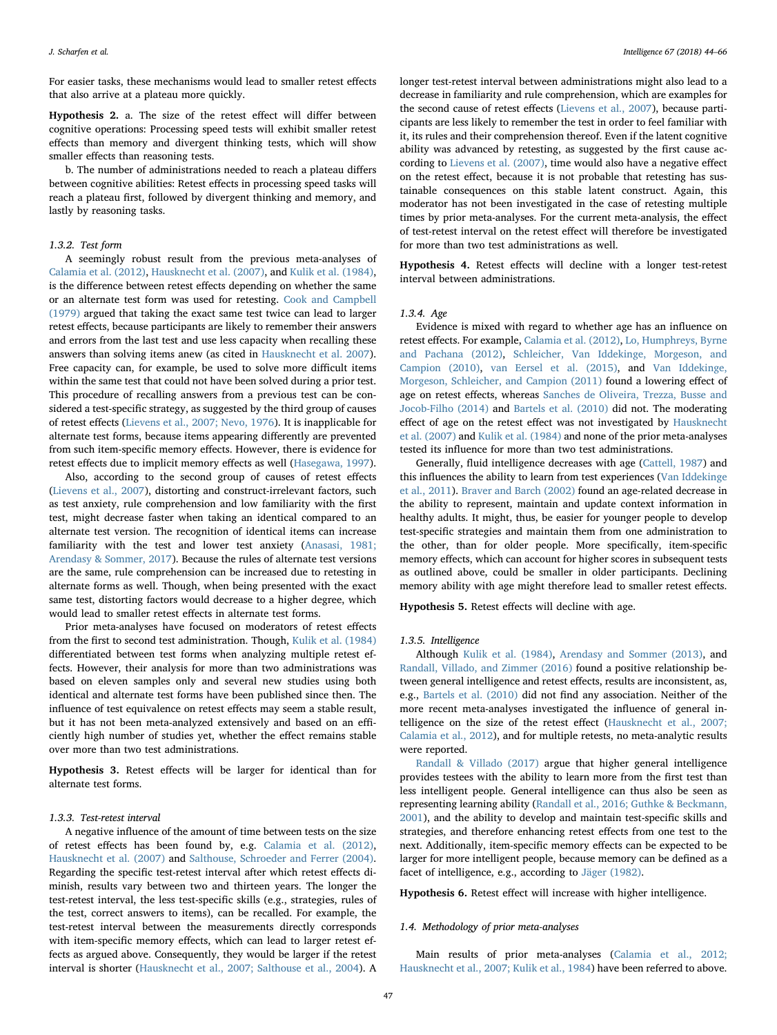For easier tasks, these mechanisms would lead to smaller retest effects that also arrive at a plateau more quickly.

<span id="page-3-0"></span>Hypothesis 2. a. The size of the retest effect will differ between cognitive operations: Processing speed tests will exhibit smaller retest effects than memory and divergent thinking tests, which will show smaller effects than reasoning tests.

b. The number of administrations needed to reach a plateau differs between cognitive abilities: Retest effects in processing speed tasks will reach a plateau first, followed by divergent thinking and memory, and lastly by reasoning tasks.

### 1.3.2. Test form

A seemingly robust result from the previous meta-analyses of [Calamia et al. \(2012\),](#page-20-1) [Hausknecht et al. \(2007\),](#page-21-2) and [Kulik et al. \(1984\)](#page-21-1), is the difference between retest effects depending on whether the same or an alternate test form was used for retesting. [Cook and Campbell](#page-20-13) [\(1979\)](#page-20-13) argued that taking the exact same test twice can lead to larger retest effects, because participants are likely to remember their answers and errors from the last test and use less capacity when recalling these answers than solving items anew (as cited in [Hausknecht et al. 2007](#page-21-2)). Free capacity can, for example, be used to solve more difficult items within the same test that could not have been solved during a prior test. This procedure of recalling answers from a previous test can be considered a test-specific strategy, as suggested by the third group of causes of retest effects [\(Lievens et al., 2007; Nevo, 1976](#page-21-4)). It is inapplicable for alternate test forms, because items appearing differently are prevented from such item-specific memory effects. However, there is evidence for retest effects due to implicit memory effects as well [\(Hasegawa, 1997](#page-21-17)).

Also, according to the second group of causes of retest effects ([Lievens et al., 2007\)](#page-21-4), distorting and construct-irrelevant factors, such as test anxiety, rule comprehension and low familiarity with the first test, might decrease faster when taking an identical compared to an alternate test version. The recognition of identical items can increase familiarity with the test and lower test anxiety ([Anasasi, 1981;](#page-20-4) [Arendasy & Sommer, 2017\)](#page-20-4). Because the rules of alternate test versions are the same, rule comprehension can be increased due to retesting in alternate forms as well. Though, when being presented with the exact same test, distorting factors would decrease to a higher degree, which would lead to smaller retest effects in alternate test forms.

Prior meta-analyses have focused on moderators of retest effects from the first to second test administration. Though, [Kulik et al. \(1984\)](#page-21-1) differentiated between test forms when analyzing multiple retest effects. However, their analysis for more than two administrations was based on eleven samples only and several new studies using both identical and alternate test forms have been published since then. The influence of test equivalence on retest effects may seem a stable result, but it has not been meta-analyzed extensively and based on an efficiently high number of studies yet, whether the effect remains stable over more than two test administrations.

<span id="page-3-1"></span>Hypothesis 3. Retest effects will be larger for identical than for alternate test forms.

### 1.3.3. Test-retest interval

A negative influence of the amount of time between tests on the size of retest effects has been found by, e.g. [Calamia et al. \(2012\)](#page-20-1), [Hausknecht et al. \(2007\)](#page-21-2) and [Salthouse, Schroeder and Ferrer \(2004\)](#page-22-4). Regarding the specific test-retest interval after which retest effects diminish, results vary between two and thirteen years. The longer the test-retest interval, the less test-specific skills (e.g., strategies, rules of the test, correct answers to items), can be recalled. For example, the test-retest interval between the measurements directly corresponds with item-specific memory effects, which can lead to larger retest effects as argued above. Consequently, they would be larger if the retest interval is shorter ([Hausknecht et al., 2007; Salthouse et al., 2004](#page-21-2)). A longer test-retest interval between administrations might also lead to a decrease in familiarity and rule comprehension, which are examples for the second cause of retest effects ([Lievens et al., 2007\)](#page-21-4), because participants are less likely to remember the test in order to feel familiar with it, its rules and their comprehension thereof. Even if the latent cognitive ability was advanced by retesting, as suggested by the first cause according to [Lievens et al. \(2007\)](#page-21-4), time would also have a negative effect on the retest effect, because it is not probable that retesting has sustainable consequences on this stable latent construct. Again, this moderator has not been investigated in the case of retesting multiple times by prior meta-analyses. For the current meta-analysis, the effect of test-retest interval on the retest effect will therefore be investigated for more than two test administrations as well.

<span id="page-3-2"></span>Hypothesis 4. Retest effects will decline with a longer test-retest interval between administrations.

### 1.3.4. Age

Evidence is mixed with regard to whether age has an influence on retest effects. For example, Calamia [et al. \(2012\),](#page-20-1) [Lo, Humphreys, Byrne](#page-20-14) [and Pachana \(2012\)](#page-20-14), [Schleicher, Van Iddekinge, Morgeson, and](#page-22-5) [Campion \(2010\)](#page-22-5), [van Eersel et al. \(2015\)](#page-21-18), and [Van Iddekinge,](#page-22-6) [Morgeson, Schleicher, and Campion \(2011\)](#page-22-6) found a lowering effect of age on retest effects, whereas [Sanches de Oliveira, Trezza, Busse and](#page-22-7) [Jocob-Filho \(2014\)](#page-22-7) and [Bartels et al. \(2010\)](#page-20-2) did not. The moderating effect of age on the retest effect was not investigated by [Hausknecht](#page-21-2) [et al. \(2007\)](#page-21-2) and [Kulik et al. \(1984\)](#page-21-1) and none of the prior meta-analyses tested its influence for more than two test administrations.

Generally, fluid intelligence decreases with age ([Cattell, 1987\)](#page-20-15) and this influences the ability to learn from test experiences ([Van Iddekinge](#page-22-6) [et al., 2011](#page-22-6)). [Braver and Barch \(2002\)](#page-20-16) found an age-related decrease in the ability to represent, maintain and update context information in healthy adults. It might, thus, be easier for younger people to develop test-specific strategies and maintain them from one administration to the other, than for older people. More specifically, item-specific memory effects, which can account for higher scores in subsequent tests as outlined above, could be smaller in older participants. Declining memory ability with age might therefore lead to smaller retest effects.

<span id="page-3-3"></span>Hypothesis 5. Retest effects will decline with age.

#### 1.3.5. Intelligence

Although [Kulik et al. \(1984\),](#page-21-1) [Arendasy and Sommer \(2013\),](#page-20-17) and [Randall, Villado, and Zimmer \(2016\)](#page-20-18) found a positive relationship between general intelligence and retest effects, results are inconsistent, as, e.g., [Bartels et al. \(2010\)](#page-20-2) did not find any association. Neither of the more recent meta-analyses investigated the influence of general intelligence on the size of the retest effect [\(Hausknecht et al., 2007;](#page-21-2) [Calamia et al., 2012](#page-21-2)), and for multiple retests, no meta-analytic results were reported.

[Randall & Villado \(2017\)](#page-22-0) argue that higher general intelligence provides testees with the ability to learn more from the first test than less intelligent people. General intelligence can thus also be seen as representing learning ability [\(Randall et al., 2016; Guthke & Beckmann,](#page-20-18) [2001\)](#page-20-18), and the ability to develop and maintain test-specific skills and strategies, and therefore enhancing retest effects from one test to the next. Additionally, item-specific memory effects can be expected to be larger for more intelligent people, because memory can be defined as a facet of intelligence, e.g., according to [Jäger \(1982\).](#page-21-5)

<span id="page-3-4"></span>Hypothesis 6. Retest effect will increase with higher intelligence.

#### 1.4. Methodology of prior meta-analyses

Main results of prior meta-analyses ([Calamia et al., 2012;](#page-20-1) [Hausknecht et al., 2007; Kulik et al., 1984](#page-20-1)) have been referred to above.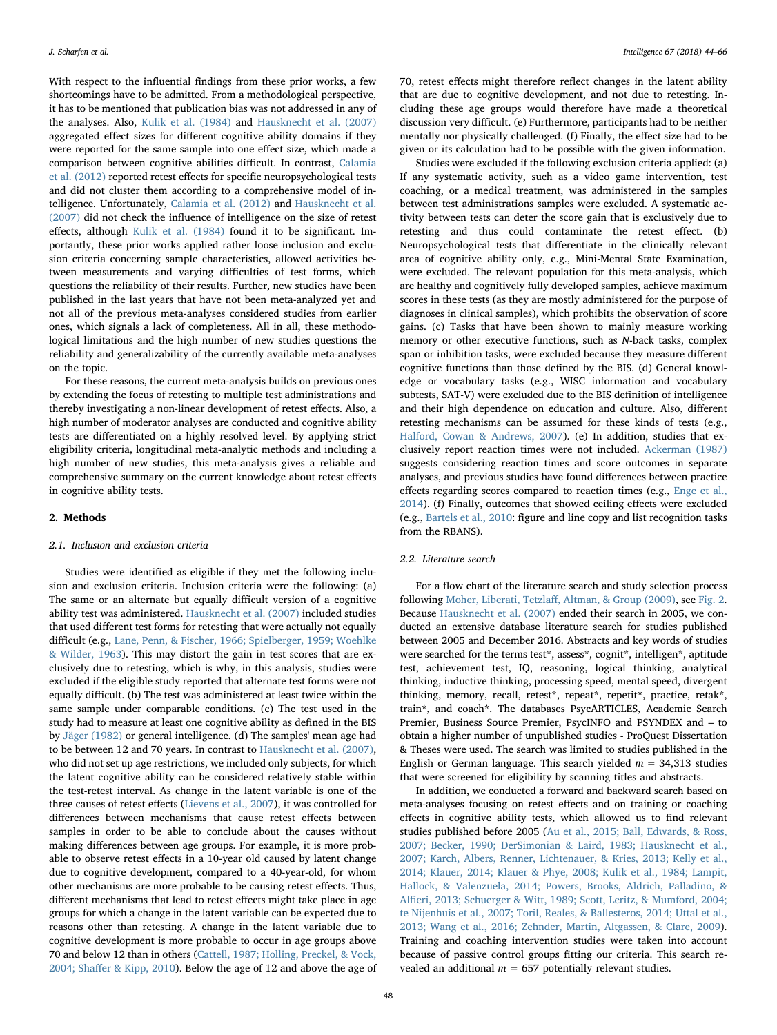With respect to the influential findings from these prior works, a few shortcomings have to be admitted. From a methodological perspective, it has to be mentioned that publication bias was not addressed in any of the analyses. Also, [Kulik et al. \(1984\)](#page-21-1) and [Hausknecht et al. \(2007\)](#page-21-2) aggregated effect sizes for different cognitive ability domains if they were reported for the same sample into one effect size, which made a comparison between cognitive abilities difficult. In contrast, [Calamia](#page-20-1) [et al. \(2012\)](#page-20-1) reported retest effects for specific neuropsychological tests and did not cluster them according to a comprehensive model of intelligence. Unfortunately, [Calamia et al. \(2012\)](#page-20-1) and [Hausknecht et al.](#page-21-2) [\(2007\)](#page-21-2) did not check the influence of intelligence on the size of retest effects, although [Kulik et al. \(1984\)](#page-21-1) found it to be significant. Importantly, these prior works applied rather loose inclusion and exclusion criteria concerning sample characteristics, allowed activities between measurements and varying difficulties of test forms, which questions the reliability of their results. Further, new studies have been published in the last years that have not been meta-analyzed yet and not all of the previous meta-analyses considered studies from earlier ones, which signals a lack of completeness. All in all, these methodological limitations and the high number of new studies questions the reliability and generalizability of the currently available meta-analyses on the topic.

For these reasons, the current meta-analysis builds on previous ones by extending the focus of retesting to multiple test administrations and thereby investigating a non-linear development of retest effects. Also, a high number of moderator analyses are conducted and cognitive ability tests are differentiated on a highly resolved level. By applying strict eligibility criteria, longitudinal meta-analytic methods and including a high number of new studies, this meta-analysis gives a reliable and comprehensive summary on the current knowledge about retest effects in cognitive ability tests.

### 2. Methods

### 2.1. Inclusion and exclusion criteria

Studies were identified as eligible if they met the following inclusion and exclusion criteria. Inclusion criteria were the following: (a) The same or an alternate but equally difficult version of a cognitive ability test was administered. [Hausknecht et al. \(2007\)](#page-21-2) included studies that used different test forms for retesting that were actually not equally difficult (e.g., [Lane, Penn, & Fischer, 1966; Spielberger, 1959; Woehlke](#page-21-19) [& Wilder, 1963](#page-21-19)). This may distort the gain in test scores that are exclusively due to retesting, which is why, in this analysis, studies were excluded if the eligible study reported that alternate test forms were not equally difficult. (b) The test was administered at least twice within the same sample under comparable conditions. (c) The test used in the study had to measure at least one cognitive ability as defined in the BIS by Jäger [\(1982\)](#page-21-5) or general intelligence. (d) The samples' mean age had to be between 12 and 70 years. In contrast to [Hausknecht et al. \(2007\)](#page-21-2), who did not set up age restrictions, we included only subjects, for which the latent cognitive ability can be considered relatively stable within the test-retest interval. As change in the latent variable is one of the three causes of retest effects ([Lievens et al., 2007](#page-21-4)), it was controlled for differences between mechanisms that cause retest effects between samples in order to be able to conclude about the causes without making differences between age groups. For example, it is more probable to observe retest effects in a 10-year old caused by latent change due to cognitive development, compared to a 40-year-old, for whom other mechanisms are more probable to be causing retest effects. Thus, different mechanisms that lead to retest effects might take place in age groups for which a change in the latent variable can be expected due to reasons other than retesting. A change in the latent variable due to cognitive development is more probable to occur in age groups above 70 and below 12 than in others [\(Cattell, 1987; Holling, Preckel, & Vock,](#page-20-15) 2004; Shaff[er & Kipp, 2010](#page-20-15)). Below the age of 12 and above the age of 70, retest effects might therefore reflect changes in the latent ability that are due to cognitive development, and not due to retesting. Including these age groups would therefore have made a theoretical discussion very difficult. (e) Furthermore, participants had to be neither mentally nor physically challenged. (f) Finally, the effect size had to be given or its calculation had to be possible with the given information.

Studies were excluded if the following exclusion criteria applied: (a) If any systematic activity, such as a video game intervention, test coaching, or a medical treatment, was administered in the samples between test administrations samples were excluded. A systematic activity between tests can deter the score gain that is exclusively due to retesting and thus could contaminate the retest effect. (b) Neuropsychological tests that differentiate in the clinically relevant area of cognitive ability only, e.g., Mini-Mental State Examination, were excluded. The relevant population for this meta-analysis, which are healthy and cognitively fully developed samples, achieve maximum scores in these tests (as they are mostly administered for the purpose of diagnoses in clinical samples), which prohibits the observation of score gains. (c) Tasks that have been shown to mainly measure working memory or other executive functions, such as N-back tasks, complex span or inhibition tasks, were excluded because they measure different cognitive functions than those defined by the BIS. (d) General knowledge or vocabulary tasks (e.g., WISC information and vocabulary subtests, SAT-V) were excluded due to the BIS definition of intelligence and their high dependence on education and culture. Also, different retesting mechanisms can be assumed for these kinds of tests (e.g., [Halford, Cowan & Andrews, 2007\)](#page-21-20). (e) In addition, studies that exclusively report reaction times were not included. [Ackerman \(1987\)](#page-20-19) suggests considering reaction times and score outcomes in separate analyses, and previous studies have found differences between practice effects regarding scores compared to reaction times (e.g., [Enge et al.,](#page-20-20) [2014\)](#page-20-20). (f) Finally, outcomes that showed ceiling effects were excluded (e.g., [Bartels et al., 2010:](#page-20-2) figure and line copy and list recognition tasks from the RBANS).

### 2.2. Literature search

For a flow chart of the literature search and study selection process following Moher, Liberati, Tetzlaff[, Altman, & Group \(2009\)](#page-21-21), see [Fig. 2](#page-5-0). Because [Hausknecht et al. \(2007\)](#page-21-2) ended their search in 2005, we conducted an extensive database literature search for studies published between 2005 and December 2016. Abstracts and key words of studies were searched for the terms test\*, assess\*, cognit\*, intelligen\*, aptitude test, achievement test, IQ, reasoning, logical thinking, analytical thinking, inductive thinking, processing speed, mental speed, divergent thinking, memory, recall, retest\*, repeat\*, repetit\*, practice, retak\*, train\*, and coach\*. The databases PsycARTICLES, Academic Search Premier, Business Source Premier, PsycINFO and PSYNDEX and – to obtain a higher number of unpublished studies - ProQuest Dissertation & Theses were used. The search was limited to studies published in the English or German language. This search yielded  $m = 34,313$  studies that were screened for eligibility by scanning titles and abstracts.

In addition, we conducted a forward and backward search based on meta-analyses focusing on retest effects and on training or coaching effects in cognitive ability tests, which allowed us to find relevant studies published before 2005 [\(Au et al., 2015; Ball, Edwards, & Ross,](#page-20-21) [2007; Becker, 1990; DerSimonian & Laird, 1983; Hausknecht et al.,](#page-20-21) [2007; Karch, Albers, Renner, Lichtenauer, & Kries, 2013; Kelly et al.,](#page-20-21) [2014; Klauer, 2014; Klauer & Phye, 2008; Kulik et al., 1984; Lampit,](#page-20-21) [Hallock, & Valenzuela, 2014; Powers, Brooks, Aldrich, Palladino, &](#page-20-21) Alfi[eri, 2013; Schuerger & Witt, 1989; Scott, Leritz, & Mumford, 2004;](#page-20-21) [te Nijenhuis et al., 2007; Toril, Reales, & Ballesteros, 2014; Uttal et al.,](#page-20-21) [2013; Wang et al., 2016; Zehnder, Martin, Altgassen, & Clare, 2009](#page-20-21)). Training and coaching intervention studies were taken into account because of passive control groups fitting our criteria. This search revealed an additional  $m = 657$  potentially relevant studies.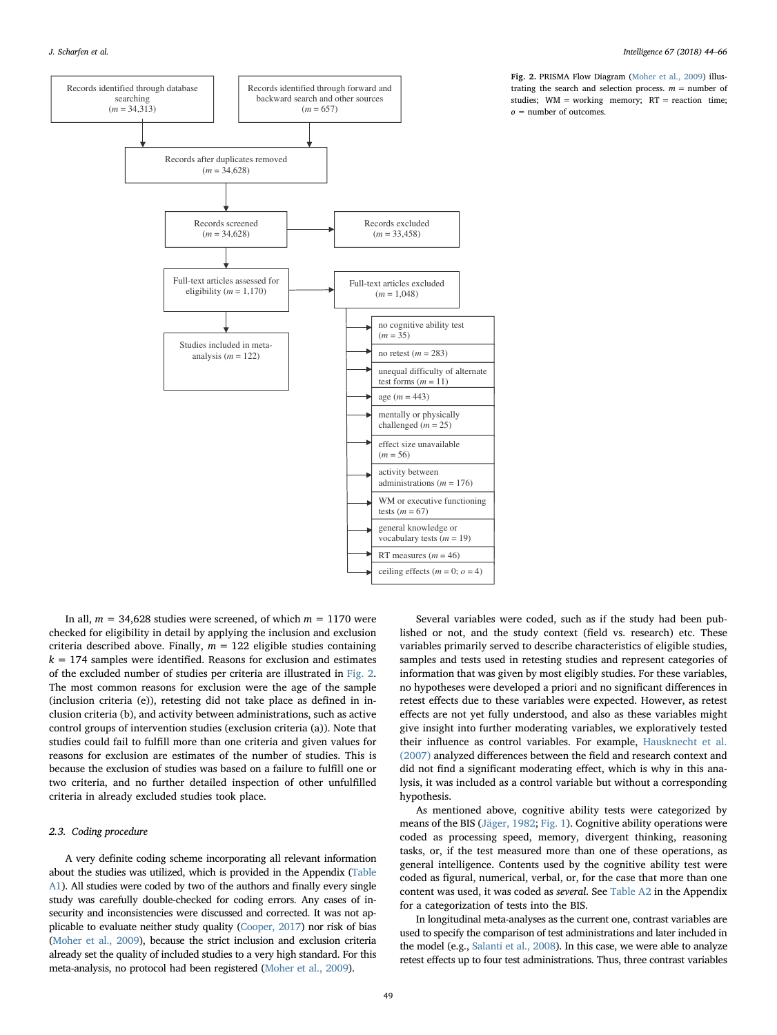<span id="page-5-0"></span>

Fig. 2. PRISMA Flow Diagram ([Moher et al., 2009\)](#page-21-21) illustrating the search and selection process.  $m =$  number of studies;  $WM = working$  memory;  $RT = reaction$  time;  $o =$  number of outcomes.

In all,  $m = 34,628$  studies were screened, of which  $m = 1170$  were checked for eligibility in detail by applying the inclusion and exclusion criteria described above. Finally,  $m = 122$  eligible studies containing  $k = 174$  samples were identified. Reasons for exclusion and estimates of the excluded number of studies per criteria are illustrated in [Fig. 2](#page-5-0). The most common reasons for exclusion were the age of the sample (inclusion criteria (e)), retesting did not take place as defined in inclusion criteria (b), and activity between administrations, such as active control groups of intervention studies (exclusion criteria (a)). Note that studies could fail to fulfill more than one criteria and given values for reasons for exclusion are estimates of the number of studies. This is because the exclusion of studies was based on a failure to fulfill one or two criteria, and no further detailed inspection of other unfulfilled criteria in already excluded studies took place.

### 2.3. Coding procedure

A very definite coding scheme incorporating all relevant information about the studies was utilized, which is provided in the Appendix ([Table](#page-16-0) [A1](#page-16-0)). All studies were coded by two of the authors and finally every single study was carefully double-checked for coding errors. Any cases of insecurity and inconsistencies were discussed and corrected. It was not applicable to evaluate neither study quality [\(Cooper, 2017\)](#page-20-22) nor risk of bias [\(Moher et al., 2009\)](#page-21-21), because the strict inclusion and exclusion criteria already set the quality of included studies to a very high standard. For this meta-analysis, no protocol had been registered [\(Moher et al., 2009](#page-21-21)).

Several variables were coded, such as if the study had been published or not, and the study context (field vs. research) etc. These variables primarily served to describe characteristics of eligible studies, samples and tests used in retesting studies and represent categories of information that was given by most eligibly studies. For these variables, no hypotheses were developed a priori and no significant differences in retest effects due to these variables were expected. However, as retest effects are not yet fully understood, and also as these variables might give insight into further moderating variables, we exploratively tested their influence as control variables. For example, [Hausknecht et al.](#page-21-2) [\(2007\)](#page-21-2) analyzed differences between the field and research context and did not find a significant moderating effect, which is why in this analysis, it was included as a control variable but without a corresponding hypothesis.

As mentioned above, cognitive ability tests were categorized by means of the BIS [\(Jäger, 1982;](#page-21-5) [Fig. 1](#page-2-0)). Cognitive ability operations were coded as processing speed, memory, divergent thinking, reasoning tasks, or, if the test measured more than one of these operations, as general intelligence. Contents used by the cognitive ability test were coded as figural, numerical, verbal, or, for the case that more than one content was used, it was coded as several. See [Table A2](#page-17-0) in the Appendix for a categorization of tests into the BIS.

In longitudinal meta-analyses as the current one, contrast variables are used to specify the comparison of test administrations and later included in the model (e.g., [Salanti et al., 2008\)](#page-22-8). In this case, we were able to analyze retest effects up to four test administrations. Thus, three contrast variables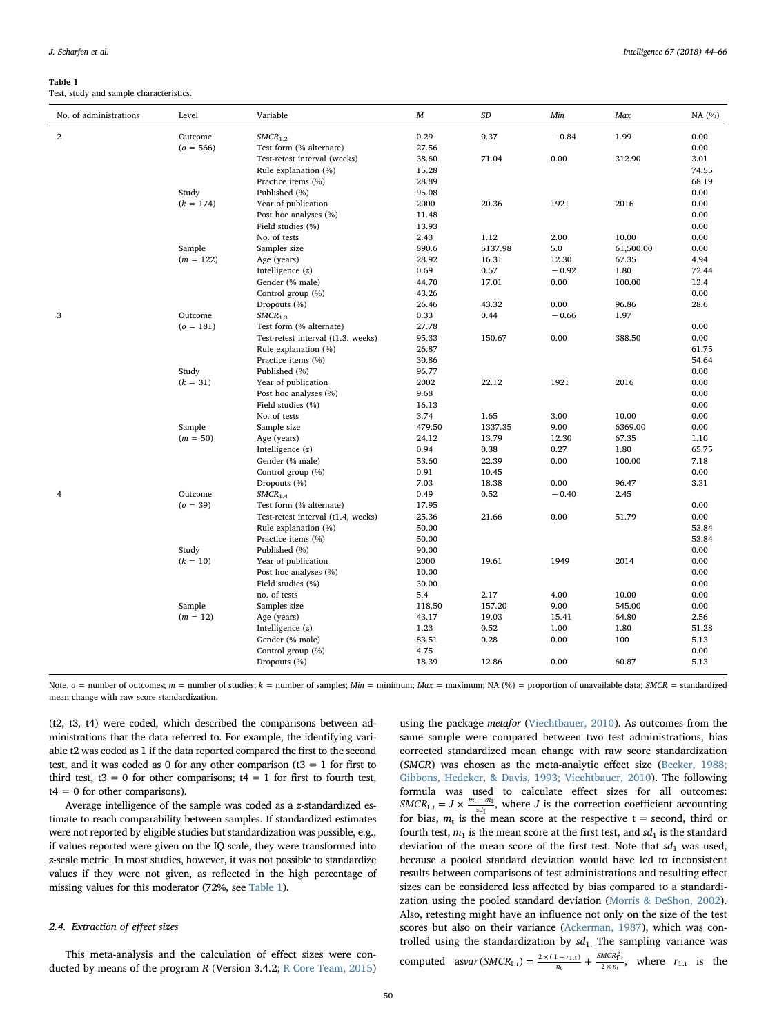#### <span id="page-6-0"></span>Table 1

Test, study and sample characteristics.

| No. of administrations | Level       | Variable                           | $\boldsymbol{M}$ | $\cal SD$ | Min     | Max       | NA (%) |
|------------------------|-------------|------------------------------------|------------------|-----------|---------|-----------|--------|
| $\mathbf{2}$           | Outcome     | $SMCR_{1.2}$                       | 0.29             | 0.37      | $-0.84$ | 1.99      | 0.00   |
|                        | $(o = 566)$ | Test form (% alternate)            | 27.56            |           |         |           | 0.00   |
|                        |             | Test-retest interval (weeks)       | 38.60            | 71.04     | 0.00    | 312.90    | 3.01   |
|                        |             | Rule explanation (%)               | 15.28            |           |         |           | 74.55  |
|                        |             | Practice items (%)                 | 28.89            |           |         |           | 68.19  |
|                        | Study       | Published (%)                      | 95.08            |           |         |           | 0.00   |
|                        | $(k = 174)$ | Year of publication                | 2000             | 20.36     | 1921    | 2016      | 0.00   |
|                        |             | Post hoc analyses (%)              | 11.48            |           |         |           | 0.00   |
|                        |             | Field studies (%)                  | 13.93            |           |         |           | 0.00   |
|                        |             | No. of tests                       | 2.43             | 1.12      | 2.00    | 10.00     | 0.00   |
|                        | Sample      | Samples size                       | 890.6            | 5137.98   | 5.0     | 61,500.00 | 0.00   |
|                        | $(m = 122)$ | Age (years)                        | 28.92            | 16.31     | 12.30   | 67.35     | 4.94   |
|                        |             | Intelligence $(z)$                 | 0.69             | 0.57      | $-0.92$ | 1.80      | 72.44  |
|                        |             | Gender (% male)                    | 44.70            | 17.01     | 0.00    | 100.00    | 13.4   |
|                        |             | Control group (%)                  | 43.26            |           |         |           | 0.00   |
|                        |             | Dropouts (%)                       | 26.46            | 43.32     | 0.00    | 96.86     | 28.6   |
| 3                      | Outcome     | $SMCR_{1.3}$                       | 0.33             | 0.44      | $-0.66$ | 1.97      |        |
|                        | $(o = 181)$ | Test form (% alternate)            | 27.78            |           |         |           | 0.00   |
|                        |             | Test-retest interval (t1.3, weeks) | 95.33            | 150.67    | 0.00    | 388.50    | 0.00   |
|                        |             | Rule explanation (%)               | 26.87            |           |         |           | 61.75  |
|                        |             | Practice items (%)                 | 30.86            |           |         |           | 54.64  |
|                        | Study       | Published (%)                      | 96.77            |           |         |           | 0.00   |
|                        | $(k = 31)$  | Year of publication                | 2002             | 22.12     | 1921    | 2016      | 0.00   |
|                        |             | Post hoc analyses (%)              | 9.68             |           |         |           | 0.00   |
|                        |             | Field studies (%)                  | 16.13            |           |         |           | 0.00   |
|                        |             | No. of tests                       | 3.74             | 1.65      | 3.00    | 10.00     | 0.00   |
|                        | Sample      | Sample size                        | 479.50           | 1337.35   | 9.00    | 6369.00   | 0.00   |
|                        | $(m = 50)$  | Age (years)                        | 24.12            | 13.79     | 12.30   | 67.35     | 1.10   |
|                        |             | Intelligence $(z)$                 | 0.94             | 0.38      | 0.27    | 1.80      | 65.75  |
|                        |             | Gender (% male)                    | 53.60            | 22.39     | 0.00    | 100.00    | 7.18   |
|                        |             | Control group (%)                  | 0.91             | 10.45     |         |           | 0.00   |
|                        |             | Dropouts (%)                       | 7.03             | 18.38     | 0.00    | 96.47     | 3.31   |
| 4                      | Outcome     | SMCR <sub>1.4</sub>                | 0.49             | 0.52      | $-0.40$ | 2.45      |        |
|                        | $(o = 39)$  | Test form (% alternate)            | 17.95            |           |         |           | 0.00   |
|                        |             | Test-retest interval (t1.4, weeks) | 25.36            | 21.66     | 0.00    | 51.79     | 0.00   |
|                        |             | Rule explanation (%)               | 50.00            |           |         |           | 53.84  |
|                        |             | Practice items (%)                 | 50.00            |           |         |           | 53.84  |
|                        | Study       | Published (%)                      | 90.00            |           |         |           | 0.00   |
|                        | $(k = 10)$  | Year of publication                | 2000             | 19.61     | 1949    | 2014      | 0.00   |
|                        |             | Post hoc analyses (%)              | 10.00            |           |         |           | 0.00   |
|                        |             | Field studies (%)                  | 30.00            |           |         |           | 0.00   |
|                        |             | no. of tests                       | 5.4              | 2.17      | 4.00    | 10.00     | 0.00   |
|                        | Sample      | Samples size                       | 118.50           | 157.20    | 9.00    | 545.00    | 0.00   |
|                        | $(m = 12)$  | Age (years)                        | 43.17            | 19.03     | 15.41   | 64.80     | 2.56   |
|                        |             | Intelligence $(z)$                 | 1.23             | 0.52      | 1.00    | 1.80      | 51.28  |
|                        |             | Gender (% male)                    | 83.51            | 0.28      | 0.00    | 100       | 5.13   |
|                        |             | Control group (%)                  | 4.75             |           |         |           | 0.00   |
|                        |             | Dropouts (%)                       | 18.39            | 12.86     | 0.00    | 60.87     | 5.13   |

Note.  $o =$  number of outcomes;  $m =$  number of studies;  $k =$  number of samples;  $Min =$  minimum;  $Max =$  maximum; NA (%) = proportion of unavailable data; SMCR = standardized mean change with raw score standardization.

(t2, t3, t4) were coded, which described the comparisons between administrations that the data referred to. For example, the identifying variable t2 was coded as 1 if the data reported compared the first to the second test, and it was coded as 0 for any other comparison ( $t3 = 1$  for first to third test,  $t3 = 0$  for other comparisons;  $t4 = 1$  for first to fourth test,  $t4 = 0$  for other comparisons).

Average intelligence of the sample was coded as a z-standardized estimate to reach comparability between samples. If standardized estimates were not reported by eligible studies but standardization was possible, e.g., if values reported were given on the IQ scale, they were transformed into z-scale metric. In most studies, however, it was not possible to standardize values if they were not given, as reflected in the high percentage of missing values for this moderator (72%, see [Table 1\)](#page-6-0).

### 2.4. Extraction of effect sizes

This meta-analysis and the calculation of effect sizes were conducted by means of the program R (Version 3.4.2; [R Core Team, 2015\)](#page-22-9) using the package metafor [\(Viechtbauer, 2010](#page-22-10)). As outcomes from the same sample were compared between two test administrations, bias corrected standardized mean change with raw score standardization (SMCR) was chosen as the meta-analytic effect size [\(Becker, 1988;](#page-20-23) [Gibbons, Hedeker, & Davis, 1993; Viechtbauer, 2010](#page-20-23)). The following formula was used to calculate effect sizes for all outcomes:  $SMCR_{1,t} = J \times \frac{m_t - m_1}{sd_1}$ , where *J* is the correction coefficient accounting for bias,  $m_t$  is the mean score at the respective  $t =$  second, third or fourth test,  $m_1$  is the mean score at the first test, and  $sd_1$  is the standard deviation of the mean score of the first test. Note that  $sd_1$  was used, because a pooled standard deviation would have led to inconsistent results between comparisons of test administrations and resulting effect sizes can be considered less affected by bias compared to a standardization using the pooled standard deviation [\(Morris & DeShon, 2002](#page-21-22)). Also, retesting might have an influence not only on the size of the test scores but also on their variance ([Ackerman, 1987](#page-20-19)), which was controlled using the standardization by  $sd_1$ . The sampling variance was computed asvar  $(SMCR_{1,t}) = \frac{2 \times (1 - r_{1,t})}{n_t} + \frac{SMC_{1,t}}{2 \times n_t}$  $S_{1,t}$ ) =  $\frac{2 \times (1 - r_{1,t})}{n_t} + \frac{SMCR_{1,t}^2}{2 \times n_t}$ , where  $r_{1,t}$  is the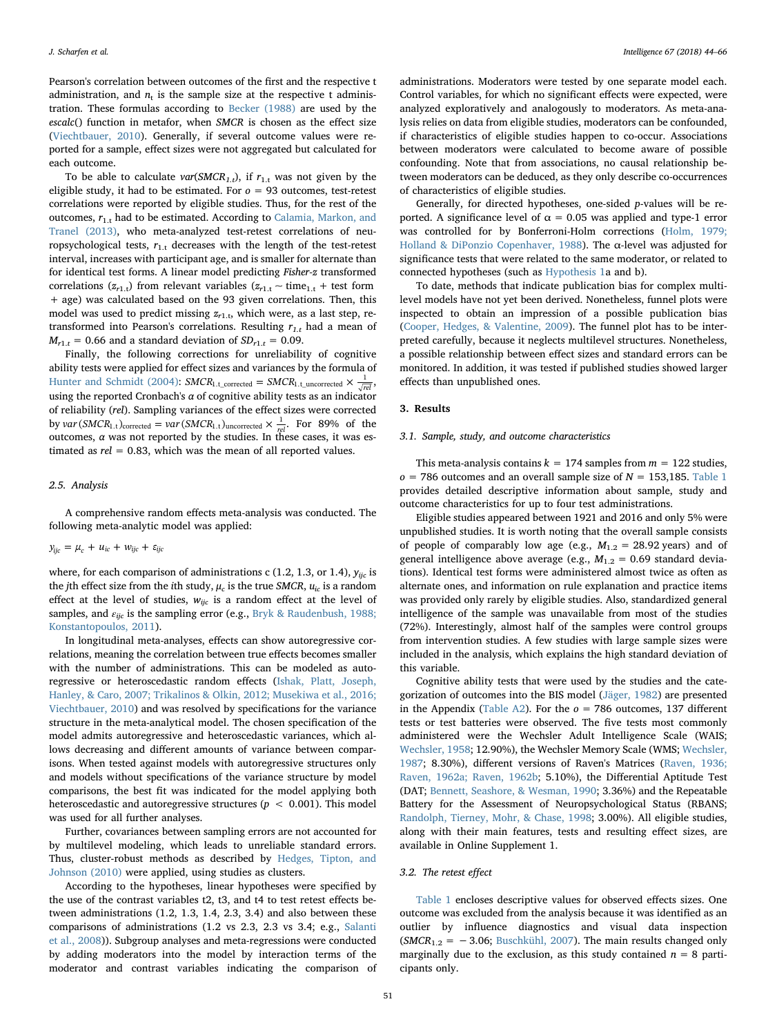Pearson's correlation between outcomes of the first and the respective t administration, and  $n_t$  is the sample size at the respective t administration. These formulas according to [Becker \(1988\)](#page-20-23) are used by the escalc() function in metafor, when SMCR is chosen as the effect size ([Viechtbauer, 2010\)](#page-22-10). Generally, if several outcome values were reported for a sample, effect sizes were not aggregated but calculated for each outcome.

To be able to calculate  $var(SMCR_{1,t})$ , if  $r_{1,t}$  was not given by the eligible study, it had to be estimated. For  $o = 93$  outcomes, test-retest correlations were reported by eligible studies. Thus, for the rest of the outcomes,  $r_{1,t}$  had to be estimated. According to [Calamia, Markon, and](#page-20-24) [Tranel \(2013\),](#page-20-24) who meta-analyzed test-retest correlations of neuropsychological tests,  $r_{1,t}$  decreases with the length of the test-retest interval, increases with participant age, and is smaller for alternate than for identical test forms. A linear model predicting Fisher-z transformed correlations ( $z_{r1,t}$ ) from relevant variables ( $z_{r1,t} \sim \text{time}_{1,t}$  + test form + age) was calculated based on the 93 given correlations. Then, this model was used to predict missing  $z_{r1,t}$ , which were, as a last step, retransformed into Pearson's correlations. Resulting  $r_{1,t}$  had a mean of  $M_{r1,t}$  = 0.66 and a standard deviation of  $SD_{r1,t}$  = 0.09.

Finally, the following corrections for unreliability of cognitive ability tests were applied for effect sizes and variances by the formula of [Hunter and Schmidt \(2004\):](#page-21-23) *SMCR*<sub>1.t\_corrected</sub> = *SMCR*<sub>1.t\_uncorrected  $\times \frac{1}{\sqrt{rel}}$ ,</sub> using the reported Cronbach's  $\alpha$  of cognitive ability tests as an indicator of reliability (rel). Sampling variances of the effect sizes were corrected by *var*  $(SMCR_{1,t})_{\text{corrected}} = var(SMCR_{1,t})_{\text{uncorrected}} \times \frac{1}{rel}$ . For 89% of the outcomes,  $\alpha$  was not reported by the studies. In these cases, it was estimated as  $rel = 0.83$ , which was the mean of all reported values.

#### 2.5. Analysis

A comprehensive random effects meta-analysis was conducted. The following meta-analytic model was applied:

$$
y_{ijc} = \mu_c + u_{ic} + w_{ijc} + \varepsilon_{ijc}
$$

where, for each comparison of administrations c (1.2, 1.3, or 1.4),  $y_{\text{ric}}$  is the jth effect size from the ith study,  $\mu_c$  is the true SMCR,  $u_{ic}$  is a random effect at the level of studies,  $w_{ijc}$  is a random effect at the level of samples, and  $\varepsilon_{ijc}$  is the sampling error (e.g., [Bryk & Raudenbush, 1988;](#page-20-25) [Konstantopoulos, 2011](#page-20-25)).

In longitudinal meta-analyses, effects can show autoregressive correlations, meaning the correlation between true effects becomes smaller with the number of administrations. This can be modeled as autoregressive or heteroscedastic random effects [\(Ishak, Platt, Joseph,](#page-21-24) [Hanley, & Caro, 2007; Trikalinos & Olkin, 2012; Musekiwa et al., 2016;](#page-21-24) [Viechtbauer, 2010\)](#page-21-24) and was resolved by specifications for the variance structure in the meta-analytical model. The chosen specification of the model admits autoregressive and heteroscedastic variances, which allows decreasing and different amounts of variance between comparisons. When tested against models with autoregressive structures only and models without specifications of the variance structure by model comparisons, the best fit was indicated for the model applying both heteroscedastic and autoregressive structures ( $p < 0.001$ ). This model was used for all further analyses.

Further, covariances between sampling errors are not accounted for by multilevel modeling, which leads to unreliable standard errors. Thus, cluster-robust methods as described by [Hedges, Tipton, and](#page-21-25) [Johnson \(2010\)](#page-21-25) were applied, using studies as clusters.

According to the hypotheses, linear hypotheses were specified by the use of the contrast variables t2, t3, and t4 to test retest effects between administrations (1.2, 1.3, 1.4, 2.3, 3.4) and also between these comparisons of administrations (1.2 vs 2.3, 2.3 vs 3.4; e.g., [Salanti](#page-22-8) [et al., 2008\)](#page-22-8)). Subgroup analyses and meta-regressions were conducted by adding moderators into the model by interaction terms of the moderator and contrast variables indicating the comparison of

administrations. Moderators were tested by one separate model each. Control variables, for which no significant effects were expected, were analyzed exploratively and analogously to moderators. As meta-analysis relies on data from eligible studies, moderators can be confounded, if characteristics of eligible studies happen to co-occur. Associations between moderators were calculated to become aware of possible confounding. Note that from associations, no causal relationship between moderators can be deduced, as they only describe co-occurrences of characteristics of eligible studies.

Generally, for directed hypotheses, one-sided p-values will be reported. A significance level of  $\alpha = 0.05$  was applied and type-1 error was controlled for by Bonferroni-Holm corrections [\(Holm, 1979;](#page-21-26) [Holland & DiPonzio Copenhaver, 1988](#page-21-26)). The  $\alpha$ -level was adjusted for significance tests that were related to the same moderator, or related to connected hypotheses (such as [Hypothesis 1](#page-1-0)a and b).

To date, methods that indicate publication bias for complex multilevel models have not yet been derived. Nonetheless, funnel plots were inspected to obtain an impression of a possible publication bias ([Cooper, Hedges, & Valentine, 2009\)](#page-20-26). The funnel plot has to be interpreted carefully, because it neglects multilevel structures. Nonetheless, a possible relationship between effect sizes and standard errors can be monitored. In addition, it was tested if published studies showed larger effects than unpublished ones.

### 3. Results

### 3.1. Sample, study, and outcome characteristics

This meta-analysis contains  $k = 174$  samples from  $m = 122$  studies,  $o = 786$  outcomes and an overall sample size of  $N = 153,185$ . [Table 1](#page-6-0) provides detailed descriptive information about sample, study and outcome characteristics for up to four test administrations.

Eligible studies appeared between 1921 and 2016 and only 5% were unpublished studies. It is worth noting that the overall sample consists of people of comparably low age (e.g.,  $M_{1,2} = 28.92$  years) and of general intelligence above average (e.g.,  $M_{1,2} = 0.69$  standard deviations). Identical test forms were administered almost twice as often as alternate ones, and information on rule explanation and practice items was provided only rarely by eligible studies. Also, standardized general intelligence of the sample was unavailable from most of the studies (72%). Interestingly, almost half of the samples were control groups from intervention studies. A few studies with large sample sizes were included in the analysis, which explains the high standard deviation of this variable.

Cognitive ability tests that were used by the studies and the categorization of outcomes into the BIS model [\(Jäger, 1982](#page-21-5)) are presented in the Appendix [\(Table A2\)](#page-17-0). For the  $o = 786$  outcomes, 137 different tests or test batteries were observed. The five tests most commonly administered were the Wechsler Adult Intelligence Scale (WAIS; [Wechsler, 1958;](#page-22-11) 12.90%), the Wechsler Memory Scale (WMS; [Wechsler,](#page-22-12) [1987;](#page-22-12) 8.30%), different versions of Raven's Matrices [\(Raven, 1936;](#page-22-13) [Raven, 1962a; Raven, 1962b;](#page-22-13) 5.10%), the Differential Aptitude Test (DAT; [Bennett, Seashore, & Wesman, 1990](#page-20-27); 3.36%) and the Repeatable Battery for the Assessment of Neuropsychological Status (RBANS; [Randolph, Tierney, Mohr, & Chase, 1998;](#page-22-14) 3.00%). All eligible studies, along with their main features, tests and resulting effect sizes, are available in Online Supplement 1.

### 3.2. The retest effect

[Table 1](#page-6-0) encloses descriptive values for observed effects sizes. One outcome was excluded from the analysis because it was identified as an outlier by influence diagnostics and visual data inspection  $(SMCR_{1,2} = -3.06; Buschkühl, 2007)$  $(SMCR_{1,2} = -3.06; Buschkühl, 2007)$ . The main results changed only marginally due to the exclusion, as this study contained  $n = 8$  participants only.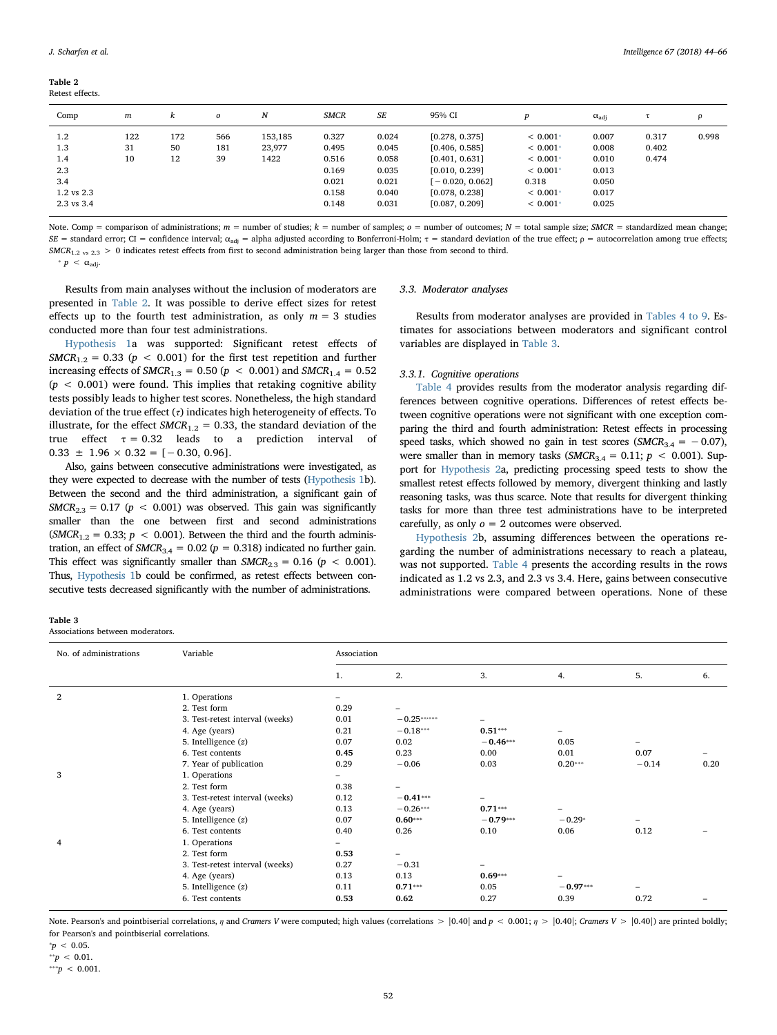<span id="page-8-0"></span>

| Table 2 |                 |
|---------|-----------------|
|         | Retest effects. |

| Comp           | $\boldsymbol{m}$ | k   | $\boldsymbol{o}$ | N       | <b>SMCR</b> | SE    | 95% CI          |            | $\alpha_{\text{adi}}$ |       | $\Omega$ |
|----------------|------------------|-----|------------------|---------|-------------|-------|-----------------|------------|-----------------------|-------|----------|
| 1.2            | 122              | 172 | 566              | 153,185 | 0.327       | 0.024 | [0.278, 0.375]  | $< 0.001*$ | 0.007                 | 0.317 | 0.998    |
| 1.3            | 31               | 50  | 181              | 23,977  | 0.495       | 0.045 | [0.406, 0.585]  | $< 0.001*$ | 0.008                 | 0.402 |          |
| 1.4            | 10               | 12  | 39               | 1422    | 0.516       | 0.058 | [0.401, 0.631]  | $< 0.001*$ | 0.010                 | 0.474 |          |
| 2.3            |                  |     |                  |         | 0.169       | 0.035 | [0.010, 0.239]  | $< 0.001*$ | 0.013                 |       |          |
| 3.4            |                  |     |                  |         | 0.021       | 0.021 | $-0.020, 0.062$ | 0.318      | 0.050                 |       |          |
| $1.2$ vs $2.3$ |                  |     |                  |         | 0.158       | 0.040 | [0.078, 0.238]  | $< 0.001*$ | 0.017                 |       |          |
| 2.3 vs 3.4     |                  |     |                  |         | 0.148       | 0.031 | [0.087, 0.209]  | $< 0.001*$ | 0.025                 |       |          |

Note. Comp = comparison of administrations;  $m =$  number of studies;  $k =$  number of samples;  $o =$  number of outcomes;  $N =$  total sample size; SMCR = standardized mean change; SE = standard error; CI = confidence interval; α<sub>adi</sub> = alpha adjusted according to Bonferroni-Holm; τ = standard deviation of the true effect; ρ = autocorrelation among true effects;  $SMCR_{1.2 \text{ vs } 2.3} > 0$  indicates retest effects from first to second administration being larger than those from second to third.

<span id="page-8-2"></span> $* p < \alpha_{\text{adi}}$ 

Results from main analyses without the inclusion of moderators are presented in [Table 2](#page-8-0). It was possible to derive effect sizes for retest effects up to the fourth test administration, as only  $m = 3$  studies conducted more than four test administrations.

[Hypothesis 1](#page-1-0)a was supported: Significant retest effects of  $SMCR_{1,2} = 0.33$  ( $p < 0.001$ ) for the first test repetition and further increasing effects of  $SMCR_{1,3} = 0.50$  ( $p < 0.001$ ) and  $SMCR_{1,4} = 0.52$  $(p < 0.001)$  were found. This implies that retaking cognitive ability tests possibly leads to higher test scores. Nonetheless, the high standard deviation of the true effect  $(\tau)$  indicates high heterogeneity of effects. To illustrate, for the effect  $SMCR_{1.2} = 0.33$ , the standard deviation of the true effect  $\tau = 0.32$  leads to a prediction interval of  $0.33 \pm 1.96 \times 0.32 = [-0.30, 0.96].$ 

Also, gains between consecutive administrations were investigated, as they were expected to decrease with the number of tests [\(Hypothesis 1](#page-1-0)b). Between the second and the third administration, a significant gain of  $SMCR_{2,3} = 0.17$  ( $p < 0.001$ ) was observed. This gain was significantly smaller than the one between first and second administrations  $(SMCR_{1,2} = 0.33; p < 0.001)$ . Between the third and the fourth administration, an effect of  $SMCR_{3.4} = 0.02$  ( $p = 0.318$ ) indicated no further gain. This effect was significantly smaller than  $SMCR_{2,3} = 0.16$  ( $p < 0.001$ ). Thus, [Hypothesis 1b](#page-1-0) could be confirmed, as retest effects between consecutive tests decreased significantly with the number of administrations.

|  | 3.3. Moderator analyses |  |
|--|-------------------------|--|
|--|-------------------------|--|

Results from moderator analyses are provided in [Tables 4 to 9](#page-9-0). Estimates for associations between moderators and significant control variables are displayed in [Table 3](#page-8-1).

### 3.3.1. Cognitive operations

[Table 4](#page-9-0) provides results from the moderator analysis regarding differences between cognitive operations. Differences of retest effects between cognitive operations were not significant with one exception comparing the third and fourth administration: Retest effects in processing speed tasks, which showed no gain in test scores ( $SMCR_{3.4} = -0.07$ ), were smaller than in memory tasks ( $SMCR_{3.4} = 0.11$ ;  $p < 0.001$ ). Support for [Hypothesis 2](#page-3-0)a, predicting processing speed tests to show the smallest retest effects followed by memory, divergent thinking and lastly reasoning tasks, was thus scarce. Note that results for divergent thinking tasks for more than three test administrations have to be interpreted carefully, as only  $o = 2$  outcomes were observed.

[Hypothesis 2b](#page-3-0), assuming differences between the operations regarding the number of administrations necessary to reach a plateau, was not supported. [Table 4](#page-9-0) presents the according results in the rows indicated as 1.2 vs 2.3, and 2.3 vs 3.4. Here, gains between consecutive administrations were compared between operations. None of these

<span id="page-8-1"></span>

| Table 3                         |  |
|---------------------------------|--|
| Associations between moderators |  |

No. of administrations Variable Association 1. 2. 3. 4. 5. 6. 2 1. Operations 2. Test form  $0.29$  –<br>3. Test-retest interval (weeks)  $0.01$  –  $0.25***$ 3. Test-retest interval (weeks)  $0.01 -0.25$ <br>\*\*\*\*\*  $-$ <br>4. Age (years)  $0.21 -0.18$ <br>\*\*\*  $0.51$ <br>\*\*\*  $0.51$ 4. Age (years)  $0.21 -0.18***$   $0.51***$  –  $0.05***$  –  $0.05***$  –  $0.05***$  – 0.05 5. Intelligence  $(z)$ 6. Test contents **0.45** 0.23 0.00 0.01 0.07 – 7. Year of publication 0.29 −0.06 0.03 0.20  $+0.29$  −0.14 0.20 3 1. Operations – 2. Test form  $0.38$  –<br>3. Test-retest interval (weeks)  $0.12$  –  $0.41***$ 3. Test-retest interval (weeks) 4. Age (years)  $0.13 -0.26***$   $0.71***$ <br>
5. Intelligence (z)  $0.07$   $0.60***$   $0.79***$   $-0.79***$   $-0.29***$ 5. Intelligence  $(z)$ 6. Test contents 0.40 0.26 0.10 0.06 0.12 – 4 1. Operations  $\overline{a}$  -  $\overline{a}$  -  $\overline{a}$  -  $\overline{a}$  -  $\overline{a}$  -  $\overline{a}$  -  $\overline{a}$  -  $\overline{a}$  -  $\overline{a}$  -  $\overline{a}$  -  $\overline{a}$  -  $\overline{a}$  -  $\overline{a}$  -  $\overline{a}$  -  $\overline{a}$  -  $\overline{a}$  -  $\overline{a}$  -  $\overline{a}$  -  $\overline{a}$ 2. Test form 3. Test-retest interval (weeks)  $0.27 -0.31 -$ <br>4. Age (years)  $0.13$  0.13 0.69<sup>\*\*\*</sup> 4. Age (years)  $0.13$  0.13  $0.69***$  –<br>5. Intelligence (z)  $0.11$  0.71…  $0.70***$  0.05 – 0.97 5. Intelligence (z)  $0.11$   $0.71***$   $0.05$ 6. Test contents **0.53** 0.62 0.27 0.39 0.72 –

Note. Pearson's and pointbiserial correlations,  $\eta$  and Cramers V were computed; high values (correlations  $>$  |0.40| and  $p < 0.001$ ;  $\eta >$  |0.40|; Cramers V  $>$  |0.40|) are printed boldly; for Pearson's and pointbiserial correlations.

 $p < 0.05$ .

 $*$  ≠  $p$  < 0.01.

\*\*\*p < 0.001.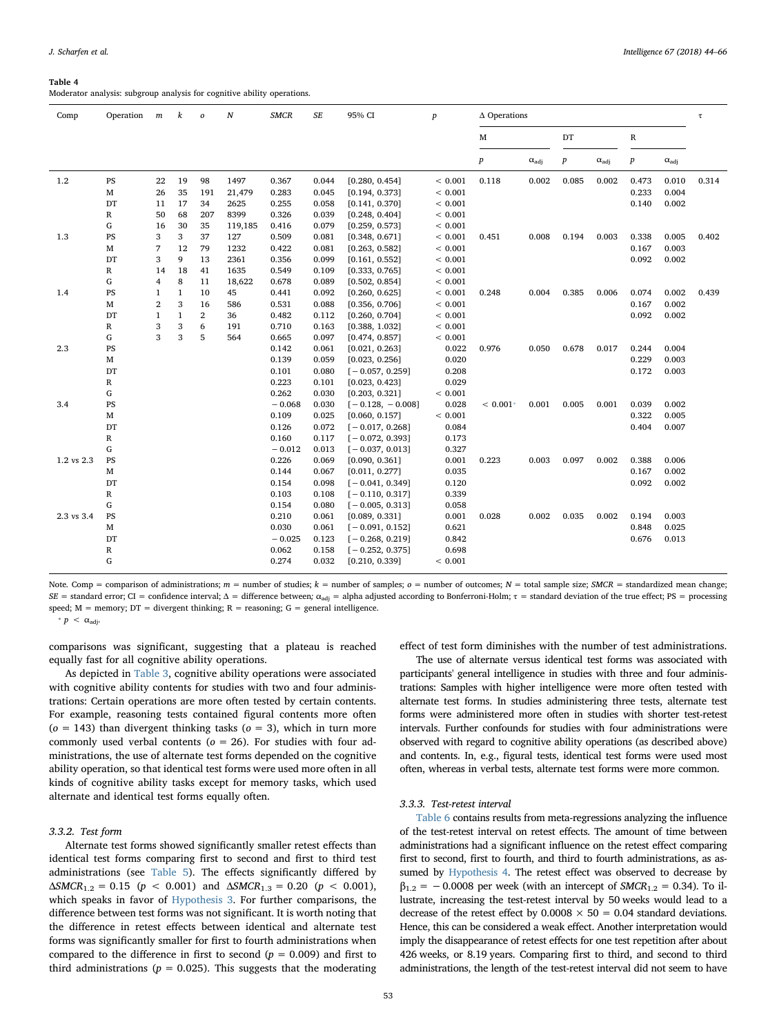#### <span id="page-9-0"></span>Table 4

Moderator analysis: subgroup analysis for cognitive ability operations.

| Comp       | Operation              | m              | k            | $\boldsymbol{o}$ | N       | $S\!E$<br><b>SMCR</b><br>95% CI<br>$\Delta$ Operations<br>$\boldsymbol{p}$ |       |                    |             |                  |                       | $\tau$           |                       |             |                       |       |
|------------|------------------------|----------------|--------------|------------------|---------|----------------------------------------------------------------------------|-------|--------------------|-------------|------------------|-----------------------|------------------|-----------------------|-------------|-----------------------|-------|
|            |                        |                |              |                  |         |                                                                            |       |                    |             | М                |                       | DT               |                       | $\mathbb R$ |                       |       |
|            |                        |                |              |                  |         |                                                                            |       |                    |             | $\boldsymbol{p}$ | $\alpha_{\text{adj}}$ | $\boldsymbol{p}$ | $\alpha_{\text{adj}}$ | p           | $\alpha_{\text{adj}}$ |       |
| $1.2\,$    | $\mathbf{P}\mathbf{S}$ | 22             | 19           | 98               | 1497    | 0.367                                                                      | 0.044 | [0.280, 0.454]     | < 0.001     | 0.118            | 0.002                 | 0.085            | 0.002                 | 0.473       | 0.010                 | 0.314 |
|            | $\mathbf M$            | 26             | 35           | 191              | 21,479  | 0.283                                                                      | 0.045 | [0.194, 0.373]     | ${}< 0.001$ |                  |                       |                  |                       | 0.233       | 0.004                 |       |
|            | DT                     | 11             | 17           | 34               | 2625    | 0.255                                                                      | 0.058 | [0.141, 0.370]     | < 0.001     |                  |                       |                  |                       | 0.140       | 0.002                 |       |
|            | $\mathbb R$            | 50             | 68           | 207              | 8399    | 0.326                                                                      | 0.039 | [0.248, 0.404]     | < 0.001     |                  |                       |                  |                       |             |                       |       |
|            | G                      | 16             | 30           | 35               | 119,185 | 0.416                                                                      | 0.079 | [0.259, 0.573]     | < 0.001     |                  |                       |                  |                       |             |                       |       |
| 1.3        | PS                     | 3              | 3            | 37               | 127     | 0.509                                                                      | 0.081 | [0.348, 0.671]     | < 0.001     | 0.451            | 0.008                 | 0.194            | 0.003                 | 0.338       | 0.005                 | 0.402 |
|            | $\mathbf M$            | 7              | 12           | 79               | 1232    | 0.422                                                                      | 0.081 | [0.263, 0.582]     | < 0.001     |                  |                       |                  |                       | 0.167       | 0.003                 |       |
|            | DT                     | 3              | 9            | 13               | 2361    | 0.356                                                                      | 0.099 | [0.161, 0.552]     | < 0.001     |                  |                       |                  |                       | 0.092       | 0.002                 |       |
|            | $\mathbb{R}$           | 14             | 18           | 41               | 1635    | 0.549                                                                      | 0.109 | [0.333, 0.765]     | < 0.001     |                  |                       |                  |                       |             |                       |       |
|            | G                      | $\overline{4}$ | 8            | 11               | 18,622  | 0.678                                                                      | 0.089 | [0.502, 0.854]     | < 0.001     |                  |                       |                  |                       |             |                       |       |
| 1.4        | PS                     | $\mathbf{1}$   | $\mathbf{1}$ | 10               | 45      | 0.441                                                                      | 0.092 | [0.260, 0.625]     | < 0.001     | 0.248            | 0.004                 | 0.385            | 0.006                 | 0.074       | 0.002                 | 0.439 |
|            | $\mathbf M$            | $\overline{2}$ | 3            | 16               | 586     | 0.531                                                                      | 0.088 | [0.356, 0.706]     | < 0.001     |                  |                       |                  |                       | 0.167       | 0.002                 |       |
|            | DT                     | $\mathbf{1}$   | $\mathbf{1}$ | $\overline{2}$   | 36      | 0.482                                                                      | 0.112 | [0.260, 0.704]     | < 0.001     |                  |                       |                  |                       | 0.092       | 0.002                 |       |
|            | $\mathbb R$            | 3              | 3            | 6                | 191     | 0.710                                                                      | 0.163 | [0.388, 1.032]     | < 0.001     |                  |                       |                  |                       |             |                       |       |
|            | G                      | 3              | 3            | 5                | 564     | 0.665                                                                      | 0.097 | [0.474, 0.857]     | < 0.001     |                  |                       |                  |                       |             |                       |       |
| 2.3        | PS                     |                |              |                  |         | 0.142                                                                      | 0.061 | [0.021, 0.263]     | 0.022       | 0.976            | 0.050                 | 0.678            | 0.017                 | 0.244       | 0.004                 |       |
|            | $\mathbf M$            |                |              |                  |         | 0.139                                                                      | 0.059 | [0.023, 0.256]     | 0.020       |                  |                       |                  |                       | 0.229       | 0.003                 |       |
|            | DT                     |                |              |                  |         | 0.101                                                                      | 0.080 | $[-0.057, 0.259]$  | 0.208       |                  |                       |                  |                       | 0.172       | 0.003                 |       |
|            | R                      |                |              |                  |         | 0.223                                                                      | 0.101 | [0.023, 0.423]     | 0.029       |                  |                       |                  |                       |             |                       |       |
|            | G                      |                |              |                  |         | 0.262                                                                      | 0.030 | [0.203, 0.321]     | < 0.001     |                  |                       |                  |                       |             |                       |       |
| 3.4        | PS                     |                |              |                  |         | $-0.068$                                                                   | 0.030 | $[-0.128, -0.008]$ | 0.028       | $< 0.001*$       | 0.001                 | 0.005            | 0.001                 | 0.039       | 0.002                 |       |
|            | $\mathbf M$            |                |              |                  |         | 0.109                                                                      | 0.025 | [0.060, 0.157]     | < 0.001     |                  |                       |                  |                       | 0.322       | 0.005                 |       |
|            | DT                     |                |              |                  |         | 0.126                                                                      | 0.072 | $[-0.017, 0.268]$  | 0.084       |                  |                       |                  |                       | 0.404       | 0.007                 |       |
|            | R                      |                |              |                  |         | 0.160                                                                      | 0.117 | $[-0.072, 0.393]$  | 0.173       |                  |                       |                  |                       |             |                       |       |
|            | G                      |                |              |                  |         | $-0.012$                                                                   | 0.013 | $[-0.037, 0.013]$  | 0.327       |                  |                       |                  |                       |             |                       |       |
| 1.2 vs 2.3 | PS                     |                |              |                  |         | 0.226                                                                      | 0.069 | [0.090, 0.361]     | 0.001       | 0.223            | 0.003                 | 0.097            | 0.002                 | 0.388       | 0.006                 |       |
|            | $\mathbf M$            |                |              |                  |         | 0.144                                                                      | 0.067 | [0.011, 0.277]     | 0.035       |                  |                       |                  |                       | 0.167       | 0.002                 |       |
|            | DT                     |                |              |                  |         | 0.154                                                                      | 0.098 | $[-0.041, 0.349]$  | 0.120       |                  |                       |                  |                       | 0.092       | 0.002                 |       |
|            | $\mathbb R$            |                |              |                  |         | 0.103                                                                      | 0.108 | $[-0.110, 0.317]$  | 0.339       |                  |                       |                  |                       |             |                       |       |
|            | G                      |                |              |                  |         | 0.154                                                                      | 0.080 | $[-0.005, 0.313]$  | 0.058       |                  |                       |                  |                       |             |                       |       |
| 2.3 vs 3.4 | PS                     |                |              |                  |         | 0.210                                                                      | 0.061 | [0.089, 0.331]     | 0.001       | 0.028            | 0.002                 | 0.035            | 0.002                 | 0.194       | 0.003                 |       |
|            | $\mathbf M$            |                |              |                  |         | 0.030                                                                      | 0.061 | $[-0.091, 0.152]$  | 0.621       |                  |                       |                  |                       | 0.848       | 0.025                 |       |
|            | DT                     |                |              |                  |         | $-0.025$                                                                   | 0.123 | $[-0.268, 0.219]$  | 0.842       |                  |                       |                  |                       | 0.676       | 0.013                 |       |
|            | R                      |                |              |                  |         | 0.062                                                                      | 0.158 | $[-0.252, 0.375]$  | 0.698       |                  |                       |                  |                       |             |                       |       |
|            | G                      |                |              |                  |         | 0.274                                                                      | 0.032 | [0.210, 0.339]     | < 0.001     |                  |                       |                  |                       |             |                       |       |
|            |                        |                |              |                  |         |                                                                            |       |                    |             |                  |                       |                  |                       |             |                       |       |

Note. Comp = comparison of administrations;  $m =$  number of studies;  $k =$  number of samples;  $o =$  number of outcomes;  $N =$  total sample size; SMCR = standardized mean change; SE = standard error; CI = confidence interval; Δ = difference between;  $\alpha_{\text{adj}}$  = alpha adjusted according to Bonferroni-Holm; τ = standard deviation of the true effect; PS = processing speed;  $M =$  memory;  $DT =$  divergent thinking;  $R =$  reasoning;  $G =$  general intelligence.

<span id="page-9-1"></span> $\ast p < \alpha_{\text{adi}}$ .

comparisons was significant, suggesting that a plateau is reached equally fast for all cognitive ability operations.

As depicted in [Table 3](#page-8-1), cognitive ability operations were associated with cognitive ability contents for studies with two and four administrations: Certain operations are more often tested by certain contents. For example, reasoning tests contained figural contents more often ( $o = 143$ ) than divergent thinking tasks ( $o = 3$ ), which in turn more commonly used verbal contents ( $o = 26$ ). For studies with four administrations, the use of alternate test forms depended on the cognitive ability operation, so that identical test forms were used more often in all kinds of cognitive ability tasks except for memory tasks, which used alternate and identical test forms equally often.

### 3.3.2. Test form

Alternate test forms showed significantly smaller retest effects than identical test forms comparing first to second and first to third test administrations (see [Table 5\)](#page-10-0). The effects significantly differed by  $\triangle S MCR_{1,2} = 0.15$  ( $p < 0.001$ ) and  $\triangle S MCR_{1,3} = 0.20$  ( $p < 0.001$ ), which speaks in favor of [Hypothesis 3.](#page-3-1) For further comparisons, the difference between test forms was not significant. It is worth noting that the difference in retest effects between identical and alternate test forms was significantly smaller for first to fourth administrations when compared to the difference in first to second ( $p = 0.009$ ) and first to third administrations ( $p = 0.025$ ). This suggests that the moderating

effect of test form diminishes with the number of test administrations.

The use of alternate versus identical test forms was associated with participants' general intelligence in studies with three and four administrations: Samples with higher intelligence were more often tested with alternate test forms. In studies administering three tests, alternate test forms were administered more often in studies with shorter test-retest intervals. Further confounds for studies with four administrations were observed with regard to cognitive ability operations (as described above) and contents. In, e.g., figural tests, identical test forms were used most often, whereas in verbal tests, alternate test forms were more common.

### 3.3.3. Test-retest interval

[Table 6](#page-10-1) contains results from meta-regressions analyzing the influence of the test-retest interval on retest effects. The amount of time between administrations had a significant influence on the retest effect comparing first to second, first to fourth, and third to fourth administrations, as assumed by [Hypothesis 4](#page-3-2). The retest effect was observed to decrease by  $\beta_{1,2} = -0.0008$  per week (with an intercept of *SMCR*<sub>1.2</sub> = 0.34). To illustrate, increasing the test-retest interval by 50 weeks would lead to a decrease of the retest effect by  $0.0008 \times 50 = 0.04$  standard deviations. Hence, this can be considered a weak effect. Another interpretation would imply the disappearance of retest effects for one test repetition after about 426 weeks, or 8.19 years. Comparing first to third, and second to third administrations, the length of the test-retest interval did not seem to have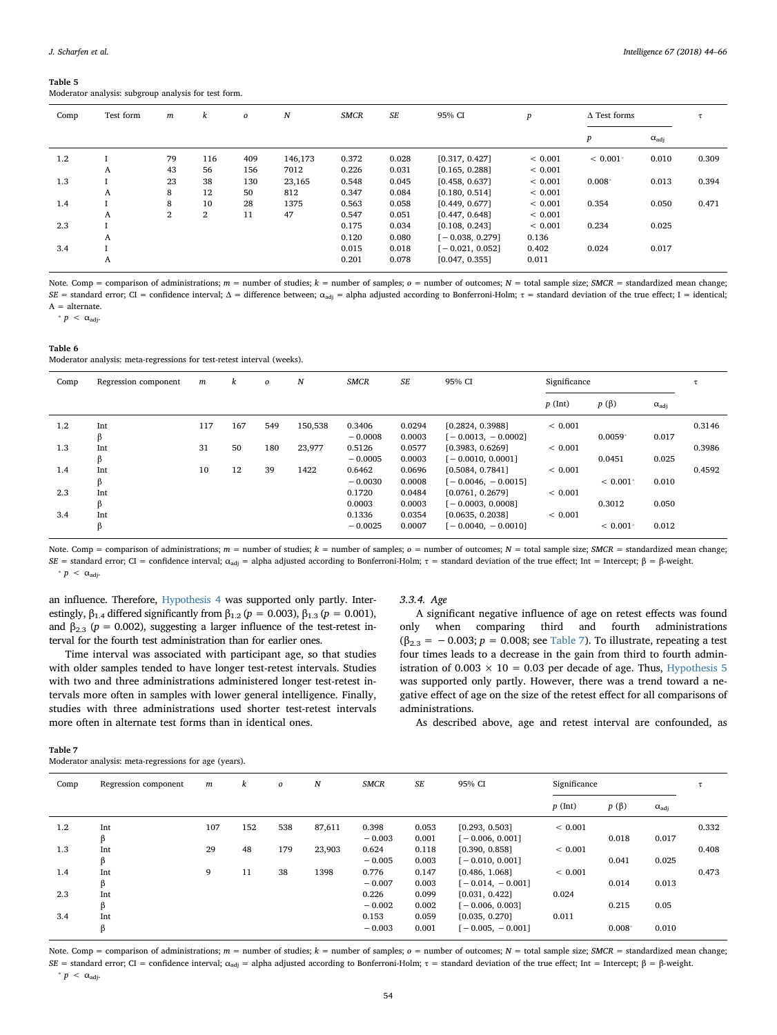#### <span id="page-10-0"></span>Table 5

Moderator analysis: subgroup analysis for test form.

| Comp | Test form | $\boldsymbol{m}$ | k              | $\boldsymbol{o}$ | $\boldsymbol{N}$ | <b>SMCR</b> | $S\!E$ | 95% CI            | $\boldsymbol{p}$ | $\Delta$ Test forms |                       |       |
|------|-----------|------------------|----------------|------------------|------------------|-------------|--------|-------------------|------------------|---------------------|-----------------------|-------|
|      |           |                  |                |                  |                  |             |        |                   |                  | $\boldsymbol{p}$    | $\alpha_{\text{adj}}$ |       |
| 1.2  |           | 79               | 116            | 409              | 146,173          | 0.372       | 0.028  | [0.317, 0.427]    | ${}< 0.001$      | $< 0.001*$          | 0.010                 | 0.309 |
|      | A         | 43               | 56             | 156              | 7012             | 0.226       | 0.031  | [0.165, 0.288]    | ${}< 0.001$      |                     |                       |       |
| 1.3  |           | 23               | 38             | 130              | 23,165           | 0.548       | 0.045  | [0.458, 0.637]    | ${}< 0.001$      | $0.008*$            | 0.013                 | 0.394 |
|      | A         | 8                | 12             | 50               | 812              | 0.347       | 0.084  | [0.180, 0.514]    | ${}< 0.001$      |                     |                       |       |
| 1.4  |           | 8                | 10             | 28               | 1375             | 0.563       | 0.058  | [0.449, 0.677]    | < 0.001          | 0.354               | 0.050                 | 0.471 |
|      | A         | $\overline{2}$   | $\overline{2}$ | 11               | 47               | 0.547       | 0.051  | [0.447, 0.648]    | ${}< 0.001$      |                     |                       |       |
| 2.3  |           |                  |                |                  |                  | 0.175       | 0.034  | [0.108, 0.243]    | ${}< 0.001$      | 0.234               | 0.025                 |       |
|      | A         |                  |                |                  |                  | 0.120       | 0.080  | $[-0.038, 0.279]$ | 0.136            |                     |                       |       |
| 3.4  |           |                  |                |                  |                  | 0.015       | 0.018  | $[-0.021, 0.052]$ | 0.402            | 0.024               | 0.017                 |       |
|      | A         |                  |                |                  |                  | 0.201       | 0.078  | [0.047, 0.355]    | 0.011            |                     |                       |       |

Note. Comp = comparison of administrations;  $m =$  number of studies;  $k =$  number of samples;  $o =$  number of outcomes;  $N =$  total sample size; SMCR = standardized mean change; SE = standard error; CI = confidence interval;  $\Delta$  = difference between;  $\alpha_{\text{adj}}$  = alpha adjusted according to Bonferroni-Holm;  $\tau$  = standard deviation of the true effect; I = identical;  $A =$  alternate.

<span id="page-10-3"></span>\*  $p < \alpha_{\text{adi}}$ .

<span id="page-10-1"></span>

| Table 6 |  |                                                                        |  |  |
|---------|--|------------------------------------------------------------------------|--|--|
|         |  | Moderator analysis: meta-regressions for test-retest interval (weeks). |  |  |

| Comp | Regression component | m   | k   | $\boldsymbol{o}$ | N       | <b>SMCR</b> | SE     | 95% CI               | Significance |            |                       |        |
|------|----------------------|-----|-----|------------------|---------|-------------|--------|----------------------|--------------|------------|-----------------------|--------|
|      |                      |     |     |                  |         |             |        |                      | $p$ (Int)    | $p(\beta)$ | $\alpha_{\text{adj}}$ |        |
| 1.2  | Int                  | 117 | 167 | 549              | 150,538 | 0.3406      | 0.0294 | [0.2824, 0.3988]     | ${}< 0.001$  |            |                       | 0.3146 |
|      | ß                    |     |     |                  |         | $-0.0008$   | 0.0003 | $[-0.0013, -0.0002]$ |              | $0.0059*$  | 0.017                 |        |
| 1.3  | Int                  | 31  | 50  | 180              | 23,977  | 0.5126      | 0.0577 | [0.3983, 0.6269]     | ${}< 0.001$  |            |                       | 0.3986 |
|      | ß                    |     |     |                  |         | $-0.0005$   | 0.0003 | $[-0.0010, 0.0001]$  |              | 0.0451     | 0.025                 |        |
| 1.4  | Int                  | 10  | 12  | 39               | 1422    | 0.6462      | 0.0696 | [0.5084, 0.7841]     | < 0.001      |            |                       | 0.4592 |
|      | β                    |     |     |                  |         | $-0.0030$   | 0.0008 | $[-0.0046, -0.0015]$ |              | $< 0.001*$ | 0.010                 |        |
| 2.3  | Int                  |     |     |                  |         | 0.1720      | 0.0484 | [0.0761, 0.2679]     | < 0.001      |            |                       |        |
|      | ß                    |     |     |                  |         | 0.0003      | 0.0003 | $[-0.0003, 0.0008]$  |              | 0.3012     | 0.050                 |        |
| 3.4  | Int                  |     |     |                  |         | 0.1336      | 0.0354 | [0.0635, 0.2038]     | ${}< 0.001$  |            |                       |        |
|      | ß                    |     |     |                  |         | $-0.0025$   | 0.0007 | $[-0.0040, -0.0010]$ |              | $< 0.001*$ | 0.012                 |        |

<span id="page-10-4"></span>Note. Comp = comparison of administrations;  $m =$  number of studies;  $k =$  number of samples;  $o =$  number of outcomes;  $N =$  total sample size; SMCR = standardized mean change; SE = standard error; CI = confidence interval; α<sub>adj</sub> = alpha adjusted according to Bonferroni-Holm; τ = standard deviation of the true effect; Int = Intercept; β = β-weight.  $p < \alpha_{\text{adi}}$ .

an influence. Therefore, [Hypothesis 4](#page-3-2) was supported only partly. Interestingly,  $\beta_{1.4}$  differed significantly from  $\beta_{1.2}$  ( $p = 0.003$ ),  $\beta_{1.3}$  ( $p = 0.001$ ), and  $\beta_{2,3}$  ( $p = 0.002$ ), suggesting a larger influence of the test-retest interval for the fourth test administration than for earlier ones.

Time interval was associated with participant age, so that studies with older samples tended to have longer test-retest intervals. Studies with two and three administrations administered longer test-retest intervals more often in samples with lower general intelligence. Finally, studies with three administrations used shorter test-retest intervals more often in alternate test forms than in identical ones.

### 3.3.4. Age

A significant negative influence of age on retest effects was found only when comparing third and fourth administrations  $(\beta_{2,3} = -0.003; p = 0.008; \text{ see Table 7).}$  $(\beta_{2,3} = -0.003; p = 0.008; \text{ see Table 7).}$  $(\beta_{2,3} = -0.003; p = 0.008; \text{ see Table 7).}$  To illustrate, repeating a test four times leads to a decrease in the gain from third to fourth administration of  $0.003 \times 10 = 0.03$  per decade of age. Thus, [Hypothesis 5](#page-3-3) was supported only partly. However, there was a trend toward a negative effect of age on the size of the retest effect for all comparisons of administrations.

As described above, age and retest interval are confounded, as

#### <span id="page-10-2"></span>Table 7

Moderator analysis: meta-regressions for age (years).

| Comp | Regression component | m   | k   | $\boldsymbol{o}$ | $\boldsymbol{N}$ | <b>SMCR</b> | SE    | 95% CI             | Significance |            |                       |       |
|------|----------------------|-----|-----|------------------|------------------|-------------|-------|--------------------|--------------|------------|-----------------------|-------|
|      |                      |     |     |                  |                  |             |       |                    | $p$ (Int)    | $p(\beta)$ | $\alpha_{\text{adj}}$ |       |
| 1.2  | Int                  | 107 | 152 | 538              | 87,611           | 0.398       | 0.053 | [0.293, 0.503]     | ${}< 0.001$  |            |                       | 0.332 |
|      | β                    |     |     |                  |                  | $-0.003$    | 0.001 | $[-0.006, 0.001]$  |              | 0.018      | 0.017                 |       |
| 1.3  | Int                  | 29  | 48  | 179              | 23,903           | 0.624       | 0.118 | [0.390, 0.858]     | ${}< 0.001$  |            |                       | 0.408 |
|      | β                    |     |     |                  |                  | $-0.005$    | 0.003 | $[-0.010, 0.001]$  |              | 0.041      | 0.025                 |       |
| 1.4  | Int                  | 9   | 11  | 38               | 1398             | 0.776       | 0.147 | [0.486, 1.068]     | ${}< 0.001$  |            |                       | 0.473 |
|      | β                    |     |     |                  |                  | $-0.007$    | 0.003 | $[-0.014, -0.001]$ |              | 0.014      | 0.013                 |       |
| 2.3  | Int                  |     |     |                  |                  | 0.226       | 0.099 | [0.031, 0.422]     | 0.024        |            |                       |       |
|      | β                    |     |     |                  |                  | $-0.002$    | 0.002 | $[-0.006, 0.003]$  |              | 0.215      | 0.05                  |       |
| 3.4  | Int                  |     |     |                  |                  | 0.153       | 0.059 | [0.035, 0.270]     | 0.011        |            |                       |       |
|      | ß                    |     |     |                  |                  | $-0.003$    | 0.001 | $[-0.005, -0.001]$ |              | $0.008*$   | 0.010                 |       |
|      |                      |     |     |                  |                  |             |       |                    |              |            |                       |       |

<span id="page-10-5"></span>Note. Comp = comparison of administrations;  $m =$  number of studies;  $k =$  number of samples;  $o =$  number of outcomes;  $N =$  total sample size; SMCR = standardized mean change; SE = standard error; CI = confidence interval; α<sub>adj</sub> = alpha adjusted according to Bonferroni-Holm; τ = standard deviation of the true effect; Int = Intercept; β = β-weight. \*  $p < \alpha_{\text{adj}}$ .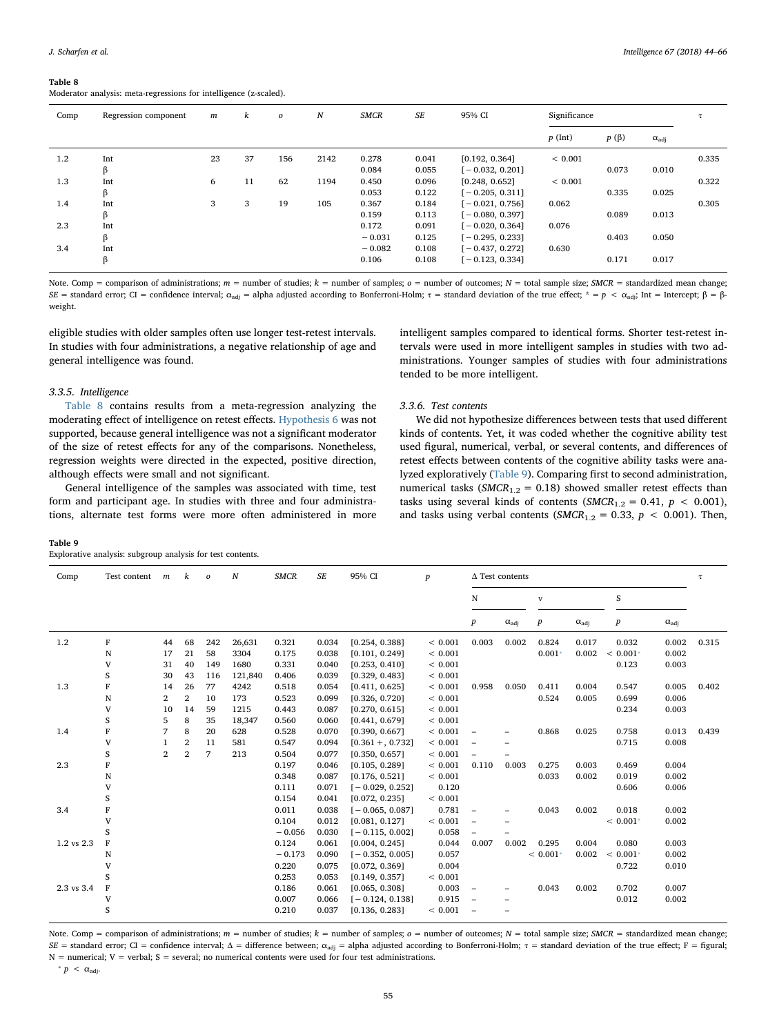<span id="page-11-0"></span>Moderator analysis: meta-regressions for intelligence (z-scaled).

| Comp    | Regression component | $\boldsymbol{m}$ | k  | $\boldsymbol{o}$ | $\boldsymbol{N}$ | <b>SMCR</b> | SE    | 95% CI            | Significance |            |                       |       |
|---------|----------------------|------------------|----|------------------|------------------|-------------|-------|-------------------|--------------|------------|-----------------------|-------|
|         |                      |                  |    |                  |                  |             |       |                   | $p$ (Int)    | $p(\beta)$ | $\alpha_{\text{adj}}$ |       |
| $1.2\,$ | Int                  | 23               | 37 | 156              | 2142             | 0.278       | 0.041 | [0.192, 0.364]    | ${}< 0.001$  |            |                       | 0.335 |
|         | β                    |                  |    |                  |                  | 0.084       | 0.055 | $[-0.032, 0.201]$ |              | 0.073      | 0.010                 |       |
| 1.3     | Int                  | 6                | 11 | 62               | 1194             | 0.450       | 0.096 | [0.248, 0.652]    | ${}< 0.001$  |            |                       | 0.322 |
|         | β                    |                  |    |                  |                  | 0.053       | 0.122 | $[-0.205, 0.311]$ |              | 0.335      | 0.025                 |       |
| 1.4     | Int                  | 3                | 3  | 19               | 105              | 0.367       | 0.184 | $[-0.021, 0.756]$ | 0.062        |            |                       | 0.305 |
|         | β                    |                  |    |                  |                  | 0.159       | 0.113 | $[-0.080, 0.397]$ |              | 0.089      | 0.013                 |       |
| 2.3     | Int                  |                  |    |                  |                  | 0.172       | 0.091 | $[-0.020, 0.364]$ | 0.076        |            |                       |       |
|         | β                    |                  |    |                  |                  | $-0.031$    | 0.125 | $[-0.295, 0.233]$ |              | 0.403      | 0.050                 |       |
| 3.4     | Int                  |                  |    |                  |                  | $-0.082$    | 0.108 | $[-0.437, 0.272]$ | 0.630        |            |                       |       |
|         | β                    |                  |    |                  |                  | 0.106       | 0.108 | $[-0.123, 0.334]$ |              | 0.171      | 0.017                 |       |

Note. Comp = comparison of administrations;  $m =$  number of studies;  $k =$  number of samples;  $o =$  number of outcomes;  $N =$  total sample size; SMCR = standardized mean change; SE = standard error; CI = confidence interval; α<sub>adj</sub> = alpha adjusted according to Bonferroni-Holm; τ = standard deviation of the true effect; \* = p < α<sub>adj</sub>; Int = Intercept; β = βweight.

3.3.6. Test contents

eligible studies with older samples often use longer test-retest intervals. In studies with four administrations, a negative relationship of age and general intelligence was found.

intelligent samples compared to identical forms. Shorter test-retest intervals were used in more intelligent samples in studies with two administrations. Younger samples of studies with four administrations tended to be more intelligent.

### 3.3.5. Intelligence

[Table 8](#page-11-0) contains results from a meta-regression analyzing the moderating effect of intelligence on retest effects. [Hypothesis 6](#page-3-4) was not supported, because general intelligence was not a significant moderator of the size of retest effects for any of the comparisons. Nonetheless, regression weights were directed in the expected, positive direction, although effects were small and not significant.

General intelligence of the samples was associated with time, test form and participant age. In studies with three and four administrations, alternate test forms were more often administered in more

<span id="page-11-1"></span>

| Table 9                                                    |
|------------------------------------------------------------|
| Explorative analysis: subgroup analysis for test contents. |

We did not hypothesize differences between tests that used different kinds of contents. Yet, it was coded whether the cognitive ability test used figural, numerical, verbal, or several contents, and differences of retest effects between contents of the cognitive ability tasks were analyzed exploratively [\(Table 9](#page-11-1)). Comparing first to second administration, numerical tasks ( $SMCR_{1,2} = 0.18$ ) showed smaller retest effects than tasks using several kinds of contents ( $SMCR_{1,2} = 0.41$ ,  $p < 0.001$ ), and tasks using verbal contents ( $SMCR_{1,2} = 0.33$ ,  $p < 0.001$ ). Then,

| S<br>N<br>$\mathbf{V}$<br>$\boldsymbol{p}$<br>$\boldsymbol{p}$<br>$\alpha_{\text{adj}}$<br>$\boldsymbol{p}$<br>$\alpha_{\text{adj}}$<br>$\alpha_{\text{adj}}$<br>F<br>1.2<br>44<br>68<br>242<br>0.321<br>0.003<br>0.002<br>0.824<br>0.017<br>0.032<br>0.002<br>0.315<br>26,631<br>0.034<br>[0.254, 0.388]<br>${}< 0.001$<br>21<br>0.002<br>N<br>17<br>58<br>0.175<br>${}< 0.001$<br>$0.001*$<br>0.002<br>$< 0.001*$<br>3304<br>[0.101, 0.249]<br>0.038<br>V<br>31<br>40<br>149<br>1680<br>0.331<br>0.123<br>0.003<br>0.040<br>[0.253, 0.410]<br>${}< 0.001$<br>S<br>30<br>43<br>[0.329, 0.483]<br>< 0.001<br>116<br>121,840<br>0.406<br>0.039<br>1.3<br>F<br>26<br>4242<br>0.518<br>[0.411, 0.625]<br>< 0.001<br>0.958<br>0.050<br>0.411<br>0.004<br>0.005<br>0.402<br>77<br>0.054<br>0.547<br>14<br>$\overline{2}$<br>0.524<br>0.006<br>N<br>$\mathbf{2}$<br>10<br>173<br>0.523<br>< 0.001<br>0.005<br>0.699<br>0.099<br>[0.326, 0.720]<br>V<br>14<br>59<br>1215<br>0.443<br>< 0.001<br>0.234<br>0.003<br>10<br>0.087<br>[0.270, 0.615]<br>S<br>8<br>35<br>< 0.001<br>5<br>18,347<br>0.560<br>0.060<br>[0.441, 0.679]<br>8<br>< 0.001<br>F<br>7<br>20<br>0.868<br>0.025<br>0.758<br>0.013<br>0.439<br>1.4<br>628<br>0.528<br>0.070<br>[0.390, 0.667]<br>$\overline{\phantom{0}}$<br>$\overline{2}$<br>< 0.001<br>0.008<br>V<br>11<br>581<br>0.547<br>0.715<br>0.094<br>$[0.361 + 0.732]$<br>$\overline{\phantom{0}}$<br>$\overline{2}$<br>S<br>$\overline{7}$<br>$\overline{2}$<br>213<br>0.504<br>0.077<br>< 0.001<br>[0.350, 0.657]<br>$\overline{\phantom{0}}$<br>2.3<br>F<br>< 0.001<br>0.003<br>0.275<br>0.004<br>0.197<br>[0.105, 0.289]<br>0.110<br>0.003<br>0.469<br>0.046<br>0.033<br>0.002<br>N<br>0.348<br>${}< 0.001$<br>0.002<br>0.019<br>0.087<br>[0.176, 0.521]<br>0.120<br>V<br>0.111<br>0.071<br>0.606<br>0.006<br>$[-0.029, 0.252]$<br>S<br>0.154<br>[0.072, 0.235]<br>< 0.001<br>0.041<br>F<br>0.781<br>0.043<br>0.002<br>0.002<br>3.4<br>0.011<br>$[-0.065, 0.087]$<br>0.018<br>0.038<br>$\qquad \qquad -$<br>V<br>0.104<br>${}< 0.001$<br>0.012<br>[0.081, 0.127]<br>$< 0.001*$<br>0.002<br>$\overline{\phantom{0}}$<br>S<br>0.058<br>$-0.056$<br>$[-0.115, 0.002]$<br>0.030<br>$\overline{\phantom{0}}$<br>1.2 vs 2.3<br>F<br>0.124<br>0.044<br>0.002<br>0.295<br>0.004<br>0.003<br>0.061<br>[0.004, 0.245]<br>0.007<br>0.080<br>0.057<br>$< 0.001*$<br>0.002<br>$< 0.001*$<br>0.002<br>N<br>$-0.173$<br>0.090<br>$[-0.352, 0.005]$<br>V<br>0.220<br>0.004<br>0.722<br>0.010<br>0.075<br>[0.072, 0.369]<br>S<br>0.253<br>[0.149, 0.357]<br>${}< 0.001$<br>0.053<br>2.3 vs 3.4<br>F<br>0.003<br>0.043<br>0.002<br>0.702<br>0.007<br>0.186<br>0.061<br>[0.065, 0.308]<br>$\overline{\phantom{0}}$<br>0.007<br>0.915<br>V<br>$[-0.124, 0.138]$<br>0.012<br>0.002<br>0.066<br>$\overline{\phantom{a}}$<br>S<br>0.210<br>< 0.001<br>0.037<br>[0.136, 0.283]<br>$\overline{\phantom{0}}$ | Comp | Test content | $\,m$ | k | 0 | $\boldsymbol{N}$ | <b>SMCR</b> | SE | 95% CI | $\boldsymbol{p}$ | $\Delta$ Test contents |  |  | $\tau$ |  |  |
|-----------------------------------------------------------------------------------------------------------------------------------------------------------------------------------------------------------------------------------------------------------------------------------------------------------------------------------------------------------------------------------------------------------------------------------------------------------------------------------------------------------------------------------------------------------------------------------------------------------------------------------------------------------------------------------------------------------------------------------------------------------------------------------------------------------------------------------------------------------------------------------------------------------------------------------------------------------------------------------------------------------------------------------------------------------------------------------------------------------------------------------------------------------------------------------------------------------------------------------------------------------------------------------------------------------------------------------------------------------------------------------------------------------------------------------------------------------------------------------------------------------------------------------------------------------------------------------------------------------------------------------------------------------------------------------------------------------------------------------------------------------------------------------------------------------------------------------------------------------------------------------------------------------------------------------------------------------------------------------------------------------------------------------------------------------------------------------------------------------------------------------------------------------------------------------------------------------------------------------------------------------------------------------------------------------------------------------------------------------------------------------------------------------------------------------------------------------------------------------------------------------------------------------------------------------------------------------------------------------------------------------------------------------------------------------------------------------------------------------------------------------------------------------------------------------------------------------------------------------------------------------------------------------|------|--------------|-------|---|---|------------------|-------------|----|--------|------------------|------------------------|--|--|--------|--|--|
|                                                                                                                                                                                                                                                                                                                                                                                                                                                                                                                                                                                                                                                                                                                                                                                                                                                                                                                                                                                                                                                                                                                                                                                                                                                                                                                                                                                                                                                                                                                                                                                                                                                                                                                                                                                                                                                                                                                                                                                                                                                                                                                                                                                                                                                                                                                                                                                                                                                                                                                                                                                                                                                                                                                                                                                                                                                                                                           |      |              |       |   |   |                  |             |    |        |                  |                        |  |  |        |  |  |
|                                                                                                                                                                                                                                                                                                                                                                                                                                                                                                                                                                                                                                                                                                                                                                                                                                                                                                                                                                                                                                                                                                                                                                                                                                                                                                                                                                                                                                                                                                                                                                                                                                                                                                                                                                                                                                                                                                                                                                                                                                                                                                                                                                                                                                                                                                                                                                                                                                                                                                                                                                                                                                                                                                                                                                                                                                                                                                           |      |              |       |   |   |                  |             |    |        |                  |                        |  |  |        |  |  |
|                                                                                                                                                                                                                                                                                                                                                                                                                                                                                                                                                                                                                                                                                                                                                                                                                                                                                                                                                                                                                                                                                                                                                                                                                                                                                                                                                                                                                                                                                                                                                                                                                                                                                                                                                                                                                                                                                                                                                                                                                                                                                                                                                                                                                                                                                                                                                                                                                                                                                                                                                                                                                                                                                                                                                                                                                                                                                                           |      |              |       |   |   |                  |             |    |        |                  |                        |  |  |        |  |  |
|                                                                                                                                                                                                                                                                                                                                                                                                                                                                                                                                                                                                                                                                                                                                                                                                                                                                                                                                                                                                                                                                                                                                                                                                                                                                                                                                                                                                                                                                                                                                                                                                                                                                                                                                                                                                                                                                                                                                                                                                                                                                                                                                                                                                                                                                                                                                                                                                                                                                                                                                                                                                                                                                                                                                                                                                                                                                                                           |      |              |       |   |   |                  |             |    |        |                  |                        |  |  |        |  |  |
|                                                                                                                                                                                                                                                                                                                                                                                                                                                                                                                                                                                                                                                                                                                                                                                                                                                                                                                                                                                                                                                                                                                                                                                                                                                                                                                                                                                                                                                                                                                                                                                                                                                                                                                                                                                                                                                                                                                                                                                                                                                                                                                                                                                                                                                                                                                                                                                                                                                                                                                                                                                                                                                                                                                                                                                                                                                                                                           |      |              |       |   |   |                  |             |    |        |                  |                        |  |  |        |  |  |
|                                                                                                                                                                                                                                                                                                                                                                                                                                                                                                                                                                                                                                                                                                                                                                                                                                                                                                                                                                                                                                                                                                                                                                                                                                                                                                                                                                                                                                                                                                                                                                                                                                                                                                                                                                                                                                                                                                                                                                                                                                                                                                                                                                                                                                                                                                                                                                                                                                                                                                                                                                                                                                                                                                                                                                                                                                                                                                           |      |              |       |   |   |                  |             |    |        |                  |                        |  |  |        |  |  |
|                                                                                                                                                                                                                                                                                                                                                                                                                                                                                                                                                                                                                                                                                                                                                                                                                                                                                                                                                                                                                                                                                                                                                                                                                                                                                                                                                                                                                                                                                                                                                                                                                                                                                                                                                                                                                                                                                                                                                                                                                                                                                                                                                                                                                                                                                                                                                                                                                                                                                                                                                                                                                                                                                                                                                                                                                                                                                                           |      |              |       |   |   |                  |             |    |        |                  |                        |  |  |        |  |  |
|                                                                                                                                                                                                                                                                                                                                                                                                                                                                                                                                                                                                                                                                                                                                                                                                                                                                                                                                                                                                                                                                                                                                                                                                                                                                                                                                                                                                                                                                                                                                                                                                                                                                                                                                                                                                                                                                                                                                                                                                                                                                                                                                                                                                                                                                                                                                                                                                                                                                                                                                                                                                                                                                                                                                                                                                                                                                                                           |      |              |       |   |   |                  |             |    |        |                  |                        |  |  |        |  |  |
|                                                                                                                                                                                                                                                                                                                                                                                                                                                                                                                                                                                                                                                                                                                                                                                                                                                                                                                                                                                                                                                                                                                                                                                                                                                                                                                                                                                                                                                                                                                                                                                                                                                                                                                                                                                                                                                                                                                                                                                                                                                                                                                                                                                                                                                                                                                                                                                                                                                                                                                                                                                                                                                                                                                                                                                                                                                                                                           |      |              |       |   |   |                  |             |    |        |                  |                        |  |  |        |  |  |
|                                                                                                                                                                                                                                                                                                                                                                                                                                                                                                                                                                                                                                                                                                                                                                                                                                                                                                                                                                                                                                                                                                                                                                                                                                                                                                                                                                                                                                                                                                                                                                                                                                                                                                                                                                                                                                                                                                                                                                                                                                                                                                                                                                                                                                                                                                                                                                                                                                                                                                                                                                                                                                                                                                                                                                                                                                                                                                           |      |              |       |   |   |                  |             |    |        |                  |                        |  |  |        |  |  |
|                                                                                                                                                                                                                                                                                                                                                                                                                                                                                                                                                                                                                                                                                                                                                                                                                                                                                                                                                                                                                                                                                                                                                                                                                                                                                                                                                                                                                                                                                                                                                                                                                                                                                                                                                                                                                                                                                                                                                                                                                                                                                                                                                                                                                                                                                                                                                                                                                                                                                                                                                                                                                                                                                                                                                                                                                                                                                                           |      |              |       |   |   |                  |             |    |        |                  |                        |  |  |        |  |  |
|                                                                                                                                                                                                                                                                                                                                                                                                                                                                                                                                                                                                                                                                                                                                                                                                                                                                                                                                                                                                                                                                                                                                                                                                                                                                                                                                                                                                                                                                                                                                                                                                                                                                                                                                                                                                                                                                                                                                                                                                                                                                                                                                                                                                                                                                                                                                                                                                                                                                                                                                                                                                                                                                                                                                                                                                                                                                                                           |      |              |       |   |   |                  |             |    |        |                  |                        |  |  |        |  |  |
|                                                                                                                                                                                                                                                                                                                                                                                                                                                                                                                                                                                                                                                                                                                                                                                                                                                                                                                                                                                                                                                                                                                                                                                                                                                                                                                                                                                                                                                                                                                                                                                                                                                                                                                                                                                                                                                                                                                                                                                                                                                                                                                                                                                                                                                                                                                                                                                                                                                                                                                                                                                                                                                                                                                                                                                                                                                                                                           |      |              |       |   |   |                  |             |    |        |                  |                        |  |  |        |  |  |
|                                                                                                                                                                                                                                                                                                                                                                                                                                                                                                                                                                                                                                                                                                                                                                                                                                                                                                                                                                                                                                                                                                                                                                                                                                                                                                                                                                                                                                                                                                                                                                                                                                                                                                                                                                                                                                                                                                                                                                                                                                                                                                                                                                                                                                                                                                                                                                                                                                                                                                                                                                                                                                                                                                                                                                                                                                                                                                           |      |              |       |   |   |                  |             |    |        |                  |                        |  |  |        |  |  |
|                                                                                                                                                                                                                                                                                                                                                                                                                                                                                                                                                                                                                                                                                                                                                                                                                                                                                                                                                                                                                                                                                                                                                                                                                                                                                                                                                                                                                                                                                                                                                                                                                                                                                                                                                                                                                                                                                                                                                                                                                                                                                                                                                                                                                                                                                                                                                                                                                                                                                                                                                                                                                                                                                                                                                                                                                                                                                                           |      |              |       |   |   |                  |             |    |        |                  |                        |  |  |        |  |  |
|                                                                                                                                                                                                                                                                                                                                                                                                                                                                                                                                                                                                                                                                                                                                                                                                                                                                                                                                                                                                                                                                                                                                                                                                                                                                                                                                                                                                                                                                                                                                                                                                                                                                                                                                                                                                                                                                                                                                                                                                                                                                                                                                                                                                                                                                                                                                                                                                                                                                                                                                                                                                                                                                                                                                                                                                                                                                                                           |      |              |       |   |   |                  |             |    |        |                  |                        |  |  |        |  |  |
|                                                                                                                                                                                                                                                                                                                                                                                                                                                                                                                                                                                                                                                                                                                                                                                                                                                                                                                                                                                                                                                                                                                                                                                                                                                                                                                                                                                                                                                                                                                                                                                                                                                                                                                                                                                                                                                                                                                                                                                                                                                                                                                                                                                                                                                                                                                                                                                                                                                                                                                                                                                                                                                                                                                                                                                                                                                                                                           |      |              |       |   |   |                  |             |    |        |                  |                        |  |  |        |  |  |
|                                                                                                                                                                                                                                                                                                                                                                                                                                                                                                                                                                                                                                                                                                                                                                                                                                                                                                                                                                                                                                                                                                                                                                                                                                                                                                                                                                                                                                                                                                                                                                                                                                                                                                                                                                                                                                                                                                                                                                                                                                                                                                                                                                                                                                                                                                                                                                                                                                                                                                                                                                                                                                                                                                                                                                                                                                                                                                           |      |              |       |   |   |                  |             |    |        |                  |                        |  |  |        |  |  |
|                                                                                                                                                                                                                                                                                                                                                                                                                                                                                                                                                                                                                                                                                                                                                                                                                                                                                                                                                                                                                                                                                                                                                                                                                                                                                                                                                                                                                                                                                                                                                                                                                                                                                                                                                                                                                                                                                                                                                                                                                                                                                                                                                                                                                                                                                                                                                                                                                                                                                                                                                                                                                                                                                                                                                                                                                                                                                                           |      |              |       |   |   |                  |             |    |        |                  |                        |  |  |        |  |  |
|                                                                                                                                                                                                                                                                                                                                                                                                                                                                                                                                                                                                                                                                                                                                                                                                                                                                                                                                                                                                                                                                                                                                                                                                                                                                                                                                                                                                                                                                                                                                                                                                                                                                                                                                                                                                                                                                                                                                                                                                                                                                                                                                                                                                                                                                                                                                                                                                                                                                                                                                                                                                                                                                                                                                                                                                                                                                                                           |      |              |       |   |   |                  |             |    |        |                  |                        |  |  |        |  |  |
|                                                                                                                                                                                                                                                                                                                                                                                                                                                                                                                                                                                                                                                                                                                                                                                                                                                                                                                                                                                                                                                                                                                                                                                                                                                                                                                                                                                                                                                                                                                                                                                                                                                                                                                                                                                                                                                                                                                                                                                                                                                                                                                                                                                                                                                                                                                                                                                                                                                                                                                                                                                                                                                                                                                                                                                                                                                                                                           |      |              |       |   |   |                  |             |    |        |                  |                        |  |  |        |  |  |
|                                                                                                                                                                                                                                                                                                                                                                                                                                                                                                                                                                                                                                                                                                                                                                                                                                                                                                                                                                                                                                                                                                                                                                                                                                                                                                                                                                                                                                                                                                                                                                                                                                                                                                                                                                                                                                                                                                                                                                                                                                                                                                                                                                                                                                                                                                                                                                                                                                                                                                                                                                                                                                                                                                                                                                                                                                                                                                           |      |              |       |   |   |                  |             |    |        |                  |                        |  |  |        |  |  |
|                                                                                                                                                                                                                                                                                                                                                                                                                                                                                                                                                                                                                                                                                                                                                                                                                                                                                                                                                                                                                                                                                                                                                                                                                                                                                                                                                                                                                                                                                                                                                                                                                                                                                                                                                                                                                                                                                                                                                                                                                                                                                                                                                                                                                                                                                                                                                                                                                                                                                                                                                                                                                                                                                                                                                                                                                                                                                                           |      |              |       |   |   |                  |             |    |        |                  |                        |  |  |        |  |  |
|                                                                                                                                                                                                                                                                                                                                                                                                                                                                                                                                                                                                                                                                                                                                                                                                                                                                                                                                                                                                                                                                                                                                                                                                                                                                                                                                                                                                                                                                                                                                                                                                                                                                                                                                                                                                                                                                                                                                                                                                                                                                                                                                                                                                                                                                                                                                                                                                                                                                                                                                                                                                                                                                                                                                                                                                                                                                                                           |      |              |       |   |   |                  |             |    |        |                  |                        |  |  |        |  |  |
|                                                                                                                                                                                                                                                                                                                                                                                                                                                                                                                                                                                                                                                                                                                                                                                                                                                                                                                                                                                                                                                                                                                                                                                                                                                                                                                                                                                                                                                                                                                                                                                                                                                                                                                                                                                                                                                                                                                                                                                                                                                                                                                                                                                                                                                                                                                                                                                                                                                                                                                                                                                                                                                                                                                                                                                                                                                                                                           |      |              |       |   |   |                  |             |    |        |                  |                        |  |  |        |  |  |
|                                                                                                                                                                                                                                                                                                                                                                                                                                                                                                                                                                                                                                                                                                                                                                                                                                                                                                                                                                                                                                                                                                                                                                                                                                                                                                                                                                                                                                                                                                                                                                                                                                                                                                                                                                                                                                                                                                                                                                                                                                                                                                                                                                                                                                                                                                                                                                                                                                                                                                                                                                                                                                                                                                                                                                                                                                                                                                           |      |              |       |   |   |                  |             |    |        |                  |                        |  |  |        |  |  |
|                                                                                                                                                                                                                                                                                                                                                                                                                                                                                                                                                                                                                                                                                                                                                                                                                                                                                                                                                                                                                                                                                                                                                                                                                                                                                                                                                                                                                                                                                                                                                                                                                                                                                                                                                                                                                                                                                                                                                                                                                                                                                                                                                                                                                                                                                                                                                                                                                                                                                                                                                                                                                                                                                                                                                                                                                                                                                                           |      |              |       |   |   |                  |             |    |        |                  |                        |  |  |        |  |  |

<span id="page-11-2"></span>Note. Comp = comparison of administrations;  $m =$  number of studies;  $k =$  number of samples;  $o =$  number of outcomes;  $N =$  total sample size; SMCR = standardized mean change; SE = standard error; CI = confidence interval; Δ = difference between; α<sub>adj</sub> = alpha adjusted according to Bonferroni-Holm; τ = standard deviation of the true effect; F = figural;  $N =$  numerical;  $V =$  verbal;  $S =$  several; no numerical contents were used for four test administrations.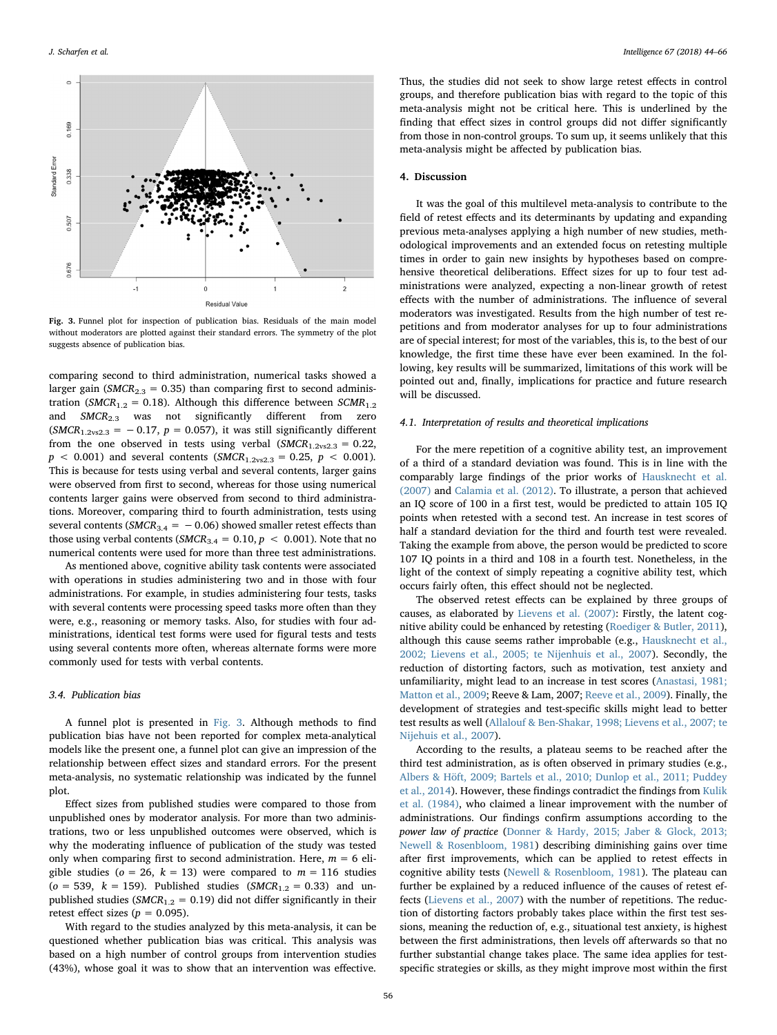<span id="page-12-0"></span>

Fig. 3. Funnel plot for inspection of publication bias. Residuals of the main model without moderators are plotted against their standard errors. The symmetry of the plot suggests absence of publication bias.

comparing second to third administration, numerical tasks showed a larger gain ( $SMCR_{2,3} = 0.35$ ) than comparing first to second administration (SMCR<sub>1.2</sub> = 0.18). Although this difference between SCMR<sub>1.2</sub> and SMCR<sub>2.3</sub> was not significantly different from zero  $(SMCR_{1.2vs2.3} = -0.17, p = 0.057)$ , it was still significantly different from the one observed in tests using verbal  $(SMCR_{1.2vs2.3} = 0.22,$  $p < 0.001$ ) and several contents (SMCR<sub>1.2vs2.3</sub> = 0.25,  $p < 0.001$ ). This is because for tests using verbal and several contents, larger gains were observed from first to second, whereas for those using numerical contents larger gains were observed from second to third administrations. Moreover, comparing third to fourth administration, tests using several contents ( $SMCR_{3.4} = -0.06$ ) showed smaller retest effects than those using verbal contents (SMCR<sub>3.4</sub> = 0.10,  $p < 0.001$ ). Note that no numerical contents were used for more than three test administrations.

As mentioned above, cognitive ability task contents were associated with operations in studies administering two and in those with four administrations. For example, in studies administering four tests, tasks with several contents were processing speed tasks more often than they were, e.g., reasoning or memory tasks. Also, for studies with four administrations, identical test forms were used for figural tests and tests using several contents more often, whereas alternate forms were more commonly used for tests with verbal contents.

### 3.4. Publication bias

A funnel plot is presented in [Fig. 3.](#page-12-0) Although methods to find publication bias have not been reported for complex meta-analytical models like the present one, a funnel plot can give an impression of the relationship between effect sizes and standard errors. For the present meta-analysis, no systematic relationship was indicated by the funnel plot.

Effect sizes from published studies were compared to those from unpublished ones by moderator analysis. For more than two administrations, two or less unpublished outcomes were observed, which is why the moderating influence of publication of the study was tested only when comparing first to second administration. Here,  $m = 6$  eligible studies ( $o = 26$ ,  $k = 13$ ) were compared to  $m = 116$  studies  $(o = 539, k = 159)$ . Published studies (SMCR<sub>1.2</sub> = 0.33) and unpublished studies ( $SMCR_{1,2} = 0.19$ ) did not differ significantly in their retest effect sizes ( $p = 0.095$ ).

With regard to the studies analyzed by this meta-analysis, it can be questioned whether publication bias was critical. This analysis was based on a high number of control groups from intervention studies (43%), whose goal it was to show that an intervention was effective.

Thus, the studies did not seek to show large retest effects in control groups, and therefore publication bias with regard to the topic of this meta-analysis might not be critical here. This is underlined by the finding that effect sizes in control groups did not differ significantly from those in non-control groups. To sum up, it seems unlikely that this meta-analysis might be affected by publication bias.

### 4. Discussion

It was the goal of this multilevel meta-analysis to contribute to the field of retest effects and its determinants by updating and expanding previous meta-analyses applying a high number of new studies, methodological improvements and an extended focus on retesting multiple times in order to gain new insights by hypotheses based on comprehensive theoretical deliberations. Effect sizes for up to four test administrations were analyzed, expecting a non-linear growth of retest effects with the number of administrations. The influence of several moderators was investigated. Results from the high number of test repetitions and from moderator analyses for up to four administrations are of special interest; for most of the variables, this is, to the best of our knowledge, the first time these have ever been examined. In the following, key results will be summarized, limitations of this work will be pointed out and, finally, implications for practice and future research will be discussed.

#### 4.1. Interpretation of results and theoretical implications

For the mere repetition of a cognitive ability test, an improvement of a third of a standard deviation was found. This is in line with the comparably large findings of the prior works of [Hausknecht et al.](#page-21-2) [\(2007\)](#page-21-2) and [Calamia et al. \(2012\)](#page-20-1). To illustrate, a person that achieved an IQ score of 100 in a first test, would be predicted to attain 105 IQ points when retested with a second test. An increase in test scores of half a standard deviation for the third and fourth test were revealed. Taking the example from above, the person would be predicted to score 107 IQ points in a third and 108 in a fourth test. Nonetheless, in the light of the context of simply repeating a cognitive ability test, which occurs fairly often, this effect should not be neglected.

The observed retest effects can be explained by three groups of causes, as elaborated by [Lievens et al. \(2007\)](#page-21-4): Firstly, the latent cognitive ability could be enhanced by retesting ([Roediger & Butler, 2011](#page-22-1)), although this cause seems rather improbable (e.g., [Hausknecht et al.,](#page-21-7) [2002; Lievens et al., 2005; te Nijenhuis et al., 2007\)](#page-21-7). Secondly, the reduction of distorting factors, such as motivation, test anxiety and unfamiliarity, might lead to an increase in test scores [\(Anastasi, 1981;](#page-20-4) [Matton et al., 2009;](#page-20-4) Reeve & Lam, 2007; Reeve [et al., 2009\)](#page-22-2). Finally, the development of strategies and test-specific skills might lead to better test results as well [\(Allalouf & Ben-Shakar, 1998; Lievens et al., 2007; te](#page-20-6) [Nijehuis et al., 2007](#page-20-6)).

According to the results, a plateau seems to be reached after the third test administration, as is often observed in primary studies (e.g., [Albers & Höft, 2009; Bartels et al., 2010; Dunlop et al., 2011; Puddey](#page-20-7) [et al., 2014\)](#page-20-7). However, these findings contradict the findings from [Kulik](#page-21-1) [et al. \(1984\),](#page-21-1) who claimed a linear improvement with the number of administrations. Our findings confirm assumptions according to the power law of practice ([Donner & Hardy, 2015; Jaber & Glock, 2013;](#page-21-3) [Newell & Rosenbloom, 1981](#page-21-3)) describing diminishing gains over time after first improvements, which can be applied to retest effects in cognitive ability tests [\(Newell & Rosenbloom, 1981\)](#page-21-13). The plateau can further be explained by a reduced influence of the causes of retest effects [\(Lievens et al., 2007\)](#page-21-4) with the number of repetitions. The reduction of distorting factors probably takes place within the first test sessions, meaning the reduction of, e.g., situational test anxiety, is highest between the first administrations, then levels off afterwards so that no further substantial change takes place. The same idea applies for testspecific strategies or skills, as they might improve most within the first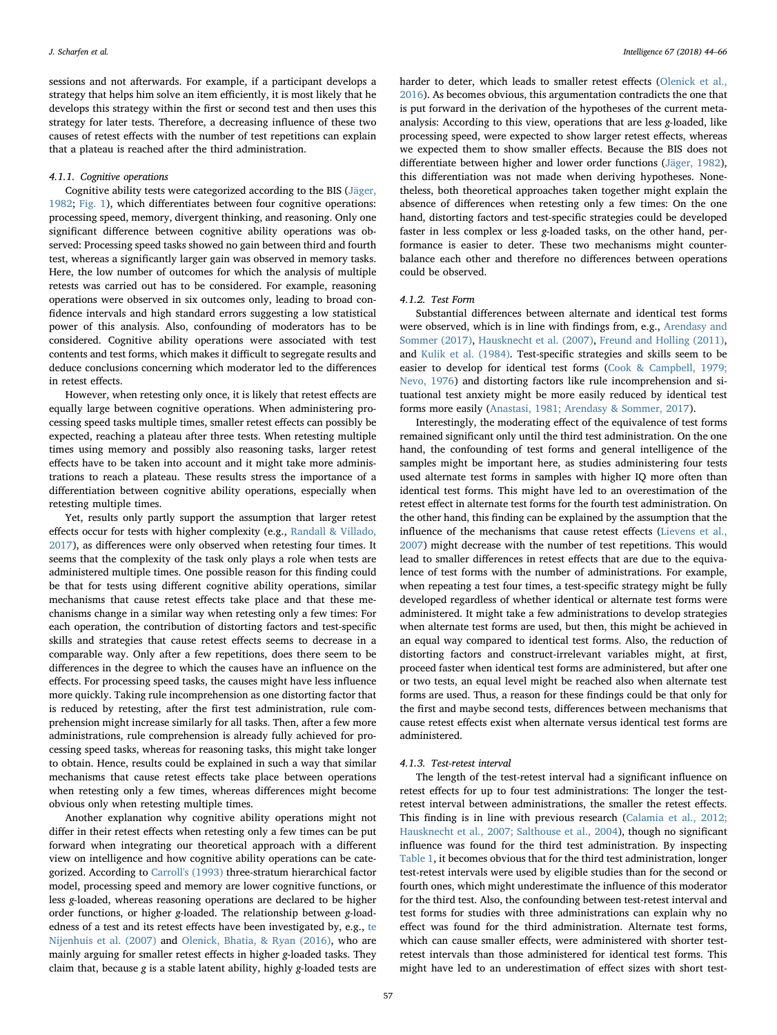sessions and not afterwards. For example, if a participant develops a strategy that helps him solve an item efficiently, it is most likely that he develops this strategy within the first or second test and then uses this strategy for later tests. Therefore, a decreasing influence of these two causes of retest effects with the number of test repetitions can explain that a plateau is reached after the third administration.

### 4.1.1. Cognitive operations

Cognitive ability tests were categorized according to the BIS [\(Jäger,](#page-21-5) [1982;](#page-21-5) [Fig. 1](#page-2-0)), which differentiates between four cognitive operations: processing speed, memory, divergent thinking, and reasoning. Only one significant difference between cognitive ability operations was observed: Processing speed tasks showed no gain between third and fourth test, whereas a significantly larger gain was observed in memory tasks. Here, the low number of outcomes for which the analysis of multiple retests was carried out has to be considered. For example, reasoning operations were observed in six outcomes only, leading to broad confidence intervals and high standard errors suggesting a low statistical power of this analysis. Also, confounding of moderators has to be considered. Cognitive ability operations were associated with test contents and test forms, which makes it difficult to segregate results and deduce conclusions concerning which moderator led to the differences in retest effects.

However, when retesting only once, it is likely that retest effects are equally large between cognitive operations. When administering processing speed tasks multiple times, smaller retest effects can possibly be expected, reaching a plateau after three tests. When retesting multiple times using memory and possibly also reasoning tasks, larger retest effects have to be taken into account and it might take more administrations to reach a plateau. These results stress the importance of a differentiation between cognitive ability operations, especially when retesting multiple times.

Yet, results only partly support the assumption that larger retest effects occur for tests with higher complexity (e.g., [Randall & Villado,](#page-22-0) [2017\)](#page-22-0), as differences were only observed when retesting four times. It seems that the complexity of the task only plays a role when tests are administered multiple times. One possible reason for this finding could be that for tests using different cognitive ability operations, similar mechanisms that cause retest effects take place and that these mechanisms change in a similar way when retesting only a few times: For each operation, the contribution of distorting factors and test-specific skills and strategies that cause retest effects seems to decrease in a comparable way. Only after a few repetitions, does there seem to be differences in the degree to which the causes have an influence on the effects. For processing speed tasks, the causes might have less influence more quickly. Taking rule incomprehension as one distorting factor that is reduced by retesting, after the first test administration, rule comprehension might increase similarly for all tasks. Then, after a few more administrations, rule comprehension is already fully achieved for processing speed tasks, whereas for reasoning tasks, this might take longer to obtain. Hence, results could be explained in such a way that similar mechanisms that cause retest effects take place between operations when retesting only a few times, whereas differences might become obvious only when retesting multiple times.

Another explanation why cognitive ability operations might not differ in their retest effects when retesting only a few times can be put forward when integrating our theoretical approach with a different view on intelligence and how cognitive ability operations can be categorized. According to [Carroll's \(1993\)](#page-20-29) three-stratum hierarchical factor model, processing speed and memory are lower cognitive functions, or less g-loaded, whereas reasoning operations are declared to be higher order functions, or higher g-loaded. The relationship between g-loadedness of a test and its retest effects have been investigated by, e.g., [te](#page-21-27) [Nijenhuis et al. \(2007\)](#page-21-27) and [Olenick, Bhatia, & Ryan \(2016\),](#page-21-28) who are mainly arguing for smaller retest effects in higher g-loaded tasks. They claim that, because g is a stable latent ability, highly g-loaded tests are harder to deter, which leads to smaller retest effects [\(Olenick et al.,](#page-21-28) [2016\)](#page-21-28). As becomes obvious, this argumentation contradicts the one that is put forward in the derivation of the hypotheses of the current metaanalysis: According to this view, operations that are less g-loaded, like processing speed, were expected to show larger retest effects, whereas we expected them to show smaller effects. Because the BIS does not differentiate between higher and lower order functions [\(Jäger, 1982](#page-21-5)), this differentiation was not made when deriving hypotheses. Nonetheless, both theoretical approaches taken together might explain the absence of differences when retesting only a few times: On the one hand, distorting factors and test-specific strategies could be developed faster in less complex or less g-loaded tasks, on the other hand, performance is easier to deter. These two mechanisms might counterbalance each other and therefore no differences between operations could be observed.

### 4.1.2. Test Form

Substantial differences between alternate and identical test forms were observed, which is in line with findings from, e.g., [Arendasy and](#page-20-0) [Sommer](#page-20-0) (2017), [Hausknecht et al. \(2007\)](#page-21-2), [Freund and Holling \(2011\)](#page-20-30), and [Kulik et al. \(1984\)](#page-21-1). Test-specific strategies and skills seem to be easier to develop for identical test forms [\(Cook & Campbell, 1979;](#page-20-13) [Nevo, 1976](#page-20-13)) and distorting factors like rule incomprehension and situational test anxiety might be more easily reduced by identical test forms more easily ([Anastasi, 1981; Arendasy & Sommer, 2017\)](#page-20-4).

Interestingly, the moderating effect of the equivalence of test forms remained significant only until the third test administration. On the one hand, the confounding of test forms and general intelligence of the samples might be important here, as studies administering four tests used alternate test forms in samples with higher IQ more often than identical test forms. This might have led to an overestimation of the retest effect in alternate test forms for the fourth test administration. On the other hand, this finding can be explained by the assumption that the influence of the mechanisms that cause retest effects ([Lievens et al.,](#page-21-4) [2007\)](#page-21-4) might decrease with the number of test repetitions. This would lead to smaller differences in retest effects that are due to the equivalence of test forms with the number of administrations. For example, when repeating a test four times, a test-specific strategy might be fully developed regardless of whether identical or alternate test forms were administered. It might take a few administrations to develop strategies when alternate test forms are used, but then, this might be achieved in an equal way compared to identical test forms. Also, the reduction of distorting factors and construct-irrelevant variables might, at first, proceed faster when identical test forms are administered, but after one or two tests, an equal level might be reached also when alternate test forms are used. Thus, a reason for these findings could be that only for the first and maybe second tests, differences between mechanisms that cause retest effects exist when alternate versus identical test forms are administered.

### 4.1.3. Test-retest interval

The length of the test-retest interval had a significant influence on retest effects for up to four test administrations: The longer the testretest interval between administrations, the smaller the retest effects. This finding is in line with previous research [\(Calamia et al., 2012;](#page-20-1) [Hausknecht et al., 2007; Salthouse et al., 2004\)](#page-20-1), though no significant influence was found for the third test administration. By inspecting [Table 1,](#page-6-0) it becomes obvious that for the third test administration, longer test-retest intervals were used by eligible studies than for the second or fourth ones, which might underestimate the influence of this moderator for the third test. Also, the confounding between test-retest interval and test forms for studies with three administrations can explain why no effect was found for the third administration. Alternate test forms, which can cause smaller effects, were administered with shorter testretest intervals than those administered for identical test forms. This might have led to an underestimation of effect sizes with short test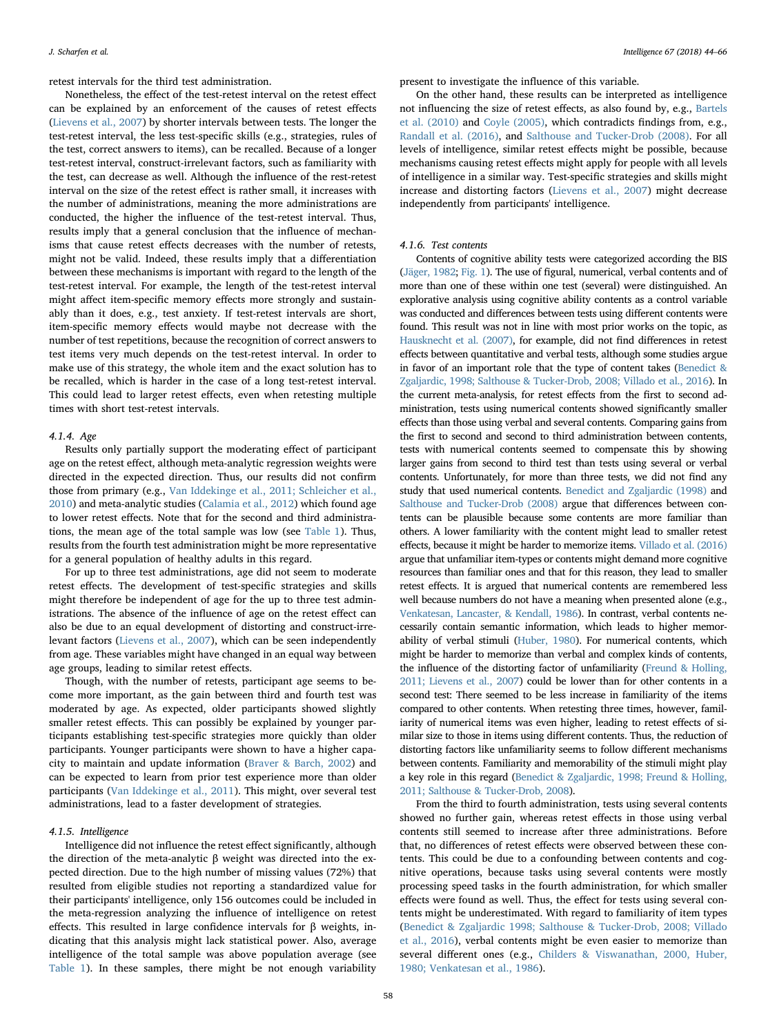retest intervals for the third test administration.

Nonetheless, the effect of the test-retest interval on the retest effect can be explained by an enforcement of the causes of retest effects ([Lievens et al., 2007](#page-21-4)) by shorter intervals between tests. The longer the test-retest interval, the less test-specific skills (e.g., strategies, rules of the test, correct answers to items), can be recalled. Because of a longer test-retest interval, construct-irrelevant factors, such as familiarity with the test, can decrease as well. Although the influence of the rest-retest interval on the size of the retest effect is rather small, it increases with the number of administrations, meaning the more administrations are conducted, the higher the influence of the test-retest interval. Thus, results imply that a general conclusion that the influence of mechanisms that cause retest effects decreases with the number of retests, might not be valid. Indeed, these results imply that a differentiation between these mechanisms is important with regard to the length of the test-retest interval. For example, the length of the test-retest interval might affect item-specific memory effects more strongly and sustainably than it does, e.g., test anxiety. If test-retest intervals are short, item-specific memory effects would maybe not decrease with the number of test repetitions, because the recognition of correct answers to test items very much depends on the test-retest interval. In order to make use of this strategy, the whole item and the exact solution has to be recalled, which is harder in the case of a long test-retest interval. This could lead to larger retest effects, even when retesting multiple times with short test-retest intervals.

#### 4.1.4. Age

Results only partially support the moderating effect of participant age on the retest effect, although meta-analytic regression weights were directed in the expected direction. Thus, our results did not confirm those from primary (e.g., [Van Iddekinge et al., 2011; Schleicher et al.,](#page-22-6) [2010\)](#page-22-6) and meta-analytic studies [\(Calamia et al., 2012](#page-20-1)) which found age to lower retest effects. Note that for the second and third administrations, the mean age of the total sample was low (see [Table 1](#page-6-0)). Thus, results from the fourth test administration might be more representative for a general population of healthy adults in this regard.

For up to three test administrations, age did not seem to moderate retest effects. The development of test-specific strategies and skills might therefore be independent of age for the up to three test administrations. The absence of the influence of age on the retest effect can also be due to an equal development of distorting and construct-irrelevant factors ([Lievens et al., 2007\)](#page-21-4), which can be seen independently from age. These variables might have changed in an equal way between age groups, leading to similar retest effects.

Though, with the number of retests, participant age seems to become more important, as the gain between third and fourth test was moderated by age. As expected, older participants showed slightly smaller retest effects. This can possibly be explained by younger participants establishing test-specific strategies more quickly than older participants. Younger participants were shown to have a higher capacity to maintain and update information [\(Braver & Barch, 2002](#page-20-16)) and can be expected to learn from prior test experience more than older participants [\(Van Iddekinge et al., 2011\)](#page-22-6). This might, over several test administrations, lead to a faster development of strategies.

### 4.1.5. Intelligence

Intelligence did not influence the retest effect significantly, although the direction of the meta-analytic β weight was directed into the expected direction. Due to the high number of missing values (72%) that resulted from eligible studies not reporting a standardized value for their participants' intelligence, only 156 outcomes could be included in the meta-regression analyzing the influence of intelligence on retest effects. This resulted in large confidence intervals for β weights, indicating that this analysis might lack statistical power. Also, average intelligence of the total sample was above population average (see [Table 1](#page-6-0)). In these samples, there might be not enough variability

present to investigate the influence of this variable.

On the other hand, these results can be interpreted as intelligence not influencing the size of retest effects, as also found by, e.g., [Bartels](#page-20-2) [et al. \(2010\)](#page-20-2) and [Coyle \(2005\),](#page-21-29) which contradicts findings from, e.g., [Randall et al. \(2016\)](#page-20-18), and [Salthouse and Tucker-Drob \(2008\).](#page-22-15) For all levels of intelligence, similar retest effects might be possible, because mechanisms causing retest effects might apply for people with all levels of intelligence in a similar way. Test-specific strategies and skills might increase and distorting factors ([Lievens et al., 2007](#page-21-4)) might decrease independently from participants' intelligence.

### 4.1.6. Test contents

Contents of cognitive ability tests were categorized according the BIS [\(Jäger, 1982](#page-21-5); [Fig. 1\)](#page-2-0). The use of figural, numerical, verbal contents and of more than one of these within one test (several) were distinguished. An explorative analysis using cognitive ability contents as a control variable was conducted and differences between tests using different contents were found. This result was not in line with most prior works on the topic, as [Hausknecht et al. \(2007\)](#page-21-2), for example, did not find differences in retest effects between quantitative and verbal tests, although some studies argue in favor of an important role that the type of content takes ([Benedict &](#page-20-31) [Zgaljardic, 1998; Salthouse & Tucker-Drob, 2008; Villado et al., 2016](#page-20-31)). In the current meta-analysis, for retest effects from the first to second administration, tests using numerical contents showed significantly smaller effects than those using verbal and several contents. Comparing gains from the first to second and second to third administration between contents, tests with numerical contents seemed to compensate this by showing larger gains from second to third test than tests using several or verbal contents. Unfortunately, for more than three tests, we did not find any study that used numerical contents. [Benedict and Zgaljardic \(1998\)](#page-20-31) and [Salthouse and Tucker-Drob \(2008\)](#page-22-15) argue that differences between contents can be plausible because some contents are more familiar than others. A lower familiarity with the content might lead to smaller retest effects, because it might be harder to memorize items. [Villado et al. \(2016\)](#page-20-3) argue that unfamiliar item-types or contents might demand more cognitive resources than familiar ones and that for this reason, they lead to smaller retest effects. It is argued that numerical contents are remembered less well because numbers do not have a meaning when presented alone (e.g., [Venkatesan, Lancaster, & Kendall, 1986](#page-22-16)). In contrast, verbal contents necessarily contain semantic information, which leads to higher memorability of verbal stimuli [\(Huber, 1980](#page-21-30)). For numerical contents, which might be harder to memorize than verbal and complex kinds of contents, the influence of the distorting factor of unfamiliarity [\(Freund & Holling,](#page-20-30) [2011; Lievens et al., 2007](#page-20-30)) could be lower than for other contents in a second test: There seemed to be less increase in familiarity of the items compared to other contents. When retesting three times, however, familiarity of numerical items was even higher, leading to retest effects of similar size to those in items using different contents. Thus, the reduction of distorting factors like unfamiliarity seems to follow different mechanisms between contents. Familiarity and memorability of the stimuli might play a key role in this regard [\(Benedict & Zgaljardic, 1998; Freund & Holling,](#page-20-31) [2011; Salthouse & Tucker-Drob, 2008](#page-20-31)).

From the third to fourth administration, tests using several contents showed no further gain, whereas retest effects in those using verbal contents still seemed to increase after three administrations. Before that, no differences of retest effects were observed between these contents. This could be due to a confounding between contents and cognitive operations, because tasks using several contents were mostly processing speed tasks in the fourth administration, for which smaller effects were found as well. Thus, the effect for tests using several contents might be underestimated. With regard to familiarity of item types ([Benedict & Zgaljardic 1998; Salthouse & Tucker-Drob, 2008; Villado](#page-20-31) [et al., 2016](#page-20-31)), verbal contents might be even easier to memorize than several different ones (e.g., [Childers & Viswanathan, 2000, Huber,](#page-20-32) [1980; Venkatesan et al., 1986](#page-20-32)).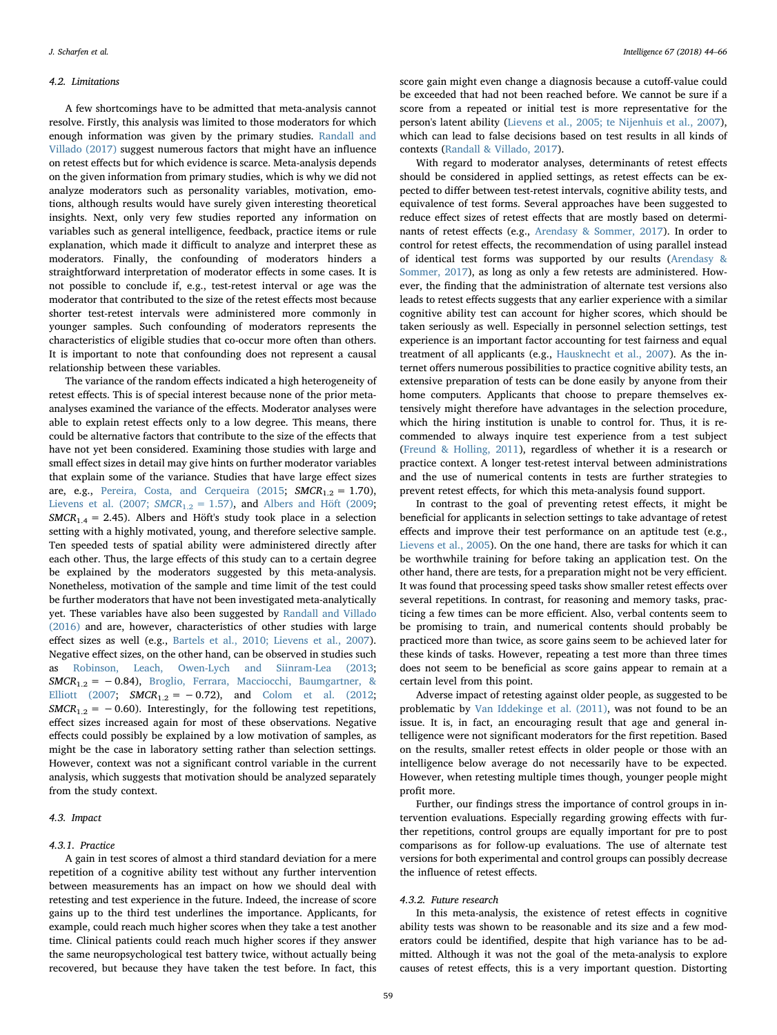### 4.2. Limitations

A few shortcomings have to be admitted that meta-analysis cannot resolve. Firstly, this analysis was limited to those moderators for which enough information was given by the primary studies. [Randall and](#page-22-0) [Villado \(2017\)](#page-22-0) suggest numerous factors that might have an influence on retest effects but for which evidence is scarce. Meta-analysis depends on the given information from primary studies, which is why we did not analyze moderators such as personality variables, motivation, emotions, although results would have surely given interesting theoretical insights. Next, only very few studies reported any information on variables such as general intelligence, feedback, practice items or rule explanation, which made it difficult to analyze and interpret these as moderators. Finally, the confounding of moderators hinders a straightforward interpretation of moderator effects in some cases. It is not possible to conclude if, e.g., test-retest interval or age was the moderator that contributed to the size of the retest effects most because shorter test-retest intervals were administered more commonly in younger samples. Such confounding of moderators represents the characteristics of eligible studies that co-occur more often than others. It is important to note that confounding does not represent a causal relationship between these variables.

The variance of the random effects indicated a high heterogeneity of retest effects. This is of special interest because none of the prior metaanalyses examined the variance of the effects. Moderator analyses were able to explain retest effects only to a low degree. This means, there could be alternative factors that contribute to the size of the effects that have not yet been considered. Examining those studies with large and small effect sizes in detail may give hints on further moderator variables that explain some of the variance. Studies that have large effect sizes are, e.g., [Pereira, Costa, and Cerqueira \(2015](#page-22-17);  $SMCR_{1.2} = 1.70$ ), [Lievens et al. \(2007;](#page-21-4)  $SMCR_{1,2} = 1.57$ ), and [Albers and Höft \(2009](#page-20-7);  $SMCR_{1.4} = 2.45$ . Albers and Höft's study took place in a selection setting with a highly motivated, young, and therefore selective sample. Ten speeded tests of spatial ability were administered directly after each other. Thus, the large effects of this study can to a certain degree be explained by the moderators suggested by this meta-analysis. Nonetheless, motivation of the sample and time limit of the test could be further moderators that have not been investigated meta-analytically yet. These variables have also been suggested by [Randall and Villado](#page-20-18) [\(2016\)](#page-20-18) and are, however, characteristics of other studies with large effect sizes as well (e.g., [Bartels et al., 2010; Lievens et al., 2007](#page-20-2)). Negative effect sizes, on the other hand, can be observed in studies such as [Robinson, Leach, Owen-Lych and Siinram-Lea \(2013](#page-20-33);  $SMCR_{1,2} = -0.84$ ), [Broglio, Ferrara, Macciocchi, Baumgartner, &](#page-20-34) [Elliott \(2007;](#page-20-34)  $SMCR_{1.2} = -0.72$ ), and [Colom et al. \(2012](#page-20-35);  $SMCR_{1,2} = -0.60$ ). Interestingly, for the following test repetitions, effect sizes increased again for most of these observations. Negative effects could possibly be explained by a low motivation of samples, as might be the case in laboratory setting rather than selection settings. However, context was not a significant control variable in the current analysis, which suggests that motivation should be analyzed separately from the study context.

### 4.3. Impact

### 4.3.1. Practice

A gain in test scores of almost a third standard deviation for a mere repetition of a cognitive ability test without any further intervention between measurements has an impact on how we should deal with retesting and test experience in the future. Indeed, the increase of score gains up to the third test underlines the importance. Applicants, for example, could reach much higher scores when they take a test another time. Clinical patients could reach much higher scores if they answer the same neuropsychological test battery twice, without actually being recovered, but because they have taken the test before. In fact, this

score gain might even change a diagnosis because a cutoff-value could be exceeded that had not been reached before. We cannot be sure if a score from a repeated or initial test is more representative for the person's latent ability [\(Lievens et al., 2005; te Nijenhuis et al., 2007](#page-21-31)), which can lead to false decisions based on test results in all kinds of contexts [\(Randall & Villado, 2017](#page-22-0)).

With regard to moderator analyses, determinants of retest effects should be considered in applied settings, as retest effects can be expected to differ between test-retest intervals, cognitive ability tests, and equivalence of test forms. Several approaches have been suggested to reduce effect sizes of retest effects that are mostly based on determinants of retest effects (e.g., [Arendasy & Sommer, 2017\)](#page-20-0). In order to control for retest effects, the recommendation of using parallel instead of identical test forms was supported by our results [\(Arendasy &](#page-20-0) [Sommer, 2017\)](#page-20-0), as long as only a few retests are administered. However, the finding that the administration of alternate test versions also leads to retest effects suggests that any earlier experience with a similar cognitive ability test can account for higher scores, which should be taken seriously as well. Especially in personnel selection settings, test experience is an important factor accounting for test fairness and equal treatment of all applicants (e.g., [Hausknecht et al., 2007](#page-21-2)). As the internet offers numerous possibilities to practice cognitive ability tests, an extensive preparation of tests can be done easily by anyone from their home computers. Applicants that choose to prepare themselves extensively might therefore have advantages in the selection procedure, which the hiring institution is unable to control for. Thus, it is recommended to always inquire test experience from a test subject ([Freund & Holling, 2011](#page-20-30)), regardless of whether it is a research or practice context. A longer test-retest interval between administrations and the use of numerical contents in tests are further strategies to prevent retest effects, for which this meta-analysis found support.

In contrast to the goal of preventing retest effects, it might be beneficial for applicants in selection settings to take advantage of retest effects and improve their test performance on an aptitude test (e.g., [Lievens et al., 2005\)](#page-21-31). On the one hand, there are tasks for which it can be worthwhile training for before taking an application test. On the other hand, there are tests, for a preparation might not be very efficient. It was found that processing speed tasks show smaller retest effects over several repetitions. In contrast, for reasoning and memory tasks, practicing a few times can be more efficient. Also, verbal contents seem to be promising to train, and numerical contents should probably be practiced more than twice, as score gains seem to be achieved later for these kinds of tasks. However, repeating a test more than three times does not seem to be beneficial as score gains appear to remain at a certain level from this point.

Adverse impact of retesting against older people, as suggested to be problematic by [Van Iddekinge et al. \(2011\),](#page-22-6) was not found to be an issue. It is, in fact, an encouraging result that age and general intelligence were not significant moderators for the first repetition. Based on the results, smaller retest effects in older people or those with an intelligence below average do not necessarily have to be expected. However, when retesting multiple times though, younger people might profit more.

Further, our findings stress the importance of control groups in intervention evaluations. Especially regarding growing effects with further repetitions, control groups are equally important for pre to post comparisons as for follow-up evaluations. The use of alternate test versions for both experimental and control groups can possibly decrease the influence of retest effects.

#### 4.3.2. Future research

In this meta-analysis, the existence of retest effects in cognitive ability tests was shown to be reasonable and its size and a few moderators could be identified, despite that high variance has to be admitted. Although it was not the goal of the meta-analysis to explore causes of retest effects, this is a very important question. Distorting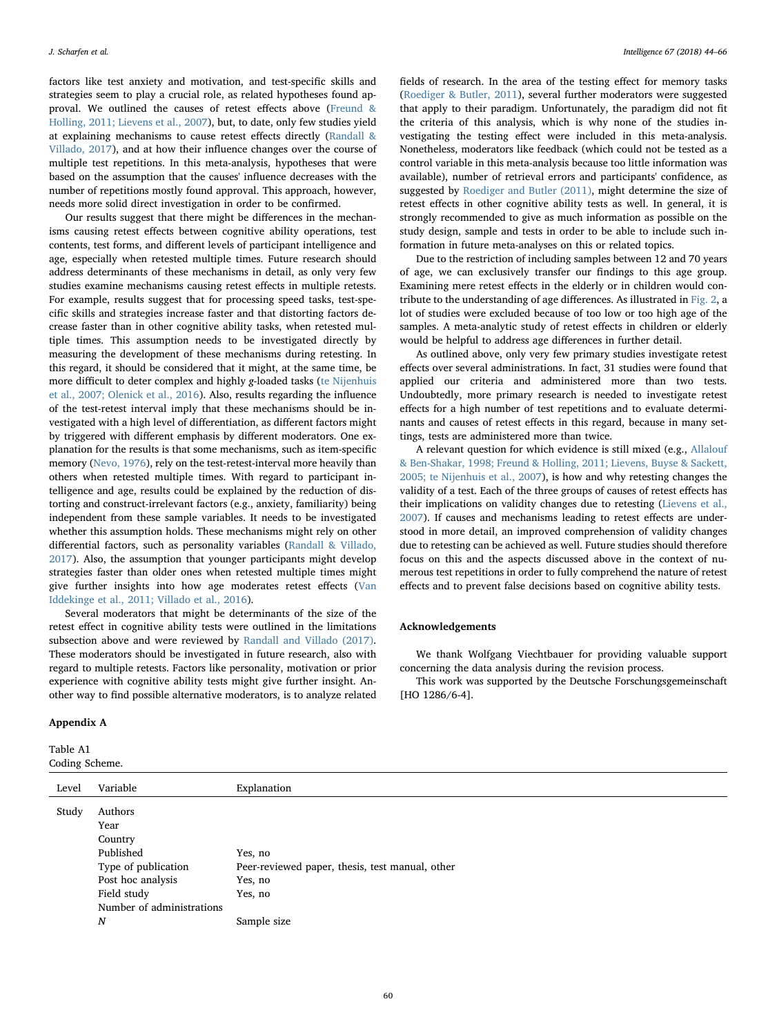factors like test anxiety and motivation, and test-specific skills and strategies seem to play a crucial role, as related hypotheses found approval. We outlined the causes of retest effects above [\(Freund &](#page-20-30) [Holling, 2011; Lievens et al., 2007](#page-20-30)), but, to date, only few studies yield at explaining mechanisms to cause retest effects directly [\(Randall &](#page-22-0) [Villado, 2017](#page-22-0)), and at how their influence changes over the course of multiple test repetitions. In this meta-analysis, hypotheses that were based on the assumption that the causes' influence decreases with the number of repetitions mostly found approval. This approach, however, needs more solid direct investigation in order to be confirmed.

Our results suggest that there might be differences in the mechanisms causing retest effects between cognitive ability operations, test contents, test forms, and different levels of participant intelligence and age, especially when retested multiple times. Future research should address determinants of these mechanisms in detail, as only very few studies examine mechanisms causing retest effects in multiple retests. For example, results suggest that for processing speed tasks, test-specific skills and strategies increase faster and that distorting factors decrease faster than in other cognitive ability tasks, when retested multiple times. This assumption needs to be investigated directly by measuring the development of these mechanisms during retesting. In this regard, it should be considered that it might, at the same time, be more difficult to deter complex and highly g-loaded tasks ([te Nijenhuis](#page-21-27) [et al., 2007; Olenick et al., 2016\)](#page-21-27). Also, results regarding the influence of the test-retest interval imply that these mechanisms should be investigated with a high level of differentiation, as different factors might by triggered with different emphasis by different moderators. One explanation for the results is that some mechanisms, such as item-specific memory ([Nevo, 1976](#page-21-32)), rely on the test-retest-interval more heavily than others when retested multiple times. With regard to participant intelligence and age, results could be explained by the reduction of distorting and construct-irrelevant factors (e.g., anxiety, familiarity) being independent from these sample variables. It needs to be investigated whether this assumption holds. These mechanisms might rely on other differential factors, such as personality variables [\(Randall & Villado,](#page-22-0) [2017\)](#page-22-0). Also, the assumption that younger participants might develop strategies faster than older ones when retested multiple times might give further insights into how age moderates retest effects ([Van](#page-22-6) [Iddekinge et al., 2011; Villado et al., 2016](#page-22-6)).

Several moderators that might be determinants of the size of the retest effect in cognitive ability tests were outlined in the limitations subsection above and were reviewed by [Randall and Villado \(2017\)](#page-22-0). These moderators should be investigated in future research, also with regard to multiple retests. Factors like personality, motivation or prior experience with cognitive ability tests might give further insight. Another way to find possible alternative moderators, is to analyze related

### Appendix A

<span id="page-16-0"></span>Table A1 Coding Scheme.

fields of research. In the area of the testing effect for memory tasks ([Roediger & Butler, 2011](#page-22-1)), several further moderators were suggested that apply to their paradigm. Unfortunately, the paradigm did not fit the criteria of this analysis, which is why none of the studies investigating the testing effect were included in this meta-analysis. Nonetheless, moderators like feedback (which could not be tested as a control variable in this meta-analysis because too little information was available), number of retrieval errors and participants' confidence, as suggested by [Roediger and Butler \(2011\),](#page-22-1) might determine the size of retest effects in other cognitive ability tests as well. In general, it is strongly recommended to give as much information as possible on the study design, sample and tests in order to be able to include such information in future meta-analyses on this or related topics.

Due to the restriction of including samples between 12 and 70 years of age, we can exclusively transfer our findings to this age group. Examining mere retest effects in the elderly or in children would contribute to the understanding of age differences. As illustrated in [Fig. 2](#page-5-0), a lot of studies were excluded because of too low or too high age of the samples. A meta-analytic study of retest effects in children or elderly would be helpful to address age differences in further detail.

As outlined above, only very few primary studies investigate retest effects over several administrations. In fact, 31 studies were found that applied our criteria and administered more than two tests. Undoubtedly, more primary research is needed to investigate retest effects for a high number of test repetitions and to evaluate determinants and causes of retest effects in this regard, because in many settings, tests are administered more than twice.

A relevant question for which evidence is still mixed (e.g., [Allalouf](#page-20-6) [& Ben-Shakar, 1998; Freund & Holling, 2011; Lievens, Buyse & Sackett,](#page-20-6) [2005; te Nijenhuis et al., 2007](#page-20-6)), is how and why retesting changes the validity of a test. Each of the three groups of causes of retest effects has their implications on validity changes due to retesting ([Lievens et al.,](#page-21-4) [2007\)](#page-21-4). If causes and mechanisms leading to retest effects are understood in more detail, an improved comprehension of validity changes due to retesting can be achieved as well. Future studies should therefore focus on this and the aspects discussed above in the context of numerous test repetitions in order to fully comprehend the nature of retest effects and to prevent false decisions based on cognitive ability tests.

#### Acknowledgements

We thank Wolfgang Viechtbauer for providing valuable support concerning the data analysis during the revision process.

This work was supported by the Deutsche Forschungsgemeinschaft [HO 1286/6-4].

| $50$ and $\lambda$ belocation. |                           |                                                 |
|--------------------------------|---------------------------|-------------------------------------------------|
| Level                          | Variable                  | Explanation                                     |
| Study                          | Authors                   |                                                 |
|                                | Year                      |                                                 |
|                                | Country                   |                                                 |
|                                | Published                 | Yes, no                                         |
|                                | Type of publication       | Peer-reviewed paper, thesis, test manual, other |
|                                | Post hoc analysis         | Yes, no                                         |
|                                | Field study               | Yes, no                                         |
|                                | Number of administrations |                                                 |
|                                | $\boldsymbol{N}$          | Sample size                                     |
|                                |                           |                                                 |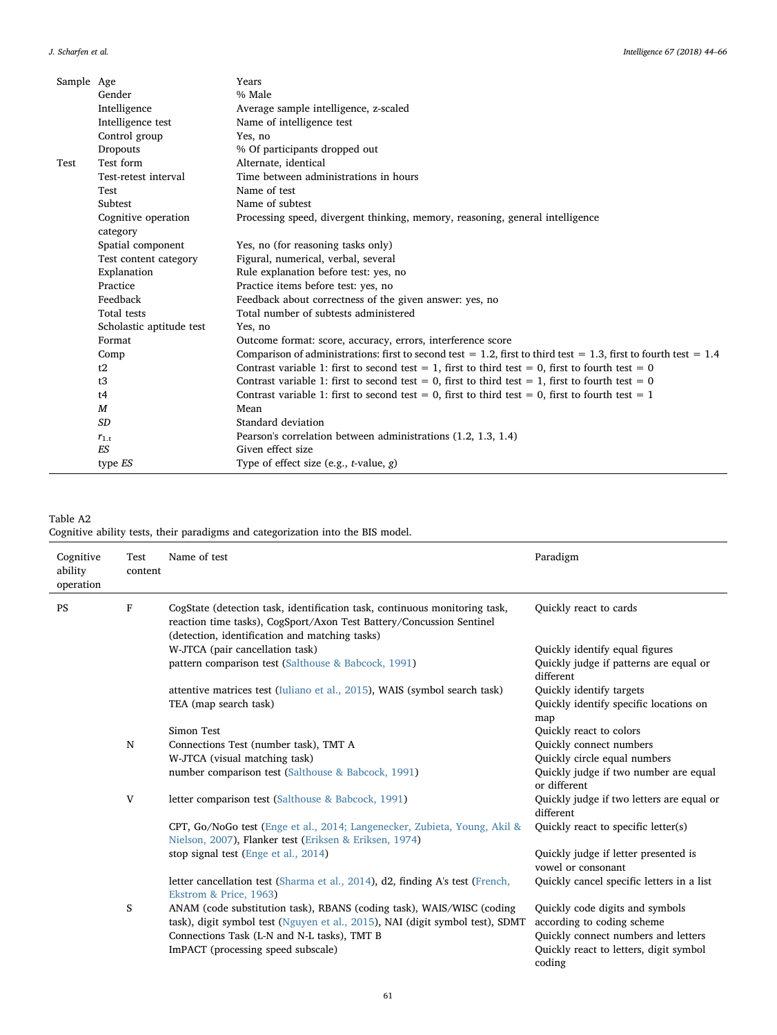| Sample Age |                          | Years                                                                                                            |
|------------|--------------------------|------------------------------------------------------------------------------------------------------------------|
|            | Gender                   | % Male                                                                                                           |
|            | Intelligence             | Average sample intelligence, z-scaled                                                                            |
|            | Intelligence test        | Name of intelligence test                                                                                        |
|            | Control group            | Yes, no                                                                                                          |
|            | <b>Dropouts</b>          | % Of participants dropped out                                                                                    |
| Test       | Test form                | Alternate, identical                                                                                             |
|            | Test-retest interval     | Time between administrations in hours                                                                            |
|            | Test                     | Name of test                                                                                                     |
|            | Subtest                  | Name of subtest                                                                                                  |
|            | Cognitive operation      | Processing speed, divergent thinking, memory, reasoning, general intelligence                                    |
|            | category                 |                                                                                                                  |
|            | Spatial component        | Yes, no (for reasoning tasks only)                                                                               |
|            | Test content category    | Figural, numerical, verbal, several                                                                              |
|            | Explanation              | Rule explanation before test: yes, no                                                                            |
|            | Practice                 | Practice items before test: yes, no                                                                              |
|            | Feedback                 | Feedback about correctness of the given answer: yes, no                                                          |
|            | Total tests              | Total number of subtests administered                                                                            |
|            | Scholastic aptitude test | Yes, no                                                                                                          |
|            | Format                   | Outcome format: score, accuracy, errors, interference score                                                      |
|            | Comp                     | Comparison of administrations: first to second test = 1.2, first to third test = 1.3, first to fourth test = 1.4 |
|            | t2                       | Contrast variable 1: first to second test = 1, first to third test = 0, first to fourth test = 0                 |
|            | t3                       | Contrast variable 1: first to second test = 0, first to third test = 1, first to fourth test = 0                 |
|            | t4                       | Contrast variable 1: first to second test = 0, first to third test = 0, first to fourth test = 1                 |
|            | $\boldsymbol{M}$         | Mean                                                                                                             |
|            | <b>SD</b>                | Standard deviation                                                                                               |
|            | $r_{1,t}$                | Pearson's correlation between administrations (1.2, 1.3, 1.4)                                                    |
|            | <b>ES</b>                | Given effect size                                                                                                |
|            | type <i>ES</i>           | Type of effect size (e.g., $t$ -value, $g$ )                                                                     |

## <span id="page-17-0"></span>Table A2

Cognitive ability tests, their paradigms and categorization into the BIS model.

| Cognitive<br>ability<br>operation | Test<br>content | Name of test                                                                                                                                                                                                                                | Paradigm                                                                                                                                                 |
|-----------------------------------|-----------------|---------------------------------------------------------------------------------------------------------------------------------------------------------------------------------------------------------------------------------------------|----------------------------------------------------------------------------------------------------------------------------------------------------------|
| PS                                | F               | CogState (detection task, identification task, continuous monitoring task,<br>reaction time tasks), CogSport/Axon Test Battery/Concussion Sentinel<br>(detection, identification and matching tasks)                                        | Quickly react to cards                                                                                                                                   |
|                                   |                 | W-JTCA (pair cancellation task)                                                                                                                                                                                                             | Quickly identify equal figures                                                                                                                           |
|                                   |                 | pattern comparison test (Salthouse & Babcock, 1991)                                                                                                                                                                                         | Quickly judge if patterns are equal or<br>different                                                                                                      |
|                                   |                 | attentive matrices test (Iuliano et al., 2015), WAIS (symbol search task)<br>TEA (map search task)                                                                                                                                          | Quickly identify targets<br>Quickly identify specific locations on<br>map                                                                                |
|                                   |                 | Simon Test                                                                                                                                                                                                                                  | Quickly react to colors                                                                                                                                  |
|                                   | ${\bf N}$       | Connections Test (number task), TMT A                                                                                                                                                                                                       | Quickly connect numbers                                                                                                                                  |
|                                   |                 | W-JTCA (visual matching task)                                                                                                                                                                                                               | Quickly circle equal numbers                                                                                                                             |
|                                   |                 | number comparison test (Salthouse & Babcock, 1991)                                                                                                                                                                                          | Quickly judge if two number are equal<br>or different                                                                                                    |
|                                   | V               | letter comparison test (Salthouse & Babcock, 1991)                                                                                                                                                                                          | Quickly judge if two letters are equal or<br>different                                                                                                   |
|                                   |                 | CPT, Go/NoGo test (Enge et al., 2014; Langenecker, Zubieta, Young, Akil &<br>Nielson, 2007), Flanker test (Eriksen & Eriksen, 1974)                                                                                                         | Quickly react to specific letter(s)                                                                                                                      |
|                                   |                 | stop signal test (Enge et al., 2014)                                                                                                                                                                                                        | Quickly judge if letter presented is<br>vowel or consonant                                                                                               |
|                                   |                 | letter cancellation test (Sharma et al., 2014), d2, finding A's test (French,<br>Ekstrom & Price, 1963)                                                                                                                                     | Quickly cancel specific letters in a list                                                                                                                |
|                                   | S               | ANAM (code substitution task), RBANS (coding task), WAIS/WISC (coding<br>task), digit symbol test (Nguyen et al., 2015), NAI (digit symbol test), SDMT<br>Connections Task (L-N and N-L tasks), TMT B<br>ImPACT (processing speed subscale) | Quickly code digits and symbols<br>according to coding scheme<br>Quickly connect numbers and letters<br>Quickly react to letters, digit symbol<br>coding |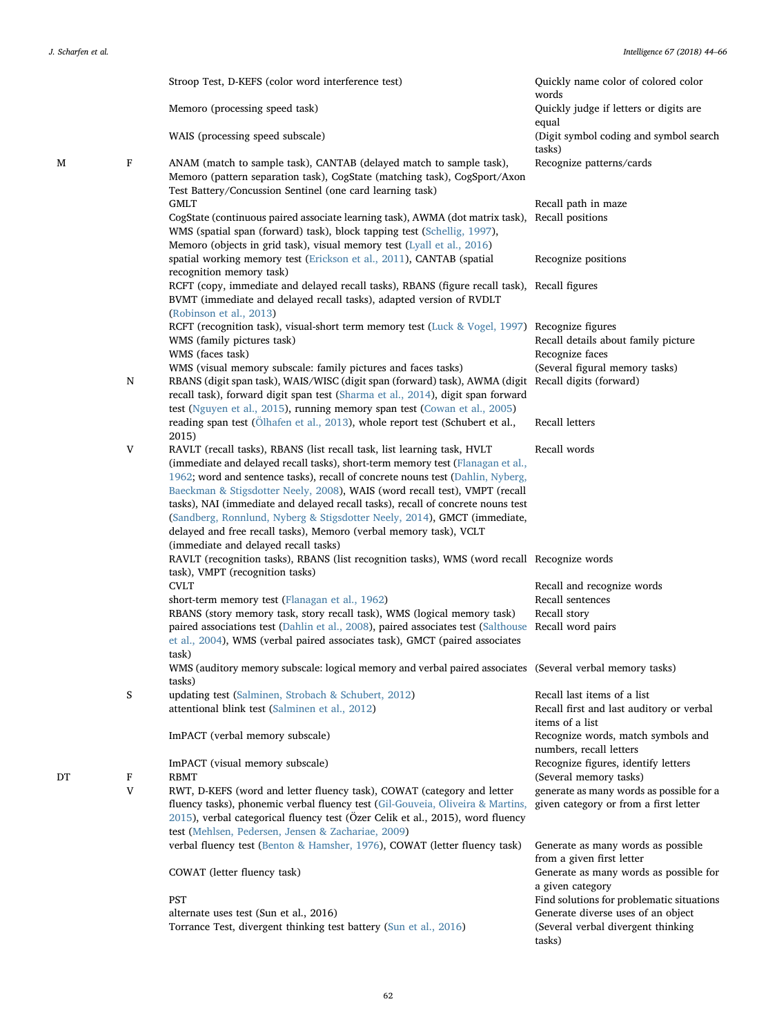|    |        | Stroop Test, D-KEFS (color word interference test)                                                                                                                                                            | Quickly name color of colored color<br>words                       |
|----|--------|---------------------------------------------------------------------------------------------------------------------------------------------------------------------------------------------------------------|--------------------------------------------------------------------|
|    |        | Memoro (processing speed task)                                                                                                                                                                                | Quickly judge if letters or digits are<br>equal                    |
|    |        | WAIS (processing speed subscale)                                                                                                                                                                              | (Digit symbol coding and symbol search<br>tasks)                   |
| M  | F      | ANAM (match to sample task), CANTAB (delayed match to sample task),<br>Memoro (pattern separation task), CogState (matching task), CogSport/Axon<br>Test Battery/Concussion Sentinel (one card learning task) | Recognize patterns/cards                                           |
|    |        | <b>GMLT</b>                                                                                                                                                                                                   | Recall path in maze                                                |
|    |        | CogState (continuous paired associate learning task), AWMA (dot matrix task), Recall positions<br>WMS (spatial span (forward) task), block tapping test (Schellig, 1997),                                     |                                                                    |
|    |        | Memoro (objects in grid task), visual memory test (Lyall et al., 2016)<br>spatial working memory test (Erickson et al., 2011), CANTAB (spatial                                                                | Recognize positions                                                |
|    |        | recognition memory task)                                                                                                                                                                                      |                                                                    |
|    |        | RCFT (copy, immediate and delayed recall tasks), RBANS (figure recall task), Recall figures<br>BVMT (immediate and delayed recall tasks), adapted version of RVDLT<br>(Robinson et al., 2013)                 |                                                                    |
|    |        | RCFT (recognition task), visual-short term memory test (Luck & Vogel, 1997) Recognize figures                                                                                                                 |                                                                    |
|    |        | WMS (family pictures task)                                                                                                                                                                                    | Recall details about family picture                                |
|    |        | WMS (faces task)                                                                                                                                                                                              | Recognize faces                                                    |
|    |        | WMS (visual memory subscale: family pictures and faces tasks)                                                                                                                                                 | (Several figural memory tasks)                                     |
|    | N      | RBANS (digit span task), WAIS/WISC (digit span (forward) task), AWMA (digit Recall digits (forward)<br>recall task), forward digit span test (Sharma et al., 2014), digit span forward                        |                                                                    |
|    |        | test (Nguyen et al., 2015), running memory span test (Cowan et al., 2005)                                                                                                                                     |                                                                    |
|    |        | reading span test (Ölhafen et al., 2013), whole report test (Schubert et al.,<br>2015)                                                                                                                        | Recall letters                                                     |
|    | V      | RAVLT (recall tasks), RBANS (list recall task, list learning task, HVLT                                                                                                                                       | Recall words                                                       |
|    |        | (immediate and delayed recall tasks), short-term memory test (Flanagan et al.,                                                                                                                                |                                                                    |
|    |        | 1962; word and sentence tasks), recall of concrete nouns test (Dahlin, Nyberg,                                                                                                                                |                                                                    |
|    |        | Baeckman & Stigsdotter Neely, 2008), WAIS (word recall test), VMPT (recall                                                                                                                                    |                                                                    |
|    |        | tasks), NAI (immediate and delayed recall tasks), recall of concrete nouns test                                                                                                                               |                                                                    |
|    |        | (Sandberg, Ronnlund, Nyberg & Stigsdotter Neely, 2014), GMCT (immediate,                                                                                                                                      |                                                                    |
|    |        | delayed and free recall tasks), Memoro (verbal memory task), VCLT                                                                                                                                             |                                                                    |
|    |        | (immediate and delayed recall tasks)                                                                                                                                                                          |                                                                    |
|    |        | RAVLT (recognition tasks), RBANS (list recognition tasks), WMS (word recall Recognize words                                                                                                                   |                                                                    |
|    |        | task), VMPT (recognition tasks)                                                                                                                                                                               |                                                                    |
|    |        | <b>CVLT</b>                                                                                                                                                                                                   | Recall and recognize words                                         |
|    |        | short-term memory test (Flanagan et al., 1962)                                                                                                                                                                | Recall sentences                                                   |
|    |        | RBANS (story memory task, story recall task), WMS (logical memory task)                                                                                                                                       | Recall story                                                       |
|    |        | paired associations test (Dahlin et al., 2008), paired associates test (Salthouse Recall word pairs                                                                                                           |                                                                    |
|    |        | et al., 2004), WMS (verbal paired associates task), GMCT (paired associates                                                                                                                                   |                                                                    |
|    |        | task)                                                                                                                                                                                                         |                                                                    |
|    |        | WMS (auditory memory subscale: logical memory and verbal paired associates (Several verbal memory tasks)<br>tasks)                                                                                            |                                                                    |
|    | S      | updating test (Salminen, Strobach & Schubert, 2012)                                                                                                                                                           | Recall last items of a list                                        |
|    |        | attentional blink test (Salminen et al., 2012)                                                                                                                                                                | Recall first and last auditory or verbal                           |
|    |        |                                                                                                                                                                                                               | items of a list                                                    |
|    |        | ImPACT (verbal memory subscale)                                                                                                                                                                               | Recognize words, match symbols and<br>numbers, recall letters      |
|    |        | ImPACT (visual memory subscale)                                                                                                                                                                               | Recognize figures, identify letters                                |
| DT | F<br>V | <b>RBMT</b><br>RWT, D-KEFS (word and letter fluency task), COWAT (category and letter                                                                                                                         | (Several memory tasks)<br>generate as many words as possible for a |
|    |        | fluency tasks), phonemic verbal fluency test (Gil-Gouveia, Oliveira & Martins,<br>2015), verbal categorical fluency test (Özer Celik et al., 2015), word fluency                                              | given category or from a first letter                              |
|    |        | test (Mehlsen, Pedersen, Jensen & Zachariae, 2009)                                                                                                                                                            |                                                                    |
|    |        | verbal fluency test (Benton & Hamsher, 1976), COWAT (letter fluency task)                                                                                                                                     | Generate as many words as possible<br>from a given first letter    |
|    |        | COWAT (letter fluency task)                                                                                                                                                                                   | Generate as many words as possible for<br>a given category         |
|    |        | PST                                                                                                                                                                                                           | Find solutions for problematic situations                          |
|    |        | alternate uses test (Sun et al., 2016)                                                                                                                                                                        | Generate diverse uses of an object                                 |
|    |        | Torrance Test, divergent thinking test battery (Sun et al., 2016)                                                                                                                                             | (Several verbal divergent thinking<br>tasks)                       |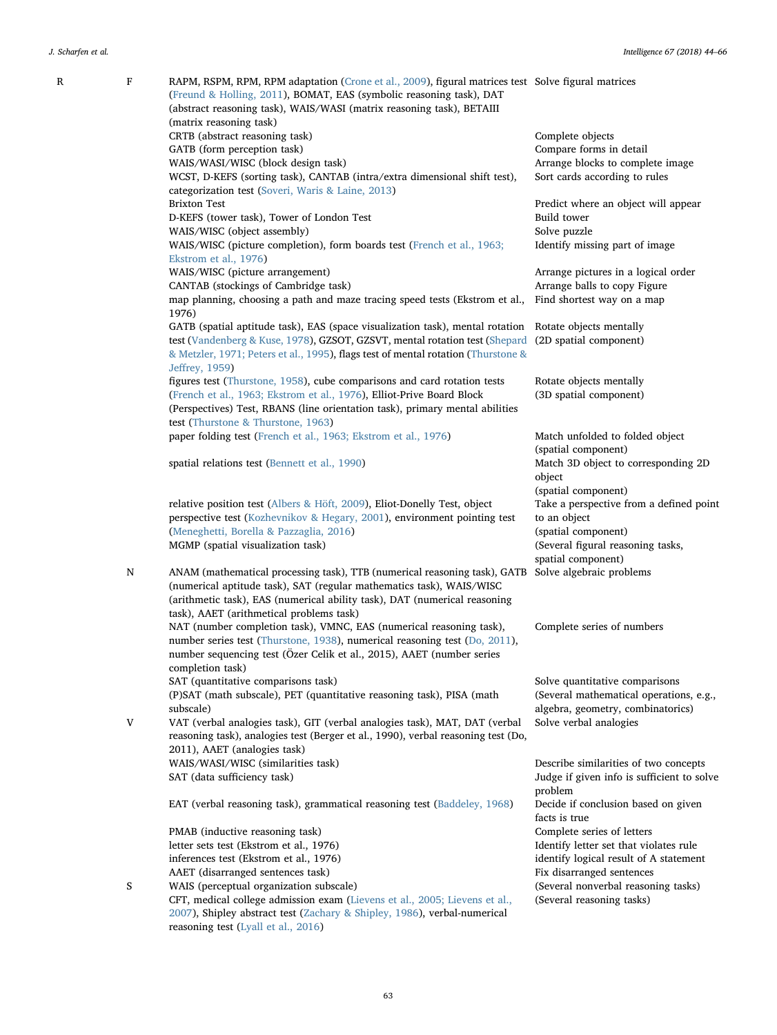| R | F | RAPM, RSPM, RPM, RPM adaptation (Crone et al., 2009), figural matrices test Solve figural matrices<br>(Freund & Holling, 2011), BOMAT, EAS (symbolic reasoning task), DAT<br>(abstract reasoning task), WAIS/WASI (matrix reasoning task), BETAIII<br>(matrix reasoning task) |                                                      |
|---|---|-------------------------------------------------------------------------------------------------------------------------------------------------------------------------------------------------------------------------------------------------------------------------------|------------------------------------------------------|
|   |   |                                                                                                                                                                                                                                                                               |                                                      |
|   |   | CRTB (abstract reasoning task)                                                                                                                                                                                                                                                | Complete objects                                     |
|   |   | GATB (form perception task)                                                                                                                                                                                                                                                   | Compare forms in detail                              |
|   |   | WAIS/WASI/WISC (block design task)                                                                                                                                                                                                                                            | Arrange blocks to complete image                     |
|   |   | WCST, D-KEFS (sorting task), CANTAB (intra/extra dimensional shift test),                                                                                                                                                                                                     | Sort cards according to rules                        |
|   |   | categorization test (Soveri, Waris & Laine, 2013)                                                                                                                                                                                                                             |                                                      |
|   |   | <b>Brixton Test</b>                                                                                                                                                                                                                                                           | Predict where an object will appear                  |
|   |   | D-KEFS (tower task), Tower of London Test                                                                                                                                                                                                                                     | Build tower                                          |
|   |   | WAIS/WISC (object assembly)                                                                                                                                                                                                                                                   | Solve puzzle                                         |
|   |   | WAIS/WISC (picture completion), form boards test (French et al., 1963;                                                                                                                                                                                                        | Identify missing part of image                       |
|   |   | Ekstrom et al., 1976)                                                                                                                                                                                                                                                         |                                                      |
|   |   | WAIS/WISC (picture arrangement)                                                                                                                                                                                                                                               | Arrange pictures in a logical order                  |
|   |   |                                                                                                                                                                                                                                                                               |                                                      |
|   |   | CANTAB (stockings of Cambridge task)                                                                                                                                                                                                                                          | Arrange balls to copy Figure                         |
|   |   | map planning, choosing a path and maze tracing speed tests (Ekstrom et al.,<br>1976)                                                                                                                                                                                          | Find shortest way on a map                           |
|   |   | GATB (spatial aptitude task), EAS (space visualization task), mental rotation Rotate objects mentally                                                                                                                                                                         |                                                      |
|   |   | test (Vandenberg & Kuse, 1978), GZSOT, GZSVT, mental rotation test (Shepard (2D spatial component)                                                                                                                                                                            |                                                      |
|   |   | & Metzler, 1971; Peters et al., 1995), flags test of mental rotation (Thurstone &<br>Jeffrey, 1959)                                                                                                                                                                           |                                                      |
|   |   | figures test (Thurstone, 1958), cube comparisons and card rotation tests                                                                                                                                                                                                      | Rotate objects mentally                              |
|   |   | (French et al., 1963; Ekstrom et al., 1976), Elliot-Prive Board Block                                                                                                                                                                                                         | (3D spatial component)                               |
|   |   | (Perspectives) Test, RBANS (line orientation task), primary mental abilities                                                                                                                                                                                                  |                                                      |
|   |   | test (Thurstone & Thurstone, 1963)                                                                                                                                                                                                                                            |                                                      |
|   |   | paper folding test (French et al., 1963; Ekstrom et al., 1976)                                                                                                                                                                                                                | Match unfolded to folded object                      |
|   |   |                                                                                                                                                                                                                                                                               | (spatial component)                                  |
|   |   | spatial relations test (Bennett et al., 1990)                                                                                                                                                                                                                                 | Match 3D object to corresponding 2D<br>object        |
|   |   |                                                                                                                                                                                                                                                                               | (spatial component)                                  |
|   |   | relative position test (Albers & Höft, 2009), Eliot-Donelly Test, object                                                                                                                                                                                                      | Take a perspective from a defined point              |
|   |   | perspective test (Kozhevnikov & Hegary, 2001), environment pointing test                                                                                                                                                                                                      | to an object                                         |
|   |   |                                                                                                                                                                                                                                                                               |                                                      |
|   |   | (Meneghetti, Borella & Pazzaglia, 2016)                                                                                                                                                                                                                                       | (spatial component)                                  |
|   |   | MGMP (spatial visualization task)                                                                                                                                                                                                                                             | (Several figural reasoning tasks,                    |
|   |   |                                                                                                                                                                                                                                                                               | spatial component)                                   |
|   | N | ANAM (mathematical processing task), TTB (numerical reasoning task), GATB Solve algebraic problems                                                                                                                                                                            |                                                      |
|   |   | (numerical aptitude task), SAT (regular mathematics task), WAIS/WISC                                                                                                                                                                                                          |                                                      |
|   |   | (arithmetic task), EAS (numerical ability task), DAT (numerical reasoning                                                                                                                                                                                                     |                                                      |
|   |   | task), AAET (arithmetical problems task)                                                                                                                                                                                                                                      |                                                      |
|   |   | NAT (number completion task), VMNC, EAS (numerical reasoning task),                                                                                                                                                                                                           | Complete series of numbers                           |
|   |   | number series test (Thurstone, 1938), numerical reasoning test (Do, 2011),                                                                                                                                                                                                    |                                                      |
|   |   | number sequencing test (Özer Celik et al., 2015), AAET (number series                                                                                                                                                                                                         |                                                      |
|   |   | completion task)                                                                                                                                                                                                                                                              |                                                      |
|   |   | SAT (quantitative comparisons task)                                                                                                                                                                                                                                           | Solve quantitative comparisons                       |
|   |   | (P)SAT (math subscale), PET (quantitative reasoning task), PISA (math                                                                                                                                                                                                         | (Several mathematical operations, e.g.,              |
|   |   |                                                                                                                                                                                                                                                                               |                                                      |
|   |   | subscale)                                                                                                                                                                                                                                                                     | algebra, geometry, combinatorics)                    |
|   | V | VAT (verbal analogies task), GIT (verbal analogies task), MAT, DAT (verbal                                                                                                                                                                                                    | Solve verbal analogies                               |
|   |   | reasoning task), analogies test (Berger et al., 1990), verbal reasoning test (Do,                                                                                                                                                                                             |                                                      |
|   |   | 2011), AAET (analogies task)                                                                                                                                                                                                                                                  |                                                      |
|   |   | WAIS/WASI/WISC (similarities task)                                                                                                                                                                                                                                            | Describe similarities of two concepts                |
|   |   | SAT (data sufficiency task)                                                                                                                                                                                                                                                   | Judge if given info is sufficient to solve           |
|   |   |                                                                                                                                                                                                                                                                               | problem                                              |
|   |   | EAT (verbal reasoning task), grammatical reasoning test (Baddeley, 1968)                                                                                                                                                                                                      | Decide if conclusion based on given<br>facts is true |
|   |   | PMAB (inductive reasoning task)                                                                                                                                                                                                                                               | Complete series of letters                           |
|   |   | letter sets test (Ekstrom et al., 1976)                                                                                                                                                                                                                                       | Identify letter set that violates rule               |
|   |   | inferences test (Ekstrom et al., 1976)                                                                                                                                                                                                                                        | identify logical result of A statement               |
|   |   | AAET (disarranged sentences task)                                                                                                                                                                                                                                             | Fix disarranged sentences                            |
|   | S | WAIS (perceptual organization subscale)                                                                                                                                                                                                                                       | (Several nonverbal reasoning tasks)                  |
|   |   | CFT, medical college admission exam (Lievens et al., 2005; Lievens et al.,                                                                                                                                                                                                    | (Several reasoning tasks)                            |
|   |   | 2007), Shipley abstract test (Zachary & Shipley, 1986), verbal-numerical                                                                                                                                                                                                      |                                                      |
|   |   | reasoning test (Lyall et al., 2016)                                                                                                                                                                                                                                           |                                                      |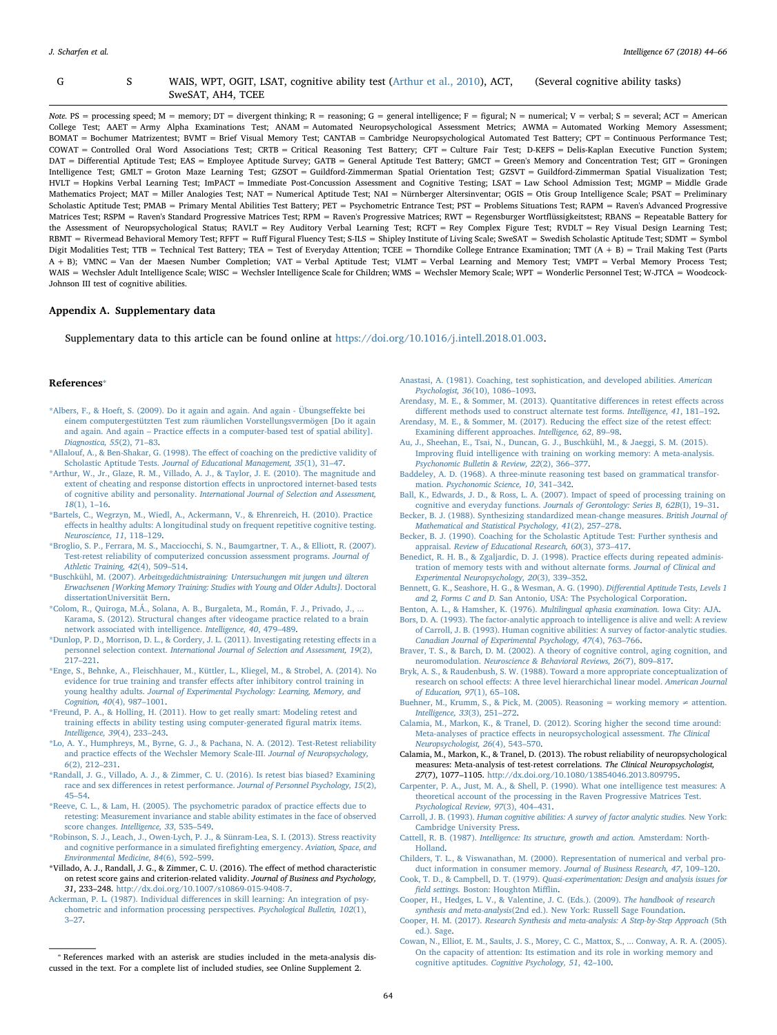#### G S WAIS, WPT, OGIT, LSAT, cognitive ability test [\(Arthur et al., 2010](#page-20-12)), ACT, SweSAT, AH4, TCEE (Several cognitive ability tasks)

Note. PS = processing speed; M = memory; DT = divergent thinking; R = reasoning; G = general intelligence; F = figural; N = numerical; V = verbal; S = several; ACT = American College Test; AAET = Army Alpha Examinations Test; ANAM = Automated Neuropsychological Assessment Metrics; AWMA = Automated Working Memory Assessment; BOMAT = Bochumer Matrizentest; BVMT = Brief Visual Memory Test; CANTAB = Cambridge Neuropsychological Automated Test Battery; CPT = Continuous Performance Test; COWAT = Controlled Oral Word Associations Test; CRTB = Critical Reasoning Test Battery; CFT = Culture Fair Test; D-KEFS = Delis-Kaplan Executive Function System; DAT = Differential Aptitude Test; EAS = Employee Aptitude Survey; GATB = General Aptitude Test Battery; GMCT = Green's Memory and Concentration Test; GIT = Groningen Intelligence Test; GMLT = Groton Maze Learning Test; GZSOT = Guildford-Zimmerman Spatial Orientation Test; GZSVT = Guildford-Zimmerman Spatial Visualization Test; HVLT = Hopkins Verbal Learning Test; ImPACT = Immediate Post-Concussion Assessment and Cognitive Testing; LSAT = Law School Admission Test; MGMP = Middle Grade Mathematics Project; MAT = Miller Analogies Test; NAT = Numerical Aptitude Test; NAI = Nürnberger Altersinventar; OGIS = Otis Group Intelligence Scale; PSAT = Preliminary Scholastic Aptitude Test; PMAB = Primary Mental Abilities Test Battery; PET = Psychometric Entrance Test; PST = Problems Situations Test; RAPM = Raven's Advanced Progressive Matrices Test; RSPM = Raven's Standard Progressive Matrices Test; RPM = Raven's Progressive Matrices; RWT = Regensburger Wortflüssigkeitstest; RBANS = Repeatable Battery for the Assessment of Neuropsychological Status; RAVLT = Rey Auditory Verbal Learning Test; RCFT = Rey Complex Figure Test; RVDLT = Rey Visual Design Learning Test; RBMT = Rivermead Behavioral Memory Test; RFFT = Ruff Figural Fluency Test; S-ILS = Shipley Institute of Living Scale; SweSAT = Swedish Scholastic Aptitude Test; SDMT = Symbol Digit Modalities Test; TTB = Technical Test Battery; TEA = Test of Everyday Attention; TCEE = Thorndike College Entrance Examination; TMT (A + B) = Trail Making Test (Parts A + B); VMNC = Van der Maesen Number Completion; VAT = Verbal Aptitude Test; VLMT = Verbal Learning and Memory Test; VMPT = Verbal Memory Process Test; WAIS = Wechsler Adult Intelligence Scale; WISC = Wechsler Intelligence Scale for Children; WMS = Wechsler Memory Scale; WPT = Wonderlic Personnel Test; W-JTCA = Woodcock-Johnson III test of cognitive abilities.

### Appendix A. Supplementary data

Supplementary data to this article can be found online at [https://doi.org/10.1016/j.intell.2018.01.003.](https://doi.org/10.1016/j.intell.2018.01.003)

### References[⁎](#page-20-39)

- <span id="page-20-7"></span>[\\*Albers, F., & Hoeft, S. \(2009\). Do it again and again. And again - Übungse](http://refhub.elsevier.com/S0160-2896(17)30327-6/rf0005)ffekte bei [einem computergestützten Test zum räumlichen Vorstellungsvermögen \[Do it again](http://refhub.elsevier.com/S0160-2896(17)30327-6/rf0005) and again. And again – Practice eff[ects in a computer-based test of spatial ability\].](http://refhub.elsevier.com/S0160-2896(17)30327-6/rf0005) [Diagnostica, 55](http://refhub.elsevier.com/S0160-2896(17)30327-6/rf0005)(2), 71–83.
- <span id="page-20-6"></span>[\\*Allalouf, A., & Ben-Shakar, G. \(1998\). The e](http://refhub.elsevier.com/S0160-2896(17)30327-6/rf0010)ffect of coaching on the predictive validity of Scholastic Aptitude Tests. [Journal of Educational Management, 35](http://refhub.elsevier.com/S0160-2896(17)30327-6/rf0010)(1), 31–47.
- <span id="page-20-12"></span>[\\*Arthur, W., Jr., Glaze, R. M., Villado, A. J., & Taylor, J. E. \(2010\). The magnitude and](http://refhub.elsevier.com/S0160-2896(17)30327-6/rf0015) [extent of cheating and response distortion e](http://refhub.elsevier.com/S0160-2896(17)30327-6/rf0015)ffects in unproctored internet-based tests of cognitive ability and personality. [International Journal of Selection and Assessment,](http://refhub.elsevier.com/S0160-2896(17)30327-6/rf0015) 18[\(1\), 1](http://refhub.elsevier.com/S0160-2896(17)30327-6/rf0015)–16.
- <span id="page-20-2"></span>[\\*Bartels, C., Wegrzyn, M., Wiedl, A., Ackermann, V., & Ehrenreich, H. \(2010\). Practice](http://refhub.elsevier.com/S0160-2896(17)30327-6/rf0020) eff[ects in healthy adults: A longitudinal study on frequent repetitive cognitive testing.](http://refhub.elsevier.com/S0160-2896(17)30327-6/rf0020) [Neuroscience, 11](http://refhub.elsevier.com/S0160-2896(17)30327-6/rf0020), 118–129.
- <span id="page-20-34"></span>[\\*Broglio, S. P., Ferrara, M. S., Macciocchi, S. N., Baumgartner, T. A., & Elliott, R. \(2007\).](http://refhub.elsevier.com/S0160-2896(17)30327-6/rf0025) [Test-retest reliability of computerized concussion assessment programs.](http://refhub.elsevier.com/S0160-2896(17)30327-6/rf0025) Journal of [Athletic Training, 42](http://refhub.elsevier.com/S0160-2896(17)30327-6/rf0025)(4), 509–514.
- <span id="page-20-28"></span>\*Buschkühl, M. (2007). [Arbeitsgedächtnistraining: Untersuchungen mit jungen und älteren](http://refhub.elsevier.com/S0160-2896(17)30327-6/rf0030) [Erwachsenen \[Working Memory Training: Studies with Young and Older Adults\].](http://refhub.elsevier.com/S0160-2896(17)30327-6/rf0030) Doctoral [dissertationUniversität Bern.](http://refhub.elsevier.com/S0160-2896(17)30327-6/rf0030)
- <span id="page-20-35"></span>\*Colom, R., Quiroga, M.Á., Solana, A. B., Burgaleta, M., Román, F. J., Privado, J., [Karama, S. \(2012\). Structural changes after videogame practice related to a brain](http://refhub.elsevier.com/S0160-2896(17)30327-6/rf0035) [network associated with intelligence.](http://refhub.elsevier.com/S0160-2896(17)30327-6/rf0035) Intelligence, 40, 479–489.
- <span id="page-20-9"></span>[\\*Dunlop, P. D., Morrison, D. L., & Cordery, J. L. \(2011\). Investigating retesting e](http://refhub.elsevier.com/S0160-2896(17)30327-6/rf0040)ffects in a personnel selection context. [International Journal of Selection and Assessment, 19](http://refhub.elsevier.com/S0160-2896(17)30327-6/rf0040)(2), 217–[221](http://refhub.elsevier.com/S0160-2896(17)30327-6/rf0040).
- <span id="page-20-20"></span>[\\*Enge, S., Behnke, A., Fleischhauer, M., Küttler, L., Kliegel, M., & Strobel, A. \(2014\). No](http://refhub.elsevier.com/S0160-2896(17)30327-6/rf0045) [evidence for true training and transfer e](http://refhub.elsevier.com/S0160-2896(17)30327-6/rf0045)ffects after inhibitory control training in young healthy adults. [Journal of Experimental Psychology: Learning, Memory, and](http://refhub.elsevier.com/S0160-2896(17)30327-6/rf0045) [Cognition, 40](http://refhub.elsevier.com/S0160-2896(17)30327-6/rf0045)(4), 987–1001.
- <span id="page-20-30"></span>[\\*Freund, P. A., & Holling, H. \(2011\). How to get really smart: Modeling retest and](http://refhub.elsevier.com/S0160-2896(17)30327-6/rf0050) training eff[ects in ability testing using computer-generated](http://refhub.elsevier.com/S0160-2896(17)30327-6/rf0050) figural matrix items. [Intelligence, 39](http://refhub.elsevier.com/S0160-2896(17)30327-6/rf0050)(4), 233–243.
- <span id="page-20-14"></span>[\\*Lo, A. Y., Humphreys, M., Byrne, G. J., & Pachana, N. A. \(2012\). Test-Retest reliability](http://refhub.elsevier.com/S0160-2896(17)30327-6/rf0055) and practice eff[ects of the Wechsler Memory Scale-III.](http://refhub.elsevier.com/S0160-2896(17)30327-6/rf0055) Journal of Neuropsychology, 6(2), [212](http://refhub.elsevier.com/S0160-2896(17)30327-6/rf0055)–231.
- <span id="page-20-18"></span>[\\*Randall, J. G., Villado, A. J., & Zimmer, C. U. \(2016\). Is retest bias biased? Examining](http://refhub.elsevier.com/S0160-2896(17)30327-6/rf0060) race and sex differences in retest performance. [Journal of Personnel Psychology, 15](http://refhub.elsevier.com/S0160-2896(17)30327-6/rf0060)(2), 45–[54](http://refhub.elsevier.com/S0160-2896(17)30327-6/rf0060).
- <span id="page-20-5"></span>[\\*Reeve, C. L., & Lam, H. \(2005\). The psychometric paradox of practice e](http://refhub.elsevier.com/S0160-2896(17)30327-6/rf0065)ffects due to [retesting: Measurement invariance and stable ability estimates in the face of observed](http://refhub.elsevier.com/S0160-2896(17)30327-6/rf0065) score changes. [Intelligence, 33](http://refhub.elsevier.com/S0160-2896(17)30327-6/rf0065), 535–549.
- <span id="page-20-33"></span>[\\*Robinson, S. J., Leach, J., Owen-Lych, P. J., & Sünram-Lea, S. I. \(2013\). Stress reactivity](http://refhub.elsevier.com/S0160-2896(17)30327-6/rf0070) [and cognitive performance in a simulated](http://refhub.elsevier.com/S0160-2896(17)30327-6/rf0070) firefighting emergency. Aviation, Space, and [Environmental Medicine, 84](http://refhub.elsevier.com/S0160-2896(17)30327-6/rf0070)(6), 592–599.
- <span id="page-20-3"></span>\*Villado, A. J., Randall, J. G., & Zimmer, C. U. (2016). The effect of method characteristic on retest score gains and criterion-related validity. Journal of Business and Psychology, 31, 233–248. <http://dx.doi.org/10.1007/s10869-015-9408-7>.
- <span id="page-20-19"></span>Ackerman, P. L. (1987). Individual diff[erences in skill learning: An integration of psy](http://refhub.elsevier.com/S0160-2896(17)30327-6/rf0080)[chometric and information processing perspectives.](http://refhub.elsevier.com/S0160-2896(17)30327-6/rf0080) Psychological Bulletin, 102(1), 3–[27](http://refhub.elsevier.com/S0160-2896(17)30327-6/rf0080).
- <span id="page-20-4"></span>[Anastasi, A. \(1981\). Coaching, test sophistication, and developed abilities.](http://refhub.elsevier.com/S0160-2896(17)30327-6/rf0085) American [Psychologist, 36](http://refhub.elsevier.com/S0160-2896(17)30327-6/rf0085)(10), 1086–1093.
- <span id="page-20-17"></span>[Arendasy, M. E., & Sommer, M. \(2013\). Quantitative di](http://refhub.elsevier.com/S0160-2896(17)30327-6/rf0090)fferences in retest effects across diff[erent methods used to construct alternate test forms.](http://refhub.elsevier.com/S0160-2896(17)30327-6/rf0090) Intelligence, 41, 181–192.
- <span id="page-20-0"></span>[Arendasy, M. E., & Sommer, M. \(2017\). Reducing the e](http://refhub.elsevier.com/S0160-2896(17)30327-6/rf0095)ffect size of the retest effect: Examining diff[erent approaches.](http://refhub.elsevier.com/S0160-2896(17)30327-6/rf0095) Intelligence, 62, 89–98.
- <span id="page-20-21"></span>[Au, J., Sheehan, E., Tsai, N., Duncan, G. J., Buschkühl, M., & Jaeggi, S. M. \(2015\).](http://refhub.elsevier.com/S0160-2896(17)30327-6/rf0100) Improving fl[uid intelligence with training on working memory: A meta-analysis.](http://refhub.elsevier.com/S0160-2896(17)30327-6/rf0100) [Psychonomic Bulletin & Review, 22](http://refhub.elsevier.com/S0160-2896(17)30327-6/rf0100)(2), 366–377.
- <span id="page-20-38"></span>[Baddeley, A. D. \(1968\). A three-minute reasoning test based on grammatical transfor](http://refhub.elsevier.com/S0160-2896(17)30327-6/rf5200)mation. [Psychonomic](http://refhub.elsevier.com/S0160-2896(17)30327-6/rf5200) Science, 10, 341–342.
- [Ball, K., Edwards, J. D., & Ross, L. A. \(2007\). Impact of speed of processing training on](http://refhub.elsevier.com/S0160-2896(17)30327-6/rf0105) cognitive and everyday functions. [Journals of Gerontology: Series B, 62B](http://refhub.elsevier.com/S0160-2896(17)30327-6/rf0105)(I), 19–31.
- <span id="page-20-23"></span>[Becker, B. J. \(1988\). Synthesizing standardized mean-change measures.](http://refhub.elsevier.com/S0160-2896(17)30327-6/rf0110) British Journal of [Mathematical and Statistical Psychology, 41](http://refhub.elsevier.com/S0160-2896(17)30327-6/rf0110)(2), 257–278.
- [Becker, B. J. \(1990\). Coaching for the Scholastic Aptitude Test: Further synthesis and](http://refhub.elsevier.com/S0160-2896(17)30327-6/rf0115) appraisal. [Review of Educational Research, 60](http://refhub.elsevier.com/S0160-2896(17)30327-6/rf0115)(3), 373–417.
- <span id="page-20-31"></span>[Benedict, R. H. B., & Zgaljardic, D. J. \(1998\). Practice e](http://refhub.elsevier.com/S0160-2896(17)30327-6/rf0120)ffects during repeated adminis[tration of memory tests with and without alternate forms.](http://refhub.elsevier.com/S0160-2896(17)30327-6/rf0120) Journal of Clinical and [Experimental Neuropsychology, 20](http://refhub.elsevier.com/S0160-2896(17)30327-6/rf0120)(3), 339–352.
- <span id="page-20-27"></span>[Bennett, G. K., Seashore, H. G., & Wesman, A. G. \(1990\).](http://refhub.elsevier.com/S0160-2896(17)30327-6/rf0125) Differential Aptitude Tests, Levels 1 and 2, Forms C and D. [San Antonio, USA: The Psychological Corporation](http://refhub.elsevier.com/S0160-2896(17)30327-6/rf0125).
- <span id="page-20-37"></span>[Benton, A. L., & Hamsher, K. \(1976\).](http://refhub.elsevier.com/S0160-2896(17)30327-6/rf5100) Multilingual aphasia examination. Iowa City: AJA.
- <span id="page-20-8"></span>[Bors, D. A. \(1993\). The factor-analytic approach to intelligence is alive and well: A review](http://refhub.elsevier.com/S0160-2896(17)30327-6/rf0130) [of Carroll, J. B. \(1993\). Human cognitive abilities: A survey of factor-analytic studies.](http://refhub.elsevier.com/S0160-2896(17)30327-6/rf0130) [Canadian Journal of Experimental Psychology, 47](http://refhub.elsevier.com/S0160-2896(17)30327-6/rf0130)(4), 763–766.
- <span id="page-20-16"></span>[Braver, T. S., & Barch, D. M. \(2002\). A theory of cognitive control, aging cognition, and](http://refhub.elsevier.com/S0160-2896(17)30327-6/rf0135) neuromodulation. [Neuroscience & Behavioral Reviews, 26](http://refhub.elsevier.com/S0160-2896(17)30327-6/rf0135)(7), 809–817.
- <span id="page-20-25"></span>[Bryk, A. S., & Raudenbush, S. W. \(1988\). Toward a more appropriate conceptualization of](http://refhub.elsevier.com/S0160-2896(17)30327-6/rf0140) research on school eff[ects: A three level hierarchichal linear model.](http://refhub.elsevier.com/S0160-2896(17)30327-6/rf0140) American Journal [of Education, 97](http://refhub.elsevier.com/S0160-2896(17)30327-6/rf0140)(1), 65–108.
- <span id="page-20-11"></span>[Buehner, M., Krumm, S., & Pick, M. \(2005\). Reasoning = working memory](http://refhub.elsevier.com/S0160-2896(17)30327-6/rf0145)  $\neq$  attention. [Intelligence, 33](http://refhub.elsevier.com/S0160-2896(17)30327-6/rf0145)(3), 251–272.
- <span id="page-20-1"></span>[Calamia, M., Markon, K., & Tranel, D. \(2012\). Scoring higher the second time around:](http://refhub.elsevier.com/S0160-2896(17)30327-6/rf0150) Meta-analyses of practice eff[ects in neuropsychological assessment.](http://refhub.elsevier.com/S0160-2896(17)30327-6/rf0150) The Clinical [Neuropsychologist, 26](http://refhub.elsevier.com/S0160-2896(17)30327-6/rf0150)(4), 543–570.
- <span id="page-20-24"></span>Calamia, M., Markon, K., & Tranel, D. (2013). The robust reliability of neuropsychological measures: Meta-analysis of test-retest correlations. The Clinical Neuropsychologist, 27(7), 1077–1105. [http://dx.doi.org/10.1080/13854046.2013.809795.](http://dx.doi.org/10.1080/13854046.2013.809795)
- <span id="page-20-10"></span>[Carpenter, P. A., Just, M. A., & Shell, P. \(1990\). What one intelligence test measures: A](http://refhub.elsevier.com/S0160-2896(17)30327-6/rf0160) [theoretical account of the processing in the Raven Progressive Matrices Test.](http://refhub.elsevier.com/S0160-2896(17)30327-6/rf0160) [Psychological](http://refhub.elsevier.com/S0160-2896(17)30327-6/rf0160) Review, 97(3), 404–431.
- <span id="page-20-29"></span>Carroll, J. B. (1993). [Human cognitive abilities: A survey of factor analytic studies.](http://refhub.elsevier.com/S0160-2896(17)30327-6/rf0165) New York: [Cambridge University Press.](http://refhub.elsevier.com/S0160-2896(17)30327-6/rf0165)
- <span id="page-20-15"></span>Cattell, R. B. (1987). [Intelligence: Its structure, growth and action.](http://refhub.elsevier.com/S0160-2896(17)30327-6/rf0170) Amsterdam: North-[Holland](http://refhub.elsevier.com/S0160-2896(17)30327-6/rf0170).
- <span id="page-20-32"></span>[Childers, T. L., & Viswanathan, M. \(2000\). Representation of numerical and verbal pro](http://refhub.elsevier.com/S0160-2896(17)30327-6/rf0175)[duct information in consumer memory.](http://refhub.elsevier.com/S0160-2896(17)30327-6/rf0175) Journal of Business Research, 47, 109–120.
- <span id="page-20-13"></span>Cook, T. D., & Campbell, D. T. (1979). [Quasi-experimentation: Design and analysis issues for](http://refhub.elsevier.com/S0160-2896(17)30327-6/rf0185) field settings. [Boston: Houghton Mi](http://refhub.elsevier.com/S0160-2896(17)30327-6/rf0185)fflin.
- <span id="page-20-26"></span>[Cooper, H., Hedges, L. V., & Valentine, J. C. \(Eds.\). \(2009\).](http://refhub.elsevier.com/S0160-2896(17)30327-6/rf0190) The handbook of research synthesis and meta-analysis[\(2nd ed.\). New York: Russell Sage Foundation.](http://refhub.elsevier.com/S0160-2896(17)30327-6/rf0190)
- <span id="page-20-22"></span>Cooper, H. M. (2017). [Research Synthesis and meta-analysis: A Step-by-Step Approach](http://refhub.elsevier.com/S0160-2896(17)30327-6/rf0195) (5th [ed.\). Sage](http://refhub.elsevier.com/S0160-2896(17)30327-6/rf0195).
- <span id="page-20-36"></span>[Cowan, N., Elliot, E. M., Saults, J. S., Morey, C. C., Mattox, S., ... Conway, A. R. A. \(2005\).](http://refhub.elsevier.com/S0160-2896(17)30327-6/rf5055) [On the capacity of attention: Its estimation and its role in working memory and](http://refhub.elsevier.com/S0160-2896(17)30327-6/rf5055) cognitive aptitudes. [Cognitive Psychology, 51](http://refhub.elsevier.com/S0160-2896(17)30327-6/rf5055), 42–100.

<span id="page-20-39"></span><sup>⁎</sup> References marked with an asterisk are studies included in the meta-analysis discussed in the text. For a complete list of included studies, see Online Supplement 2.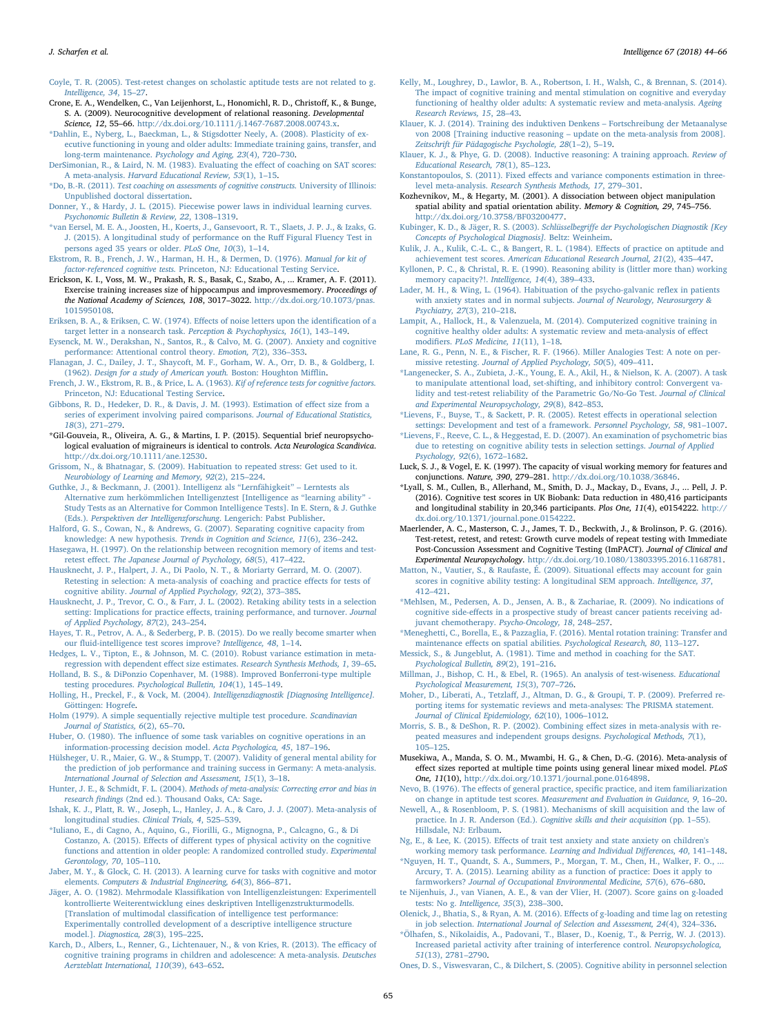<span id="page-21-29"></span>[Coyle, T. R. \(2005\). Test-retest changes on scholastic aptitude tests are not related to g.](http://refhub.elsevier.com/S0160-2896(17)30327-6/rf0200) [Intelligence, 34](http://refhub.elsevier.com/S0160-2896(17)30327-6/rf0200), 15–27.

- <span id="page-21-45"></span>Crone, E. A., Wendelken, C., Van Leijenhorst, L., Honomichl, R. D., Christoff, K., & Bunge, S. A. (2009). Neurocognitive development of relational reasoning. Developmental Science, 12, 55-66. [http://dx.doi.org/10.1111/j.1467-7687.2008.00743.x.](http://dx.doi.org/10.1111/j.1467-7687.2008.00743.x)
- <span id="page-21-42"></span>[\\*Dahlin, E., Nyberg, L., Baeckman, L., & Stigsdotter Neely, A. \(2008\). Plasticity of ex](http://refhub.elsevier.com/S0160-2896(17)30327-6/rf5070)[ecutive functioning in young and older adults: Immediate training gains, transfer, and](http://refhub.elsevier.com/S0160-2896(17)30327-6/rf5070) long-term maintenance. [Psychology and Aging, 23](http://refhub.elsevier.com/S0160-2896(17)30327-6/rf5070)(4), 720–730.
- [DerSimonian, R., & Laird, N. M. \(1983\). Evaluating the e](http://refhub.elsevier.com/S0160-2896(17)30327-6/rf0205)ffect of coaching on SAT scores: A meta-analysis. [Harvard Educational Review, 53](http://refhub.elsevier.com/S0160-2896(17)30327-6/rf0205)(1), 1–15.
- <span id="page-21-48"></span>\*Do, B.-R. (2011). [Test coaching on assessments of cognitive constructs.](http://refhub.elsevier.com/S0160-2896(17)30327-6/rf5170) University of Illinois: [Unpublished doctoral dissertation.](http://refhub.elsevier.com/S0160-2896(17)30327-6/rf5170)
- <span id="page-21-3"></span>[Donner, Y., & Hardy, J. L. \(2015\). Piecewise power laws in individual learning curves.](http://refhub.elsevier.com/S0160-2896(17)30327-6/rf0210) [Psychonomic Bulletin & Review, 22](http://refhub.elsevier.com/S0160-2896(17)30327-6/rf0210), 1308–1319.
- <span id="page-21-18"></span>[\\*van Eersel, M. E. A., Joosten, H., Koerts, J., Gansevoort, R. T., Slaets, J. P. J., & Izaks, G.](http://refhub.elsevier.com/S0160-2896(17)30327-6/rf0215) [J. \(2015\). A longitudinal study of performance on the Ru](http://refhub.elsevier.com/S0160-2896(17)30327-6/rf0215)ff Figural Fluency Test in [persons aged 35 years or older.](http://refhub.elsevier.com/S0160-2896(17)30327-6/rf0215) PLoS One, 10(3), 1–14.
- [Ekstrom, R. B., French, J. W., Harman, H. H., & Dermen, D. \(1976\).](http://refhub.elsevier.com/S0160-2896(17)30327-6/rf5120) Manual for kit of factor-referenced cognitive tests. [Princeton, NJ: Educational Testing Service.](http://refhub.elsevier.com/S0160-2896(17)30327-6/rf5120)
- <span id="page-21-38"></span>Erickson, K. I., Voss, M. W., Prakash, R. S., Basak, C., Szabo, A., ... Kramer, A. F. (2011). Exercise training increases size of hippocampus and improvesmemory. Proceedings of the National Academy of Sciences, 108, 3017-3022. [http://dx.doi.org/10.1073/pnas.](http://dx.doi.org/10.1073/pnas.1015950108) [1015950108](http://dx.doi.org/10.1073/pnas.1015950108).
- <span id="page-21-34"></span>[Eriksen, B. A., & Eriksen, C. W. \(1974\). E](http://refhub.elsevier.com/S0160-2896(17)30327-6/rf5015)ffects of noise letters upon the identification of a [target letter in a nonsearch task.](http://refhub.elsevier.com/S0160-2896(17)30327-6/rf5015) Perception & Psychophysics, 16(1), 143–149.
- <span id="page-21-8"></span>[Eysenck, M. W., Derakshan, N., Santos, R., & Calvo, M. G. \(2007\). Anxiety and cognitive](http://refhub.elsevier.com/S0160-2896(17)30327-6/rf0220) [performance: Attentional control theory.](http://refhub.elsevier.com/S0160-2896(17)30327-6/rf0220) Emotion, 7(2), 336–353.
- <span id="page-21-41"></span>[Flanagan, J. C., Dailey, J. T., Shaycoft, M. F., Gorham, W. A., Orr, D. B., & Goldberg, I.](http://refhub.elsevier.com/S0160-2896(17)30327-6/rf5065) (1962). [Design for a study of American youth.](http://refhub.elsevier.com/S0160-2896(17)30327-6/rf5065) Boston: Houghton Mifflin.
- <span id="page-21-35"></span>[French, J. W., Ekstrom, R. B., & Price, L. A. \(1963\).](http://refhub.elsevier.com/S0160-2896(17)30327-6/rf5025) Kif of reference tests for cognitive factors. [Princeton, NJ: Educational Testing Service.](http://refhub.elsevier.com/S0160-2896(17)30327-6/rf5025)
- [Gibbons, R. D., Hedeker, D. R., & Davis, J. M. \(1993\). Estimation of e](http://refhub.elsevier.com/S0160-2896(17)30327-6/rf0225)ffect size from a [series of experiment involving paired comparisons.](http://refhub.elsevier.com/S0160-2896(17)30327-6/rf0225) Journal of Educational Statistics, 18[\(3\), 271](http://refhub.elsevier.com/S0160-2896(17)30327-6/rf0225)–279.
- <span id="page-21-43"></span>\*Gil-Gouveia, R., Oliveira, A. G., & Martins, I. P. (2015). Sequential brief neuropsychological evaluation of migraineurs is identical to controls. Acta Neurologica Scandivica. <http://dx.doi.org/10.1111/ane.12530>.
- [Grissom, N., & Bhatnagar, S. \(2009\). Habituation to repeated stress: Get used to it.](http://refhub.elsevier.com/S0160-2896(17)30327-6/rf0230) [Neurobiology of Learning and Memory, 92](http://refhub.elsevier.com/S0160-2896(17)30327-6/rf0230)(2), 215–224.
- [Guthke, J., & Beckmann, J. \(2001\). Intelligenz als](http://refhub.elsevier.com/S0160-2896(17)30327-6/rf0235) "Lernfähigkeit" Lerntests als [Alternative zum herkömmlichen Intelligenztest \[Intelligence as](http://refhub.elsevier.com/S0160-2896(17)30327-6/rf0235) "learning ability" - [Study Tests as an Alternative for Common Intelligence Tests\]. In E. Stern, & J. Guthke](http://refhub.elsevier.com/S0160-2896(17)30327-6/rf0235) (Eds.). [Perspektiven der Intelligenzforschung](http://refhub.elsevier.com/S0160-2896(17)30327-6/rf0235). Lengerich: Pabst Publisher. [Halford, G. S., Cowan, N., & Andrews, G. \(2007\). Separating cognitive capacity from](http://refhub.elsevier.com/S0160-2896(17)30327-6/rf0240)
- <span id="page-21-20"></span>knowledge: A new hypothesis. [Trends in Cognition and Science, 11](http://refhub.elsevier.com/S0160-2896(17)30327-6/rf0240)(6), 236–242.
- <span id="page-21-17"></span>[Hasegawa, H. \(1997\). On the relationship between recognition memory of items and test](http://refhub.elsevier.com/S0160-2896(17)30327-6/rf0245)retest effect. [The Japanese Journal of Psychology, 68](http://refhub.elsevier.com/S0160-2896(17)30327-6/rf0245)(5), 417–422.
- <span id="page-21-2"></span>[Hausknecht, J. P., Halpert, J. A., Di Paolo, N. T., & Moriarty Gerrard, M. O. \(2007\).](http://refhub.elsevier.com/S0160-2896(17)30327-6/rf0250) [Retesting in selection: A meta-analysis of coaching and practice e](http://refhub.elsevier.com/S0160-2896(17)30327-6/rf0250)ffects for tests of cognitive ability. [Journal of Applied Psychology, 92](http://refhub.elsevier.com/S0160-2896(17)30327-6/rf0250)(2), 373–385.
- <span id="page-21-7"></span>[Hausknecht, J. P., Trevor, C. O., & Farr, J. L. \(2002\). Retaking ability tests in a selection](http://refhub.elsevier.com/S0160-2896(17)30327-6/rf0255) setting: Implications for practice eff[ects, training performance, and turnover.](http://refhub.elsevier.com/S0160-2896(17)30327-6/rf0255) Journal [of Applied Psychology, 87](http://refhub.elsevier.com/S0160-2896(17)30327-6/rf0255)(2), 243–254.
- <span id="page-21-14"></span>[Hayes, T. R., Petrov, A. A., & Sederberg, P. B. \(2015\). Do we really become smarter when](http://refhub.elsevier.com/S0160-2896(17)30327-6/rf0260) our fl[uid-intelligence test scores improve?](http://refhub.elsevier.com/S0160-2896(17)30327-6/rf0260) Intelligence, 48, 1–14.
- <span id="page-21-25"></span>[Hedges, L. V., Tipton, E., & Johnson, M. C. \(2010\). Robust variance estimation in meta](http://refhub.elsevier.com/S0160-2896(17)30327-6/rf0265)regression with dependent effect size estimates. [Research Synthesis Methods, 1](http://refhub.elsevier.com/S0160-2896(17)30327-6/rf0265), 39–65.
- [Holland, B. S., & DiPonzio Copenhaver, M. \(1988\). Improved Bonferroni-type multiple](http://refhub.elsevier.com/S0160-2896(17)30327-6/rf0270) testing procedures. [Psychological Bulletin, 104](http://refhub.elsevier.com/S0160-2896(17)30327-6/rf0270)(1), 145–149.
- Holling, H., Preckel, F., & Vock, M. (2004). [Intelligenzdiagnostik \[Diagnosing Intelligence\].](http://refhub.elsevier.com/S0160-2896(17)30327-6/rf0275) [Göttingen: Hogrefe.](http://refhub.elsevier.com/S0160-2896(17)30327-6/rf0275)
- <span id="page-21-26"></span>[Holm \(1979\). A simple sequentially rejective multiple test procedure.](http://refhub.elsevier.com/S0160-2896(17)30327-6/rf0280) Scandinavian [Journal of Statistics, 6](http://refhub.elsevier.com/S0160-2896(17)30327-6/rf0280)(2), 65–70.
- <span id="page-21-30"></span>Huber, O. (1980). The infl[uence of some task variables on cognitive operations in an](http://refhub.elsevier.com/S0160-2896(17)30327-6/rf0285) [information-processing decision model.](http://refhub.elsevier.com/S0160-2896(17)30327-6/rf0285) Acta Psychologica, 45, 187–196.
- [Hülsheger, U. R., Maier, G. W., & Stumpp, T. \(2007\). Validity of general mental ability for](http://refhub.elsevier.com/S0160-2896(17)30327-6/rf0290) [the prediction of job performance and training success in Germany: A meta-analysis.](http://refhub.elsevier.com/S0160-2896(17)30327-6/rf0290) [International Journal of Selection and Assessment, 15](http://refhub.elsevier.com/S0160-2896(17)30327-6/rf0290)(1), 3–18.
- <span id="page-21-23"></span>Hunter, J. E., & Schmidt, F. L. (2004). [Methods of meta-analysis: Correcting error and bias in](http://refhub.elsevier.com/S0160-2896(17)30327-6/rf0295) research findings [\(2nd ed.\). Thousand Oaks, CA: Sage](http://refhub.elsevier.com/S0160-2896(17)30327-6/rf0295).
- <span id="page-21-24"></span>[Ishak, K. J., Platt, R. W., Joseph, L., Hanley, J. A., & Caro, J. J. \(2007\). Meta-analysis of](http://refhub.elsevier.com/S0160-2896(17)30327-6/rf0300) [longitudinal studies.](http://refhub.elsevier.com/S0160-2896(17)30327-6/rf0300) Clinical Trials, 4, 525–539.
- <span id="page-21-33"></span>[\\*Iuliano, E., di Cagno, A., Aquino, G., Fiorilli, G., Mignogna, P., Calcagno, G., & Di](http://refhub.elsevier.com/S0160-2896(17)30327-6/rf5005) Costanzo, A. (2015). Effects of diff[erent types of physical activity on the cognitive](http://refhub.elsevier.com/S0160-2896(17)30327-6/rf5005) [functions and attention in older people: A randomized controlled study.](http://refhub.elsevier.com/S0160-2896(17)30327-6/rf5005) Experimental [Gerontology, 70](http://refhub.elsevier.com/S0160-2896(17)30327-6/rf5005), 105–110.
- [Jaber, M. Y., & Glock, C. H. \(2013\). A learning curve for tasks with cognitive and motor](http://refhub.elsevier.com/S0160-2896(17)30327-6/rf0305) elements. [Computers & Industrial Engineering, 64](http://refhub.elsevier.com/S0160-2896(17)30327-6/rf0305)(3), 866–871.
- <span id="page-21-5"></span>Jäger, A. O. (1982). Mehrmodale Klassifi[kation von Intelligenzleistungen: Experimentell](http://refhub.elsevier.com/S0160-2896(17)30327-6/rf0310) [kontrollierte Weiterentwicklung eines deskriptiven Intelligenzstrukturmodells.](http://refhub.elsevier.com/S0160-2896(17)30327-6/rf0310) [Translation of multimodal classifi[cation of intelligence test performance:](http://refhub.elsevier.com/S0160-2896(17)30327-6/rf0310) [Experimentally controlled development of a descriptive intelligence structure](http://refhub.elsevier.com/S0160-2896(17)30327-6/rf0310) model.]. [Diagnostica, 28](http://refhub.elsevier.com/S0160-2896(17)30327-6/rf0310)(3), 195–225.
- [Karch, D., Albers, L., Renner, G., Lichtenauer, N., & von Kries, R. \(2013\). The e](http://refhub.elsevier.com/S0160-2896(17)30327-6/rf0315)fficacy of [cognitive training programs in children and adolescence: A meta-analysis.](http://refhub.elsevier.com/S0160-2896(17)30327-6/rf0315) Deutsches [Aerzteblatt International, 110](http://refhub.elsevier.com/S0160-2896(17)30327-6/rf0315)(39), 643–652.
- [Kelly, M., Loughrey, D., Lawlor, B. A., Robertson, I. H., Walsh, C., & Brennan, S. \(2014\).](http://refhub.elsevier.com/S0160-2896(17)30327-6/rf0320) [The impact of cognitive training and mental stimulation on cognitive and everyday](http://refhub.elsevier.com/S0160-2896(17)30327-6/rf0320) [functioning of healthy older adults: A systematic review and meta-analysis.](http://refhub.elsevier.com/S0160-2896(17)30327-6/rf0320) Ageing [Research Reviews, 15](http://refhub.elsevier.com/S0160-2896(17)30327-6/rf0320), 28–43.
- [Klauer, K. J. \(2014\). Training des induktiven Denkens](http://refhub.elsevier.com/S0160-2896(17)30327-6/rf0325) Fortschreibung der Metaanalyse von 2008 [Training inductive reasoning – [update on the meta-analysis from 2008\].](http://refhub.elsevier.com/S0160-2896(17)30327-6/rf0325) [Zeitschrift für Pädagogische Psychologie, 28](http://refhub.elsevier.com/S0160-2896(17)30327-6/rf0325)(1–2), 5–19.
- [Klauer, K. J., & Phye, G. D. \(2008\). Inductive reasoning: A training approach.](http://refhub.elsevier.com/S0160-2896(17)30327-6/rf0330) Review of [Educational Research, 78](http://refhub.elsevier.com/S0160-2896(17)30327-6/rf0330)(1), 85–123.
- Konstantopoulos, S. (2011). Fixed eff[ects and variance components estimation in three](http://refhub.elsevier.com/S0160-2896(17)30327-6/rf0335)level meta-analysis. [Research Synthesis Methods, 17](http://refhub.elsevier.com/S0160-2896(17)30327-6/rf0335), 279–301.
- <span id="page-21-46"></span>Kozhevnikov, M., & Hegarty, M. (2001). A dissociation between object manipulation spatial ability and spatial orientation ability. Memory & Cognition, 29, 745–756. <http://dx.doi.org/10.3758/BF03200477>.
- <span id="page-21-15"></span>[Kubinger, K. D., & Jäger, R. S. \(2003\).](http://refhub.elsevier.com/S0160-2896(17)30327-6/rf0340) Schlüsselbegriffe der Psychologischen Diagnostik [Key [Concepts of Psychological Diagnosis\].](http://refhub.elsevier.com/S0160-2896(17)30327-6/rf0340) Beltz: Weinheim.
- <span id="page-21-1"></span>[Kulik, J. A., Kulik, C.-L. C., & Bangert, R. L. \(1984\). E](http://refhub.elsevier.com/S0160-2896(17)30327-6/rf0345)ffects of practice on aptitude and achievement test scores. [American Educational Research Journal, 21](http://refhub.elsevier.com/S0160-2896(17)30327-6/rf0345)(2), 435–447.
- [Kyllonen, P. C., & Christal, R. E. \(1990\). Reasoning ability is \(littler more than\) working](http://refhub.elsevier.com/S0160-2896(17)30327-6/rf0350) [memory capacity?!.](http://refhub.elsevier.com/S0160-2896(17)30327-6/rf0350) Intelligence, 14(4), 389-433.
- <span id="page-21-9"></span>[Lader, M. H., & Wing, L. \(1964\). Habituation of the psycho-galvanic re](http://refhub.elsevier.com/S0160-2896(17)30327-6/rf0355)flex in patients [with anxiety states and in normal subjects.](http://refhub.elsevier.com/S0160-2896(17)30327-6/rf0355) Journal of Neurology, Neurosurgery & [Psychiatry, 27](http://refhub.elsevier.com/S0160-2896(17)30327-6/rf0355)(3), 210–218.
- [Lampit, A., Hallock, H., & Valenzuela, M. \(2014\). Computerized cognitive training in](http://refhub.elsevier.com/S0160-2896(17)30327-6/rf0360) [cognitive healthy older adults: A systematic review and meta-analysis of e](http://refhub.elsevier.com/S0160-2896(17)30327-6/rf0360)ffect modifiers. [PLoS Medicine, 11](http://refhub.elsevier.com/S0160-2896(17)30327-6/rf0360)(11), 1–18.
- <span id="page-21-19"></span>[Lane, R. G., Penn, N. E., & Fischer, R. F. \(1966\). Miller Analogies Test: A note on per](http://refhub.elsevier.com/S0160-2896(17)30327-6/rf0365)missive retesting. [Journal of Applied Psychology, 50](http://refhub.elsevier.com/S0160-2896(17)30327-6/rf0365)(5), 409–411.
- [\\*Langenecker, S. A., Zubieta, J.-K., Young, E. A., Akil, H., & Nielson, K. A. \(2007\). A task](http://refhub.elsevier.com/S0160-2896(17)30327-6/rf5010) [to manipulate attentional load, set-shifting, and inhibitory control: Convergent va](http://refhub.elsevier.com/S0160-2896(17)30327-6/rf5010)[lidity and test-retest reliability of the Parametric Go/No-Go Test.](http://refhub.elsevier.com/S0160-2896(17)30327-6/rf5010) Journal of Clinical [and Experimental Neuropsychology, 29](http://refhub.elsevier.com/S0160-2896(17)30327-6/rf5010)(8), 842–853.
- <span id="page-21-31"></span>[\\*Lievens, F., Buyse, T., & Sackett, P. R. \(2005\). Retest e](http://refhub.elsevier.com/S0160-2896(17)30327-6/rf0370)ffects in operational selection [settings: Development and test of a framework.](http://refhub.elsevier.com/S0160-2896(17)30327-6/rf0370) Personnel Psychology, 58, 981–1007.

<span id="page-21-4"></span>[\\*Lievens, F., Reeve, C. L., & Heggestad, E. D. \(2007\). An examination of psychometric bias](http://refhub.elsevier.com/S0160-2896(17)30327-6/rf0375) [due to retesting on cognitive ability tests in selection settings.](http://refhub.elsevier.com/S0160-2896(17)30327-6/rf0375) Journal of Applied [Psychology, 92](http://refhub.elsevier.com/S0160-2896(17)30327-6/rf0375)(6), 1672–1682.

- <span id="page-21-39"></span>Luck, S. J., & Vogel, E. K. (1997). The capacity of visual working memory for features and conjunctions. Nature, 390, 279–281. [http://dx.doi.org/10.1038/36846.](http://dx.doi.org/10.1038/36846)
- <span id="page-21-37"></span>\*Lyall, S. M., Cullen, B., Allerhand, M., Smith, D. J., Mackay, D., Evans, J., ... Pell, J. P. (2016). Cognitive test scores in UK Biobank: Data reduction in 480,416 participants and longitudinal stability in 20,346 participants. Plos One, 11(4), e0154222. [http://](http://dx.doi.org/10.1371/journal.pone.0154222) [dx.doi.org/10.1371/journal.pone.0154222.](http://dx.doi.org/10.1371/journal.pone.0154222)
- <span id="page-21-16"></span>Maerlender, A. C., Masterson, C. J., James, T. D., Beckwith, J., & Brolinson, P. G. (2016). Test-retest, retest, and retest: Growth curve models of repeat testing with Immediate Post-Concussion Assessment and Cognitive Testing (ImPACT). Journal of Clinical and Experimental Neuropsychology. <http://dx.doi.org/10.1080/13803395.2016.1168781>.
- <span id="page-21-10"></span>[Matton, N., Vautier, S., & Raufaste, É. \(2009\). Situational e](http://refhub.elsevier.com/S0160-2896(17)30327-6/rf0385)ffects may account for gain [scores in cognitive ability testing: A longitudinal SEM approach.](http://refhub.elsevier.com/S0160-2896(17)30327-6/rf0385) Intelligence, 37, 412–[421](http://refhub.elsevier.com/S0160-2896(17)30327-6/rf0385).
- <span id="page-21-44"></span>[\\*Mehlsen, M., Pedersen, A. D., Jensen, A. B., & Zachariae, R. \(2009\). No indications of](http://refhub.elsevier.com/S0160-2896(17)30327-6/rf5095) cognitive side-eff[ects in a prospective study of breast cancer patients receiving ad](http://refhub.elsevier.com/S0160-2896(17)30327-6/rf5095)[juvant chemotherapy.](http://refhub.elsevier.com/S0160-2896(17)30327-6/rf5095) Psycho-Oncology, 18, 248–257.
- <span id="page-21-47"></span>[\\*Meneghetti, C., Borella, E., & Pazzaglia, F. \(2016\). Mental rotation training: Transfer and](http://refhub.elsevier.com/S0160-2896(17)30327-6/rf5160) maintenance effects on spatial abilities. [Psychological Research, 80](http://refhub.elsevier.com/S0160-2896(17)30327-6/rf5160), 113–127.
- <span id="page-21-11"></span>[Messick, S., & Jungeblut, A. \(1981\). Time and method in coaching for the SAT.](http://refhub.elsevier.com/S0160-2896(17)30327-6/rf0390) [Psychological Bulletin, 89](http://refhub.elsevier.com/S0160-2896(17)30327-6/rf0390)(2), 191–216.
- <span id="page-21-12"></span>[Millman, J., Bishop, C. H., & Ebel, R. \(1965\). An analysis of test-wiseness.](http://refhub.elsevier.com/S0160-2896(17)30327-6/rf0395) Educational [Psychological Measurement, 15](http://refhub.elsevier.com/S0160-2896(17)30327-6/rf0395)(3), 707–726.
- <span id="page-21-21"></span>Moher, D., Liberati, A., Tetzlaff[, J., Altman, D. G., & Groupi, T. P. \(2009\). Preferred re](http://refhub.elsevier.com/S0160-2896(17)30327-6/rf0400)[porting items for systematic reviews and meta-analyses: The PRISMA statement.](http://refhub.elsevier.com/S0160-2896(17)30327-6/rf0400) [Journal of Clinical Epidemiology, 62](http://refhub.elsevier.com/S0160-2896(17)30327-6/rf0400)(10), 1006–1012.
- <span id="page-21-22"></span>[Morris, S. B., & DeShon, R. P. \(2002\). Combining e](http://refhub.elsevier.com/S0160-2896(17)30327-6/rf0405)ffect sizes in meta-analysis with re[peated measures and independent groups designs.](http://refhub.elsevier.com/S0160-2896(17)30327-6/rf0405) Psychological Methods, 7(1), 105–[125](http://refhub.elsevier.com/S0160-2896(17)30327-6/rf0405).
- <span id="page-21-6"></span>Musekiwa, A., Manda, S. O. M., Mwambi, H. G., & Chen, D.-G. (2016). Meta-analysis of effect sizes reported at multiple time points using general linear mixed model. PLoS One, 11(10), [http://dx.doi.org/10.1371/journal.pone.0164898.](http://dx.doi.org/10.1371/journal.pone.0164898)
- <span id="page-21-32"></span>Nevo, B. (1976). The effects of general practice, specifi[c practice, and item familiarization](http://refhub.elsevier.com/S0160-2896(17)30327-6/rf0415) on change in aptitude test scores. [Measurement and Evaluation in Guidance, 9](http://refhub.elsevier.com/S0160-2896(17)30327-6/rf0415), 16–20.
- <span id="page-21-13"></span>Newell, [A., & Rosenbloom, P. S. \(1981\). Mechanisms of skill acquisition and the law of](http://refhub.elsevier.com/S0160-2896(17)30327-6/rf0420) practice. In J. R. Anderson (Ed.). [Cognitive skills and their acquisition](http://refhub.elsevier.com/S0160-2896(17)30327-6/rf0420) (pp. 1–55). [Hillsdale, NJ: Erlbaum.](http://refhub.elsevier.com/S0160-2896(17)30327-6/rf0420)
- Ng, E., & Lee, K. (2015). Eff[ects of trait test anxiety and state anxiety on children's](http://refhub.elsevier.com/S0160-2896(17)30327-6/rf0425) [working memory task performance.](http://refhub.elsevier.com/S0160-2896(17)30327-6/rf0425) Learning and Individual Differences, 40, 141–148.
- <span id="page-21-36"></span>[\\*Nguyen, H. T., Quandt, S. A., Summers, P., Morgan, T. M., Chen, H., Walker, F. O., ...](http://refhub.elsevier.com/S0160-2896(17)30327-6/rf5030) [Arcury, T. A. \(2015\). Learning ability as a function of practice: Does it apply to](http://refhub.elsevier.com/S0160-2896(17)30327-6/rf5030) farmworkers? [Journal of Occupational Environmental Medicine, 57](http://refhub.elsevier.com/S0160-2896(17)30327-6/rf5030)(6), 676–680.
- <span id="page-21-27"></span>[te Nijenhuis, J., van Vianen, A. E., & van der Vlier, H. \(2007\). Score gains on g-loaded](http://refhub.elsevier.com/S0160-2896(17)30327-6/rf0430) tests: No g. [Intelligence, 35](http://refhub.elsevier.com/S0160-2896(17)30327-6/rf0430)(3), 238–300.
- <span id="page-21-28"></span>[Olenick, J., Bhatia, S., & Ryan, A. M. \(2016\). E](http://refhub.elsevier.com/S0160-2896(17)30327-6/rf0435)ffects of g-loading and time lag on retesting in job selection. [International Journal of Selection and Assessment, 24](http://refhub.elsevier.com/S0160-2896(17)30327-6/rf0435)(4), 324–336.
- <span id="page-21-40"></span>[\\*Ölhafen, S., Nikolaidis, A., Padovani, T., Blaser, D., Koenig, T., & Perrig, W. J. \(2013\).](http://refhub.elsevier.com/S0160-2896(17)30327-6/rf5060) [Increased parietal activity after training of interference control.](http://refhub.elsevier.com/S0160-2896(17)30327-6/rf5060) Neuropsychologica, 51[\(13\), 2781](http://refhub.elsevier.com/S0160-2896(17)30327-6/rf5060)–2790.
- <span id="page-21-0"></span>[Ones, D. S., Viswesvaran, C., & Dilchert, S. \(2005\). Cognitive ability in personnel selection](http://refhub.elsevier.com/S0160-2896(17)30327-6/rf0440)